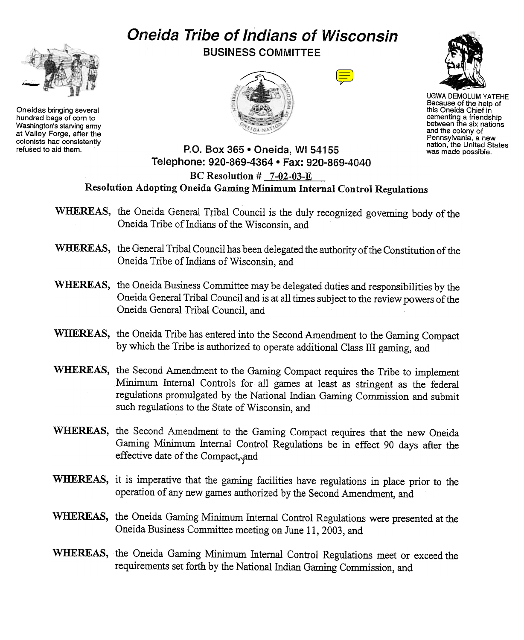# Oneida Tribe of Indians of Wisconsin



Oneidas bringing several hundred bags of corn to Washington's starving army at Valley Forge, after the colonists had consistently refused to aid them.

BUSINESS COMMITTEE







UGWA DEMOLUM YATEHE Because of the help of this Oneida Chief in cementing a friendship between the six nations and the colony of Pennsylvania, a new

# P.O. Box 365 . Oneida, WI 54155 was made possible. Telephone: 920-869-4364 · Fax: 920-869-4040 BC Resolution # 7-02-03-E Resolution Adopting Oneida Gaming Minimum Internal Control Regulations

- WHEREAS, the Oneida General Tribal Council is the duly recognized governing body of the Oneida Tribe of Indians of the Wisconsin, and
- WHEREAS, the General Tribal Council has been delegated the authority of the Constitution of the Oneida Tribe of Indians of Wisconsin, and
- WHEREAS, the Oneida Business Committee may be delegated duties and responsibilities by the Oneida General Tribal Council and is at all times subject to the review powers of the Oneida General Tribal Council, and
- WHEREAS, the Oneida Tribe has entered into the Second Amendment to the Gaming Compact by which the Tribe is authorized to operate additional Class III gaming, and
- WHEREAS, the Second Amendment to the Gaming Compact requires the Tribe to implement Minimum Internal Controls for all games at least as stringent as the federal regulations promulgated by the National Indian Gaming Commission and submit such regulations to the State of Wisconsin, and
- WHEREAS, the Second Amendment to the Gaming Compact requires that the new Oneida Gaming Minimum Internal Control Regulations be in effect 90 days after the effective date of the Compact, and
- WHEREAS, it is imperative that the gaming facilities have regulations in place prior to the operation of any new games authorized by the Second Amendment, and
- WHEREAS, the Oneida Gaming Minimum Internal Control Regulations were presented at the Oneida Business Committee meeting on June 11,2003, and
- WHEREAS, the Oneida Gaming Minimum Internal Control Regulations meet or exceed the requirements set forth by the National Indian Gaming Commission, and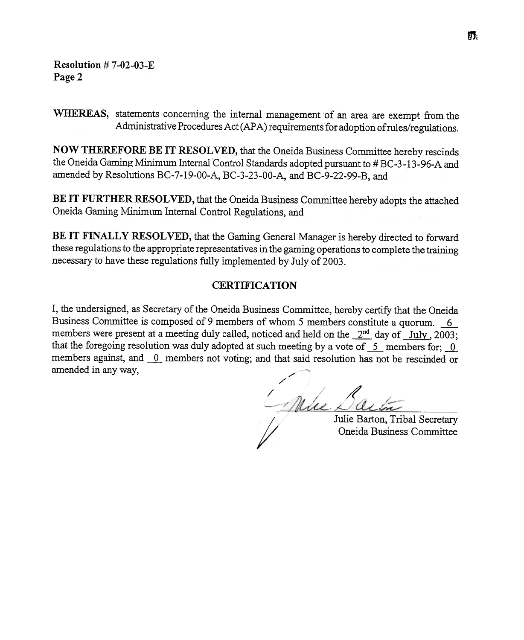Resolution # 7-02-03-E Page 2

WHEREAS, statements concerning the internal management 'of an area are exempt from the Administrative Procedures Act (APA) requirements for adoption of rules/regulations.

NOW THEREFORE BE IT RESOLVED, that the Oneida Business Committee hereby rescinds the Oneida Gaming Minimum Internal Control Standards adopted pursuant to #BC-3-13-96-A and amended by Resolutions BC-7-19-00-A, BC-3-23-00-A, and BC-9-22-99-B, and

BE IT FURTHER RESOLVED, that the Oneida Business Committee hereby adopts the attached Oneida Gaming Minimum Internal Control Regulations, and

BE IT FINALLY RESOLVED, that the Gaming General Manager is hereby directed to forward these regulations to the appropriate representatives in the gaming operations to complete the training necessary to have these regulations fully implemented by July of 2003.

## **CERTIFICATION**

I, the undersigned, as Secretary of the Oneida Business Committee, hereby certify that the Oneida Business Committee is composed of 9 members of whom 5 members constitute a quorum. --.fLmembers were present at a meeting duly called, noticed and held on the  $2<sup>nd</sup>$  day of  $\overline{\phantom{a}}$  July, 2003; that the foregoing resolution was duly adopted at such meeting by a vote of  $\overline{\phantom{a}}$ - members for; 0 members against, and  $\overline{0}$  members not voting; and that said resolution has not be rescinded or amended in any way,

/<br>/ h / /

Julie Barton, Tribal Secretary Oneida Business Committee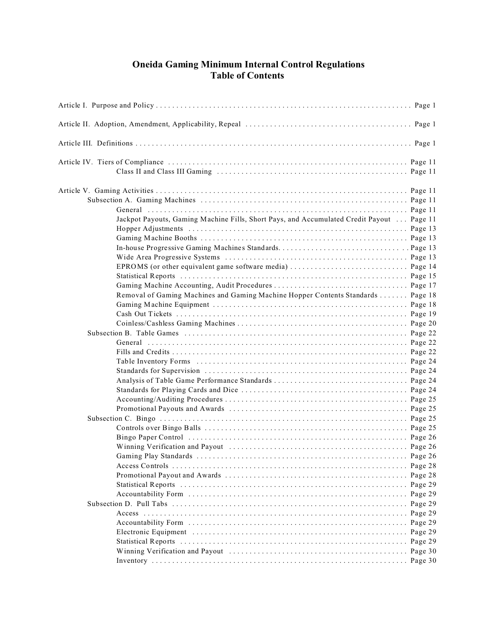### **Oneida Gaming Minimum Internal Control Regulations Table of Contents**

| Jackpot Payouts, Gaming Machine Fills, Short Pays, and Accumulated Credit Payout Page 11 |  |
|------------------------------------------------------------------------------------------|--|
|                                                                                          |  |
|                                                                                          |  |
|                                                                                          |  |
|                                                                                          |  |
|                                                                                          |  |
|                                                                                          |  |
|                                                                                          |  |
| Removal of Gaming Machines and Gaming Machine Hopper Contents Standards Page 18          |  |
|                                                                                          |  |
|                                                                                          |  |
|                                                                                          |  |
|                                                                                          |  |
|                                                                                          |  |
|                                                                                          |  |
|                                                                                          |  |
|                                                                                          |  |
|                                                                                          |  |
|                                                                                          |  |
|                                                                                          |  |
|                                                                                          |  |
|                                                                                          |  |
|                                                                                          |  |
|                                                                                          |  |
|                                                                                          |  |
|                                                                                          |  |
|                                                                                          |  |
|                                                                                          |  |
|                                                                                          |  |
|                                                                                          |  |
|                                                                                          |  |
|                                                                                          |  |
|                                                                                          |  |
|                                                                                          |  |
|                                                                                          |  |
|                                                                                          |  |
|                                                                                          |  |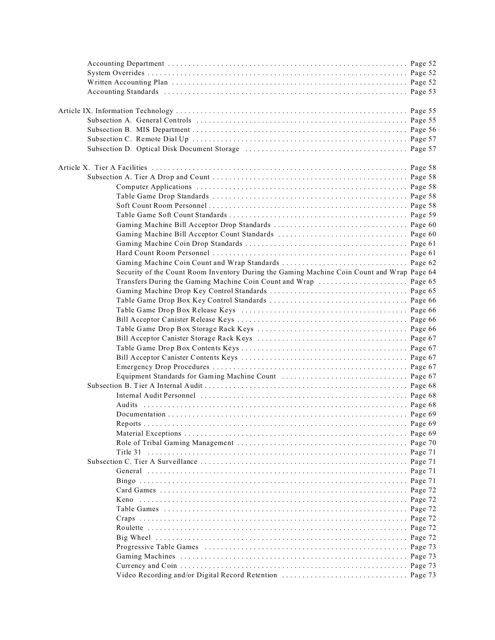| Security of the Count Room Inventory During the Gaming Machine Coin Count and Wrap Page 64 |  |
|--------------------------------------------------------------------------------------------|--|
|                                                                                            |  |
|                                                                                            |  |
|                                                                                            |  |
|                                                                                            |  |
|                                                                                            |  |
|                                                                                            |  |
|                                                                                            |  |
|                                                                                            |  |
|                                                                                            |  |
|                                                                                            |  |
|                                                                                            |  |
|                                                                                            |  |
|                                                                                            |  |
|                                                                                            |  |
|                                                                                            |  |
|                                                                                            |  |
|                                                                                            |  |
|                                                                                            |  |
|                                                                                            |  |
|                                                                                            |  |
|                                                                                            |  |
|                                                                                            |  |
|                                                                                            |  |
|                                                                                            |  |
|                                                                                            |  |
|                                                                                            |  |
|                                                                                            |  |
|                                                                                            |  |
|                                                                                            |  |
|                                                                                            |  |
|                                                                                            |  |
|                                                                                            |  |
|                                                                                            |  |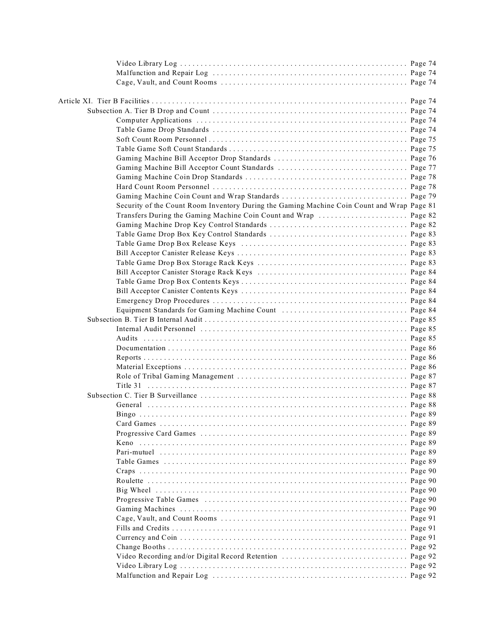| Security of the Count Room Inventory During the Gaming Machine Coin Count and Wrap Page 81 |  |
|--------------------------------------------------------------------------------------------|--|
| Transfers During the Gaming Machine Coin Count and Wrap  Page 82                           |  |
|                                                                                            |  |
|                                                                                            |  |
|                                                                                            |  |
|                                                                                            |  |
|                                                                                            |  |
|                                                                                            |  |
|                                                                                            |  |
|                                                                                            |  |
|                                                                                            |  |
|                                                                                            |  |
|                                                                                            |  |
|                                                                                            |  |
|                                                                                            |  |
|                                                                                            |  |
|                                                                                            |  |
|                                                                                            |  |
|                                                                                            |  |
|                                                                                            |  |
|                                                                                            |  |
|                                                                                            |  |
|                                                                                            |  |
|                                                                                            |  |
|                                                                                            |  |
|                                                                                            |  |
| Keno                                                                                       |  |
|                                                                                            |  |
|                                                                                            |  |
|                                                                                            |  |
|                                                                                            |  |
|                                                                                            |  |
|                                                                                            |  |
|                                                                                            |  |
|                                                                                            |  |
|                                                                                            |  |
|                                                                                            |  |
|                                                                                            |  |
|                                                                                            |  |
|                                                                                            |  |
|                                                                                            |  |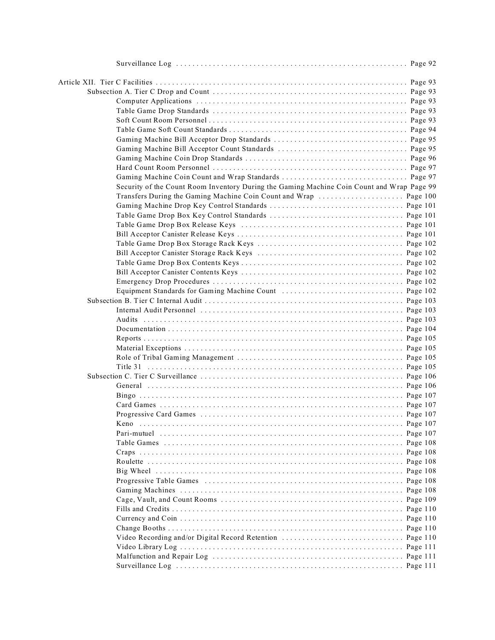| Security of the Count Room Inventory During the Gaming Machine Coin Count and Wrap Page 99 |  |
|--------------------------------------------------------------------------------------------|--|
| Transfers During the Gaming Machine Coin Count and Wrap  Page 100                          |  |
|                                                                                            |  |
|                                                                                            |  |
|                                                                                            |  |
|                                                                                            |  |
|                                                                                            |  |
|                                                                                            |  |
|                                                                                            |  |
|                                                                                            |  |
|                                                                                            |  |
|                                                                                            |  |
|                                                                                            |  |
|                                                                                            |  |
|                                                                                            |  |
|                                                                                            |  |
|                                                                                            |  |
|                                                                                            |  |
|                                                                                            |  |
|                                                                                            |  |
|                                                                                            |  |
|                                                                                            |  |
|                                                                                            |  |
|                                                                                            |  |
|                                                                                            |  |
|                                                                                            |  |
|                                                                                            |  |
|                                                                                            |  |
|                                                                                            |  |
|                                                                                            |  |
|                                                                                            |  |
|                                                                                            |  |
|                                                                                            |  |
|                                                                                            |  |
|                                                                                            |  |
|                                                                                            |  |
|                                                                                            |  |
|                                                                                            |  |
|                                                                                            |  |
|                                                                                            |  |
|                                                                                            |  |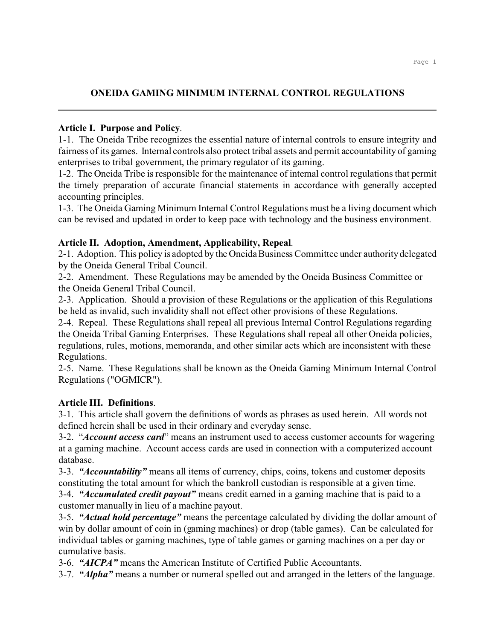# **ONEIDA GAMING MINIMUM INTERNAL CONTROL REGULATIONS**

## **Article I. Purpose and Policy**.

1-1. The Oneida Tribe recognizes the essential nature of internal controls to ensure integrity and fairness of its games. Internal controls also protect tribal assets and permit accountability of gaming enterprises to tribal government, the primary regulator of its gaming.

1-2. The Oneida Tribe is responsible for the maintenance of internal control regulations that permit the timely preparation of accurate financial statements in accordance with generally accepted accounting principles.

1-3. The Oneida Gaming Minimum Internal Control Regulations must be a living document which can be revised and updated in order to keep pace with technology and the business environment.

## **Article II. Adoption, Amendment, Applicability, Repeal**.

2-1. Adoption. This policy is adopted by the Oneida Business Committee under authority delegated by the Oneida General Tribal Council.

2-2. Amendment. These Regulations may be amended by the Oneida Business Committee or the Oneida General Tribal Council.

2-3. Application. Should a provision of these Regulations or the application of this Regulations be held as invalid, such invalidity shall not effect other provisions of these Regulations.

2-4. Repeal. These Regulations shall repeal all previous Internal Control Regulations regarding the Oneida Tribal Gaming Enterprises. These Regulations shall repeal all other Oneida policies, regulations, rules, motions, memoranda, and other similar acts which are inconsistent with these Regulations.

2-5. Name. These Regulations shall be known as the Oneida Gaming Minimum Internal Control Regulations ("OGMICR").

# **Article III. Definitions**.

3-1. This article shall govern the definitions of words as phrases as used herein. All words not defined herein shall be used in their ordinary and everyday sense.

3-2. "*Account access card*" means an instrument used to access customer accounts for wagering at a gaming machine. Account access cards are used in connection with a computerized account database.

3-3. *"Accountability"* means all items of currency, chips, coins, tokens and customer deposits constituting the total amount for which the bankroll custodian is responsible at a given time.

3-4. *"Accumulated credit payout"* means credit earned in a gaming machine that is paid to a customer manually in lieu of a machine payout.

3-5. *"Actual hold percentage"* means the percentage calculated by dividing the dollar amount of win by dollar amount of coin in (gaming machines) or drop (table games). Can be calculated for individual tables or gaming machines, type of table games or gaming machines on a per day or cumulative basis.

3-6. *"AICPA"* means the American Institute of Certified Public Accountants.

3-7. *"Alpha"* means a number or numeral spelled out and arranged in the letters of the language.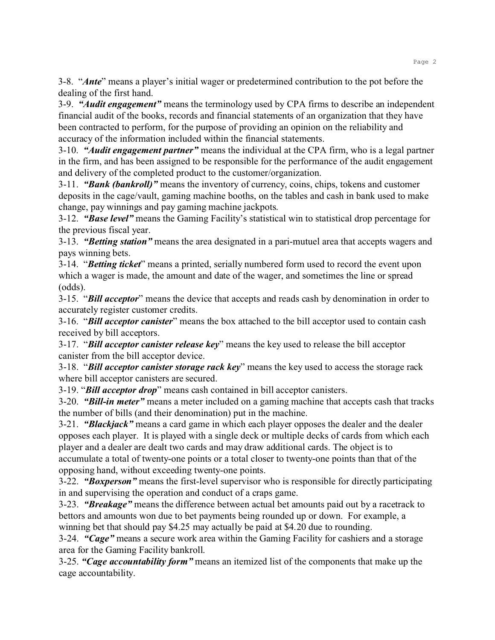3-8. "*Ante*" means a player's initial wager or predetermined contribution to the pot before the dealing of the first hand.

3-9. *"Audit engagement"* means the terminology used by CPA firms to describe an independent financial audit of the books, records and financial statements of an organization that they have been contracted to perform, for the purpose of providing an opinion on the reliability and accuracy of the information included within the financial statements.

3-10. *"Audit engagement partner"* means the individual at the CPA firm, who is a legal partner in the firm, and has been assigned to be responsible for the performance of the audit engagement and delivery of the completed product to the customer/organization.

3-11. *"Bank (bankroll)"* means the inventory of currency, coins, chips, tokens and customer deposits in the cage/vault, gaming machine booths, on the tables and cash in bank used to make change, pay winnings and pay gaming machine jackpots.

3-12. *"Base level"* means the Gaming Facility's statistical win to statistical drop percentage for the previous fiscal year.

3-13. *"Betting station"* means the area designated in a pari-mutuel area that accepts wagers and pays winning bets.

3-14. "*Betting ticket*" means a printed, serially numbered form used to record the event upon which a wager is made, the amount and date of the wager, and sometimes the line or spread (odds).

3-15. "*Bill acceptor*" means the device that accepts and reads cash by denomination in order to accurately register customer credits.

3-16. "*Bill acceptor canister*" means the box attached to the bill acceptor used to contain cash received by bill acceptors.

3-17. "*Bill acceptor canister release key*" means the key used to release the bill acceptor canister from the bill acceptor device.

3-18. "*Bill acceptor canister storage rack key*" means the key used to access the storage rack where bill acceptor canisters are secured.

3-19. "*Bill acceptor drop*" means cash contained in bill acceptor canisters.

3-20. *"Bill-in meter"* means a meter included on a gaming machine that accepts cash that tracks the number of bills (and their denomination) put in the machine.

3-21. *"Blackjack"* means a card game in which each player opposes the dealer and the dealer opposes each player. It is played with a single deck or multiple decks of cards from which each player and a dealer are dealt two cards and may draw additional cards. The object is to accumulate a total of twenty-one points or a total closer to twenty-one points than that of the opposing hand, without exceeding twenty-one points.

3-22. *"Boxperson"* means the first-level supervisor who is responsible for directly participating in and supervising the operation and conduct of a craps game.

3-23. *"Breakage"* means the difference between actual bet amounts paid out by a racetrack to bettors and amounts won due to bet payments being rounded up or down. For example, a winning bet that should pay \$4.25 may actually be paid at \$4.20 due to rounding.

3-24. *"Cage"* means a secure work area within the Gaming Facility for cashiers and a storage area for the Gaming Facility bankroll.

3-25. *"Cage accountability form"* means an itemized list of the components that make up the cage accountability.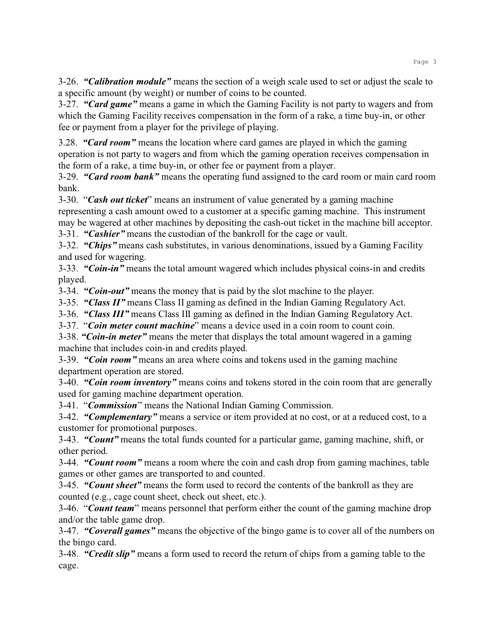3-26. *"Calibration module"* means the section of a weigh scale used to set or adjust the scale to a specific amount (by weight) or number of coins to be counted.

3-27. *"Card game"* means a game in which the Gaming Facility is not party to wagers and from which the Gaming Facility receives compensation in the form of a rake, a time buy-in, or other fee or payment from a player for the privilege of playing.

3.28. *"Card room"* means the location where card games are played in which the gaming operation is not party to wagers and from which the gaming operation receives compensation in the form of a rake, a time buy-in, or other fee or payment from a player.

3-29. *"Card room bank"* means the operating fund assigned to the card room or main card room bank.

3-30. "*Cash out ticket*" means an instrument of value generated by a gaming machine representing a cash amount owed to a customer at a specific gaming machine. This instrument may be wagered at other machines by depositing the cash-out ticket in the machine bill acceptor.

3-31. *"Cashier"* means the custodian of the bankroll for the cage or vault.

3-32. *"Chips"* means cash substitutes, in various denominations, issued by a Gaming Facility and used for wagering.

3-33. *"Coin-in"* means the total amount wagered which includes physical coins-in and credits played.

3-34. *"Coin-out"* means the money that is paid by the slot machine to the player.

3-35. *"Class II"* means Class II gaming as defined in the Indian Gaming Regulatory Act.

3-36. *"Class III"* means Class III gaming as defined in the Indian Gaming Regulatory Act.

3-37. "*Coin meter count machine*" means a device used in a coin room to count coin.

3-38. *"Coin-in meter"* means the meter that displays the total amount wagered in a gaming machine that includes coin-in and credits played.

3-39. *"Coin room"* means an area where coins and tokens used in the gaming machine department operation are stored.

3-40. *"Coin room inventory"* means coins and tokens stored in the coin room that are generally used for gaming machine department operation.

3-41. "*Commission*" means the National Indian Gaming Commission.

3-42. *"Complementary"* means a service or item provided at no cost, or at a reduced cost, to a customer for promotional purposes.

3-43. *"Count"* means the total funds counted for a particular game, gaming machine, shift, or other period.

3-44. *"Count room"* means a room where the coin and cash drop from gaming machines, table games or other games are transported to and counted.

3-45. *"Count sheet"* means the form used to record the contents of the bankroll as they are counted (e.g., cage count sheet, check out sheet, etc.).

3-46. "*Count team*" means personnel that perform either the count of the gaming machine drop and/or the table game drop.

3-47. *"Coverall games"* means the objective of the bingo game is to cover all of the numbers on the bingo card.

3-48. *"Credit slip"* means a form used to record the return of chips from a gaming table to the cage.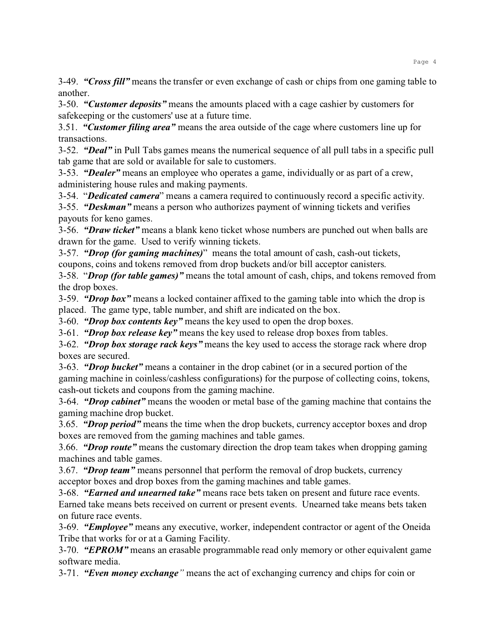3-49. *"Cross fill"* means the transfer or even exchange of cash or chips from one gaming table to another.

3-50. *"Customer deposits"* means the amounts placed with a cage cashier by customers for safekeeping or the customers' use at a future time.

3.51. *"Customer filing area"* means the area outside of the cage where customers line up for transactions.

3-52. *"Deal"* in Pull Tabs games means the numerical sequence of all pull tabs in a specific pull tab game that are sold or available for sale to customers.

3-53. *"Dealer"* means an employee who operates a game, individually or as part of a crew, administering house rules and making payments.

3-54. "*Dedicated camera*" means a camera required to continuously record a specific activity.

3-55. *"Deskman"* means a person who authorizes payment of winning tickets and verifies payouts for keno games.

3-56. *"Draw ticket"* means a blank keno ticket whose numbers are punched out when balls are drawn for the game. Used to verify winning tickets.

3-57. *"Drop (for gaming machines)*" means the total amount of cash, cash-out tickets, coupons, coins and tokens removed from drop buckets and/or bill acceptor canisters.

3-58. "*Drop (for table games)"* means the total amount of cash, chips, and tokens removed from the drop boxes.

3-59. *"Drop box"* means a locked container affixed to the gaming table into which the drop is placed. The game type, table number, and shift are indicated on the box.

3-60. *"Drop box contents key"* means the key used to open the drop boxes.

3-61. *"Drop box release key"* means the key used to release drop boxes from tables.

3-62. *"Drop box storage rack keys"* means the key used to access the storage rack where drop boxes are secured.

3-63. *"Drop bucket"* means a container in the drop cabinet (or in a secured portion of the gaming machine in coinless/cashless configurations) for the purpose of collecting coins, tokens, cash-out tickets and coupons from the gaming machine.

3-64. *"Drop cabinet"* means the wooden or metal base of the gaming machine that contains the gaming machine drop bucket.

3.65. *"Drop period"* means the time when the drop buckets, currency acceptor boxes and drop boxes are removed from the gaming machines and table games.

3.66. *"Drop route"* means the customary direction the drop team takes when dropping gaming machines and table games.

3.67. *"Drop team"* means personnel that perform the removal of drop buckets, currency acceptor boxes and drop boxes from the gaming machines and table games.

3-68. *"Earned and unearned take"* means race bets taken on present and future race events.

Earned take means bets received on current or present events. Unearned take means bets taken on future race events.

3-69. *"Employee"* means any executive, worker, independent contractor or agent of the Oneida Tribe that works for or at a Gaming Facility.

3-70. *"EPROM"* means an erasable programmable read only memory or other equivalent game software media.

3-71. *"Even money exchange"* means the act of exchanging currency and chips for coin or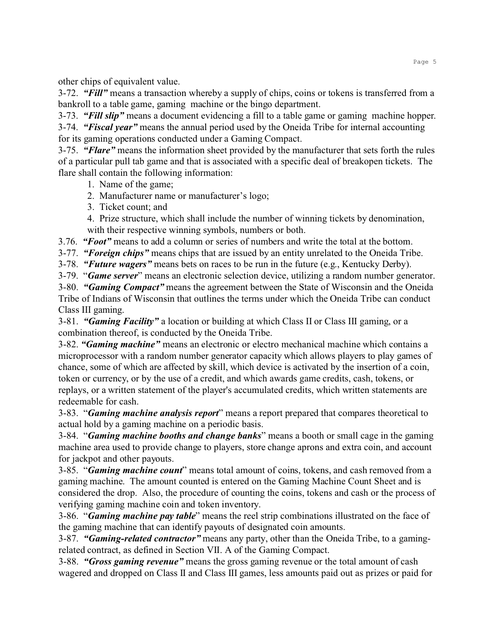other chips of equivalent value.

3-72. *"Fill"* means a transaction whereby a supply of chips, coins or tokens is transferred from a bankroll to a table game, gaming machine or the bingo department.

3-73. *"Fill slip"* means a document evidencing a fill to a table game or gaming machine hopper.

3-74. *"Fiscal year"* means the annual period used by the Oneida Tribe for internal accounting for its gaming operations conducted under a Gaming Compact.

3-75. *"Flare"* means the information sheet provided by the manufacturer that sets forth the rules of a particular pull tab game and that is associated with a specific deal of breakopen tickets. The flare shall contain the following information:

- 1. Name of the game;
- 2. Manufacturer name or manufacturer's logo;
- 3. Ticket count; and

4. Prize structure, which shall include the number of winning tickets by denomination, with their respective winning symbols, numbers or both.

3.76. *"Foot"* means to add a column or series of numbers and write the total at the bottom.

3-77. *"Foreign chips"* means chips that are issued by an entity unrelated to the Oneida Tribe.

3-78. *"Future wagers"* means bets on races to be run in the future (e.g., Kentucky Derby).

3-79. "*Game server*" means an electronic selection device, utilizing a random number generator.

3-80. *"Gaming Compact"* means the agreement between the State of Wisconsin and the Oneida Tribe of Indians of Wisconsin that outlines the terms under which the Oneida Tribe can conduct Class III gaming.

3-81. *"Gaming Facility"* a location or building at which Class II or Class III gaming, or a combination thereof, is conducted by the Oneida Tribe.

3-82. *"Gaming machine"* means an electronic or electro mechanical machine which contains a microprocessor with a random number generator capacity which allows players to play games of chance, some of which are affected by skill, which device is activated by the insertion of a coin, token or currency, or by the use of a credit, and which awards game credits, cash, tokens, or replays, or a written statement of the player's accumulated credits, which written statements are redeemable for cash.

3-83. "*Gaming machine analysis report*" means a report prepared that compares theoretical to actual hold by a gaming machine on a periodic basis.

3-84. "*Gaming machine booths and change banks*" means a booth or small cage in the gaming machine area used to provide change to players, store change aprons and extra coin, and account for jackpot and other payouts.

3-85. "*Gaming machine count*" means total amount of coins, tokens, and cash removed from a gaming machine. The amount counted is entered on the Gaming Machine Count Sheet and is considered the drop. Also, the procedure of counting the coins, tokens and cash or the process of verifying gaming machine coin and token inventory.

3-86. "*Gaming machine pay table*" means the reel strip combinations illustrated on the face of the gaming machine that can identify payouts of designated coin amounts.

3-87. *"Gaming-related contractor"* means any party, other than the Oneida Tribe, to a gamingrelated contract, as defined in Section VII. A of the Gaming Compact.

3-88. *"Gross gaming revenue"* means the gross gaming revenue or the total amount of cash wagered and dropped on Class II and Class III games, less amounts paid out as prizes or paid for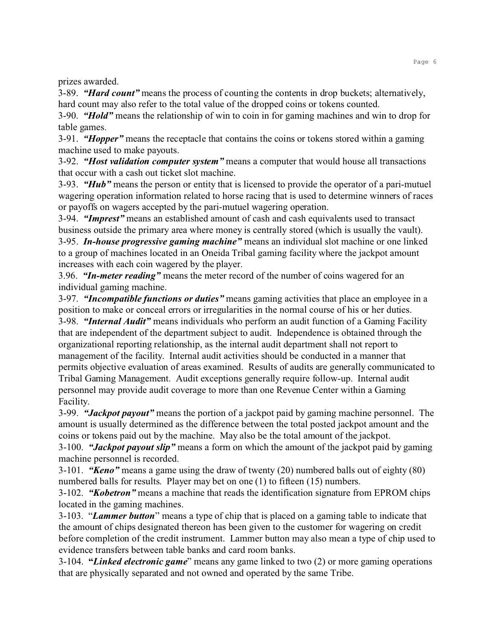prizes awarded.

3-89. *"Hard count"* means the process of counting the contents in drop buckets; alternatively, hard count may also refer to the total value of the dropped coins or tokens counted.

3-90. *"Hold"* means the relationship of win to coin in for gaming machines and win to drop for table games.

3-91. *"Hopper"* means the receptacle that contains the coins or tokens stored within a gaming machine used to make payouts.

3-92. *"Host validation computer system"* means a computer that would house all transactions that occur with a cash out ticket slot machine.

3-93. *"Hub"* means the person or entity that is licensed to provide the operator of a pari-mutuel wagering operation information related to horse racing that is used to determine winners of races or payoffs on wagers accepted by the pari-mutuel wagering operation.

3-94. *"Imprest"* means an established amount of cash and cash equivalents used to transact business outside the primary area where money is centrally stored (which is usually the vault). 3-95. *In-house progressive gaming machine"* means an individual slot machine or one linked to a group of machines located in an Oneida Tribal gaming facility where the jackpot amount increases with each coin wagered by the player.

3.96. *"In-meter reading"* means the meter record of the number of coins wagered for an individual gaming machine.

3-97. *"Incompatible functions or duties"* means gaming activities that place an employee in a position to make or conceal errors or irregularities in the normal course of his or her duties. 3-98. *"Internal Audit"* means individuals who perform an audit function of a Gaming Facility that are independent of the department subject to audit. Independence is obtained through the organizational reporting relationship, as the internal audit department shall not report to management of the facility. Internal audit activities should be conducted in a manner that permits objective evaluation of areas examined. Results of audits are generally communicated to Tribal Gaming Management. Audit exceptions generally require follow-up. Internal audit personnel may provide audit coverage to more than one Revenue Center within a Gaming Facility.

3-99. *"Jackpot payout"* means the portion of a jackpot paid by gaming machine personnel. The amount is usually determined as the difference between the total posted jackpot amount and the coins or tokens paid out by the machine. May also be the total amount of the jackpot.

3-100. *"Jackpot payout slip"* means a form on which the amount of the jackpot paid by gaming machine personnel is recorded.

3-101. *"Keno"* means a game using the draw of twenty (20) numbered balls out of eighty (80) numbered balls for results. Player may bet on one (1) to fifteen (15) numbers.

3-102. *"Kobetron"* means a machine that reads the identification signature from EPROM chips located in the gaming machines.

3-103. "*Lammer button*" means a type of chip that is placed on a gaming table to indicate that the amount of chips designated thereon has been given to the customer for wagering on credit before completion of the credit instrument. Lammer button may also mean a type of chip used to evidence transfers between table banks and card room banks.

3-104. **"***Linked electronic game*" means any game linked to two (2) or more gaming operations that are physically separated and not owned and operated by the same Tribe.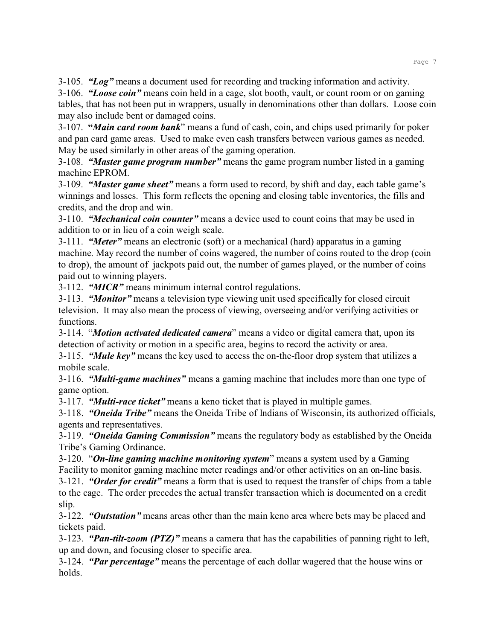3-105. *"Log"* means a document used for recording and tracking information and activity.

3-106. *"Loose coin"* means coin held in a cage, slot booth, vault, or count room or on gaming tables, that has not been put in wrappers, usually in denominations other than dollars. Loose coin may also include bent or damaged coins.

3-107. **"***Main card room bank*" means a fund of cash, coin, and chips used primarily for poker and pan card game areas. Used to make even cash transfers between various games as needed. May be used similarly in other areas of the gaming operation.

3-108. *"Master game program number"* means the game program number listed in a gaming machine EPROM.

3-109. *"Master game sheet"* means a form used to record, by shift and day, each table game's winnings and losses. This form reflects the opening and closing table inventories, the fills and credits, and the drop and win.

3-110. *"Mechanical coin counter"* means a device used to count coins that may be used in addition to or in lieu of a coin weigh scale.

3-111. *"Meter"* means an electronic (soft) or a mechanical (hard) apparatus in a gaming machine. May record the number of coins wagered, the number of coins routed to the drop (coin to drop), the amount of jackpots paid out, the number of games played, or the number of coins paid out to winning players.

3-112. *"MICR"* means minimum internal control regulations.

3-113. *"Monitor"* means a television type viewing unit used specifically for closed circuit television. It may also mean the process of viewing, overseeing and/or verifying activities or functions.

3-114. "*Motion activated dedicated camera*" means a video or digital camera that, upon its detection of activity or motion in a specific area, begins to record the activity or area.

3-115. *"Mule key"* means the key used to access the on-the-floor drop system that utilizes a mobile scale.

3-116. *"Multi-game machines"* means a gaming machine that includes more than one type of game option.

3-117. *"Multi-race ticket"* means a keno ticket that is played in multiple games.

3-118. *"Oneida Tribe"* means the Oneida Tribe of Indians of Wisconsin, its authorized officials, agents and representatives.

3-119. *"Oneida Gaming Commission"* means the regulatory body as established by the Oneida Tribe's Gaming Ordinance.

3-120. "*On-line gaming machine monitoring system*" means a system used by a Gaming Facility to monitor gaming machine meter readings and/or other activities on an on-line basis.

3-121. *"Order for credit"* means a form that is used to request the transfer of chips from a table to the cage. The order precedes the actual transfer transaction which is documented on a credit slip.

3-122. *"Outstation"* means areas other than the main keno area where bets may be placed and tickets paid.

3-123. *"Pan-tilt-zoom (PTZ)"* means a camera that has the capabilities of panning right to left, up and down, and focusing closer to specific area.

3-124. *"Par percentage"* means the percentage of each dollar wagered that the house wins or holds.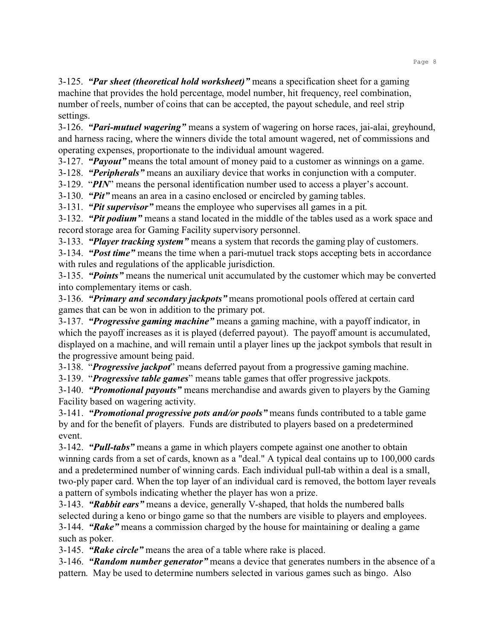3-125. *"Par sheet (theoretical hold worksheet)"* means a specification sheet for a gaming machine that provides the hold percentage, model number, hit frequency, reel combination, number of reels, number of coins that can be accepted, the payout schedule, and reel strip settings.

3-126. *"Pari-mutuel wagering"* means a system of wagering on horse races, jai-alai, greyhound, and harness racing, where the winners divide the total amount wagered, net of commissions and operating expenses, proportionate to the individual amount wagered.

3-127. *"Payout"* means the total amount of money paid to a customer as winnings on a game.

3-128. *"Peripherals"* means an auxiliary device that works in conjunction with a computer.

3-129. "*PIN*" means the personal identification number used to access a player's account.

3-130. *"Pit"* means an area in a casino enclosed or encircled by gaming tables.

3-131. *"Pit supervisor"* means the employee who supervises all games in a pit.

3-132. *"Pit podium"* means a stand located in the middle of the tables used as a work space and record storage area for Gaming Facility supervisory personnel.

3-133. *"Player tracking system"* means a system that records the gaming play of customers.

3-134. *"Post time"* means the time when a pari-mutuel track stops accepting bets in accordance with rules and regulations of the applicable jurisdiction.

3-135. *"Points"* means the numerical unit accumulated by the customer which may be converted into complementary items or cash.

3-136. *"Primary and secondary jackpots"* means promotional pools offered at certain card games that can be won in addition to the primary pot.

3-137. *"Progressive gaming machine"* means a gaming machine, with a payoff indicator, in which the payoff increases as it is played (deferred payout). The payoff amount is accumulated, displayed on a machine, and will remain until a player lines up the jackpot symbols that result in the progressive amount being paid.

3-138. "*Progressive jackpot*" means deferred payout from a progressive gaming machine.

3-139. "*Progressive table games*" means table games that offer progressive jackpots.

3-140. *"Promotional payouts"* means merchandise and awards given to players by the Gaming Facility based on wagering activity.

3-141. *"Promotional progressive pots and/or pools"* means funds contributed to a table game by and for the benefit of players. Funds are distributed to players based on a predetermined event.

3-142. *"Pull-tabs"* means a game in which players compete against one another to obtain winning cards from a set of cards, known as a "deal." A typical deal contains up to 100,000 cards and a predetermined number of winning cards. Each individual pull-tab within a deal is a small, two-ply paper card. When the top layer of an individual card is removed, the bottom layer reveals a pattern of symbols indicating whether the player has won a prize.

3-143. *"Rabbit ears"* means a device, generally V-shaped, that holds the numbered balls selected during a keno or bingo game so that the numbers are visible to players and employees. 3-144. *"Rake"* means a commission charged by the house for maintaining or dealing a game such as poker.

3-145. *"Rake circle"* means the area of a table where rake is placed.

3-146. *"Random number generator"* means a device that generates numbers in the absence of a pattern. May be used to determine numbers selected in various games such as bingo. Also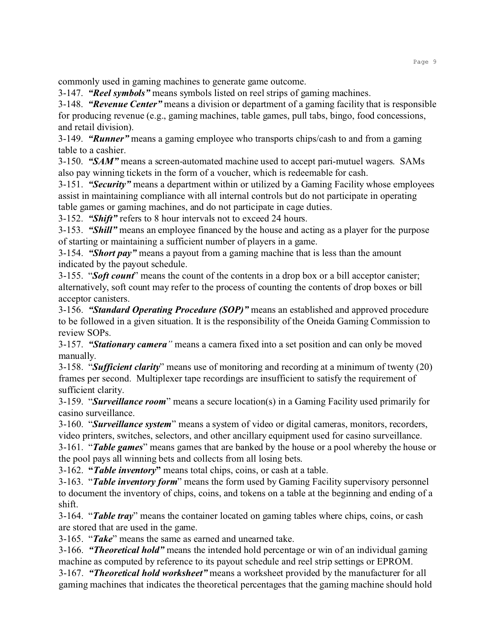commonly used in gaming machines to generate game outcome.

3-147. *"Reel symbols"* means symbols listed on reel strips of gaming machines.

3-148. *"Revenue Center"* means a division or department of a gaming facility that is responsible for producing revenue (e.g., gaming machines, table games, pull tabs, bingo, food concessions, and retail division).

3-149. *"Runner"* means a gaming employee who transports chips/cash to and from a gaming table to a cashier.

3-150. *"SAM"* means a screen-automated machine used to accept pari-mutuel wagers. SAMs also pay winning tickets in the form of a voucher, which is redeemable for cash.

3-151. *"Security"* means a department within or utilized by a Gaming Facility whose employees assist in maintaining compliance with all internal controls but do not participate in operating table games or gaming machines, and do not participate in cage duties.

3-152. *"Shift"* refers to 8 hour intervals not to exceed 24 hours.

3-153. *"Shill"* means an employee financed by the house and acting as a player for the purpose of starting or maintaining a sufficient number of players in a game.

3-154. *"Short pay"* means a payout from a gaming machine that is less than the amount indicated by the payout schedule.

3-155. "*Soft count*" means the count of the contents in a drop box or a bill acceptor canister; alternatively, soft count may refer to the process of counting the contents of drop boxes or bill acceptor canisters.

3-156. *"Standard Operating Procedure (SOP)"* means an established and approved procedure to be followed in a given situation. It is the responsibility of the Oneida Gaming Commission to review SOPs.

3-157. *"Stationary camera"* means a camera fixed into a set position and can only be moved manually.

3-158. "*Sufficient clarity*" means use of monitoring and recording at a minimum of twenty (20) frames per second. Multiplexer tape recordings are insufficient to satisfy the requirement of sufficient clarity.

3-159. "*Surveillance room*" means a secure location(s) in a Gaming Facility used primarily for casino surveillance.

3-160. "*Surveillance system*" means a system of video or digital cameras, monitors, recorders, video printers, switches, selectors, and other ancillary equipment used for casino surveillance.

3-161. "*Table games*" means games that are banked by the house or a pool whereby the house or the pool pays all winning bets and collects from all losing bets.

3-162. **"***Table inventory***"** means total chips, coins, or cash at a table.

3-163. "*Table inventory form*" means the form used by Gaming Facility supervisory personnel to document the inventory of chips, coins, and tokens on a table at the beginning and ending of a shift.

3-164. "*Table tray*" means the container located on gaming tables where chips, coins, or cash are stored that are used in the game.

3-165. "*Take*" means the same as earned and unearned take.

3-166. *"Theoretical hold"* means the intended hold percentage or win of an individual gaming machine as computed by reference to its payout schedule and reel strip settings or EPROM.

3-167. *"Theoretical hold worksheet"* means a worksheet provided by the manufacturer for all gaming machines that indicates the theoretical percentages that the gaming machine should hold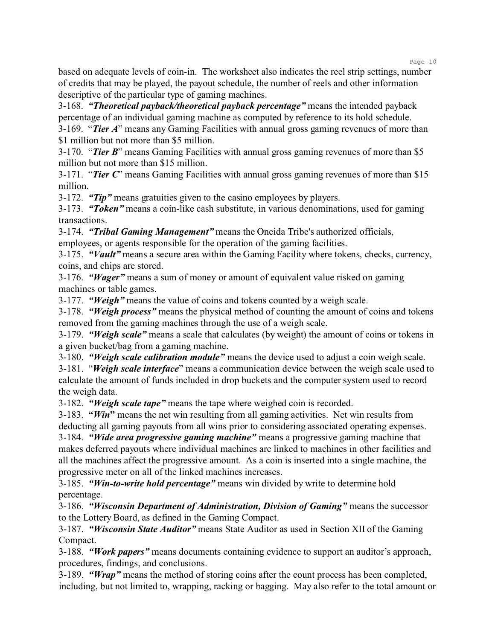based on adequate levels of coin-in. The worksheet also indicates the reel strip settings, number of credits that may be played, the payout schedule, the number of reels and other information descriptive of the particular type of gaming machines.

3-168. *"Theoretical payback/theoretical payback percentage"* means the intended payback percentage of an individual gaming machine as computed by reference to its hold schedule. 3-169. "*Tier A*" means any Gaming Facilities with annual gross gaming revenues of more than

\$1 million but not more than \$5 million.

3-170. "*Tier B*" means Gaming Facilities with annual gross gaming revenues of more than \$5 million but not more than \$15 million.

3-171. "*Tier C*" means Gaming Facilities with annual gross gaming revenues of more than \$15 million.

3-172. *"Tip"* means gratuities given to the casino employees by players.

3-173. *"Token"* means a coin-like cash substitute, in various denominations, used for gaming transactions.

3-174. *"Tribal Gaming Management"* means the Oneida Tribe's authorized officials, employees, or agents responsible for the operation of the gaming facilities.

3-175. *"Vault"* means a secure area within the Gaming Facility where tokens, checks, currency, coins, and chips are stored.

3-176. *"Wager"* means a sum of money or amount of equivalent value risked on gaming machines or table games.

3-177. *"Weigh"* means the value of coins and tokens counted by a weigh scale.

3-178. *"Weigh process"* means the physical method of counting the amount of coins and tokens removed from the gaming machines through the use of a weigh scale.

3-179. *"Weigh scale"* means a scale that calculates (by weight) the amount of coins or tokens in a given bucket/bag from a gaming machine.

3-180. *"Weigh scale calibration module"* means the device used to adjust a coin weigh scale.

3-181. "*Weigh scale interface*" means a communication device between the weigh scale used to calculate the amount of funds included in drop buckets and the computer system used to record the weigh data.

3-182. *"Weigh scale tape"* means the tape where weighed coin is recorded.

3-183. **"***Win***"** means the net win resulting from all gaming activities. Net win results from deducting all gaming payouts from all wins prior to considering associated operating expenses. 3-184. *"Wide area progressive gaming machine"* means a progressive gaming machine that makes deferred payouts where individual machines are linked to machines in other facilities and all the machines affect the progressive amount. As a coin is inserted into a single machine, the progressive meter on all of the linked machines increases.

3-185. *"Win-to-write hold percentage"* means win divided by write to determine hold percentage.

3-186. *"Wisconsin Department of Administration, Division of Gaming"* means the successor to the Lottery Board, as defined in the Gaming Compact.

3-187. *"Wisconsin State Auditor"* means State Auditor as used in Section XII of the Gaming Compact.

3-188. *"Work papers"* means documents containing evidence to support an auditor's approach, procedures, findings, and conclusions.

3-189. *"Wrap"* means the method of storing coins after the count process has been completed, including, but not limited to, wrapping, racking or bagging. May also refer to the total amount or

Page 10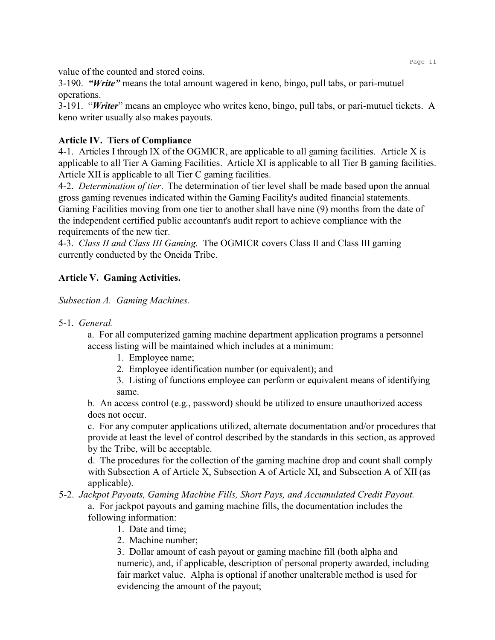value of the counted and stored coins.

3-190. *"Write"* means the total amount wagered in keno, bingo, pull tabs, or pari-mutuel operations.

3-191. "*Writer*" means an employee who writes keno, bingo, pull tabs, or pari-mutuel tickets. A keno writer usually also makes payouts.

# **Article IV. Tiers of Compliance**

4-1. Articles I through IX of the OGMICR, are applicable to all gaming facilities. Article X is applicable to all Tier A Gaming Facilities. Article XI is applicable to all Tier B gaming facilities. Article XII is applicable to all Tier C gaming facilities.

4-2. *Determination of tier*.The determination of tier level shall be made based upon the annual gross gaming revenues indicated within the Gaming Facility's audited financial statements. Gaming Facilities moving from one tier to another shall have nine (9) months from the date of the independent certified public accountant's audit report to achieve compliance with the requirements of the new tier.

4-3. *Class II and Class III Gaming.* The OGMICR covers Class II and Class III gaming currently conducted by the Oneida Tribe.

# **Article V. Gaming Activities.**

*Subsection A. Gaming Machines.*

5-1. *General.*

a. For all computerized gaming machine department application programs a personnel access listing will be maintained which includes at a minimum:

- 1. Employee name;
- 2. Employee identification number (or equivalent); and
- 3. Listing of functions employee can perform or equivalent means of identifying same.

b. An access control (e.g., password) should be utilized to ensure unauthorized access does not occur.

c. For any computer applications utilized, alternate documentation and/or procedures that provide at least the level of control described by the standards in this section, as approved by the Tribe, will be acceptable.

d. The procedures for the collection of the gaming machine drop and count shall comply with Subsection A of Article X, Subsection A of Article XI, and Subsection A of XII (as applicable).

- 5-2. *Jackpot Payouts, Gaming Machine Fills, Short Pays, and Accumulated Credit Payout.*  a. For jackpot payouts and gaming machine fills, the documentation includes the following information:
	- 1. Date and time;
	- 2. Machine number;

3. Dollar amount of cash payout or gaming machine fill (both alpha and numeric), and, if applicable, description of personal property awarded, including fair market value. Alpha is optional if another unalterable method is used for evidencing the amount of the payout;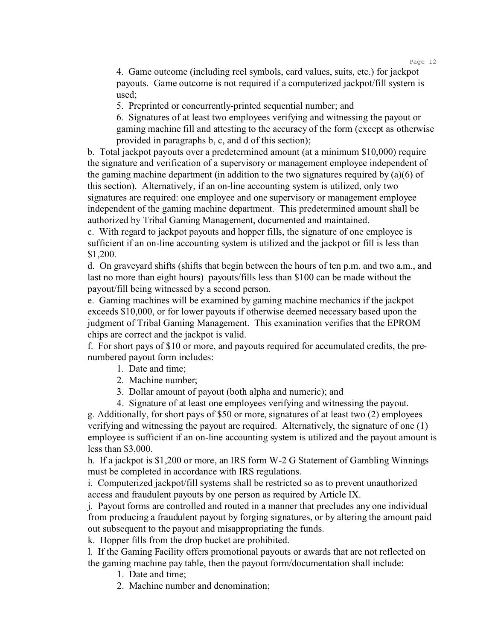Page 12

4. Game outcome (including reel symbols, card values, suits, etc.) for jackpot payouts. Game outcome is not required if a computerized jackpot/fill system is used;

5. Preprinted or concurrently-printed sequential number; and

6. Signatures of at least two employees verifying and witnessing the payout or gaming machine fill and attesting to the accuracy of the form (except as otherwise provided in paragraphs b, c, and d of this section);

b. Total jackpot payouts over a predetermined amount (at a minimum \$10,000) require the signature and verification of a supervisory or management employee independent of the gaming machine department (in addition to the two signatures required by (a)(6) of this section). Alternatively, if an on-line accounting system is utilized, only two signatures are required: one employee and one supervisory or management employee independent of the gaming machine department. This predetermined amount shall be authorized by Tribal Gaming Management, documented and maintained.

c. With regard to jackpot payouts and hopper fills, the signature of one employee is sufficient if an on-line accounting system is utilized and the jackpot or fill is less than \$1,200.

d. On graveyard shifts (shifts that begin between the hours of ten p.m. and two a.m., and last no more than eight hours) payouts/fills less than \$100 can be made without the payout/fill being witnessed by a second person.

e. Gaming machines will be examined by gaming machine mechanics if the jackpot exceeds \$10,000, or for lower payouts if otherwise deemed necessary based upon the judgment of Tribal Gaming Management. This examination verifies that the EPROM chips are correct and the jackpot is valid.

f. For short pays of \$10 or more, and payouts required for accumulated credits, the prenumbered payout form includes:

- 1. Date and time;
- 2. Machine number;
- 3. Dollar amount of payout (both alpha and numeric); and
- 4. Signature of at least one employees verifying and witnessing the payout.

g. Additionally, for short pays of \$50 or more, signatures of at least two (2) employees verifying and witnessing the payout are required. Alternatively, the signature of one (1) employee is sufficient if an on-line accounting system is utilized and the payout amount is less than \$3,000.

h. If a jackpot is \$1,200 or more, an IRS form W-2 G Statement of Gambling Winnings must be completed in accordance with IRS regulations.

i. Computerized jackpot/fill systems shall be restricted so as to prevent unauthorized access and fraudulent payouts by one person as required by Article IX.

j. Payout forms are controlled and routed in a manner that precludes any one individual from producing a fraudulent payout by forging signatures, or by altering the amount paid out subsequent to the payout and misappropriating the funds.

k. Hopper fills from the drop bucket are prohibited.

l. If the Gaming Facility offers promotional payouts or awards that are not reflected on the gaming machine pay table, then the payout form/documentation shall include:

- 1. Date and time;
- 2. Machine number and denomination;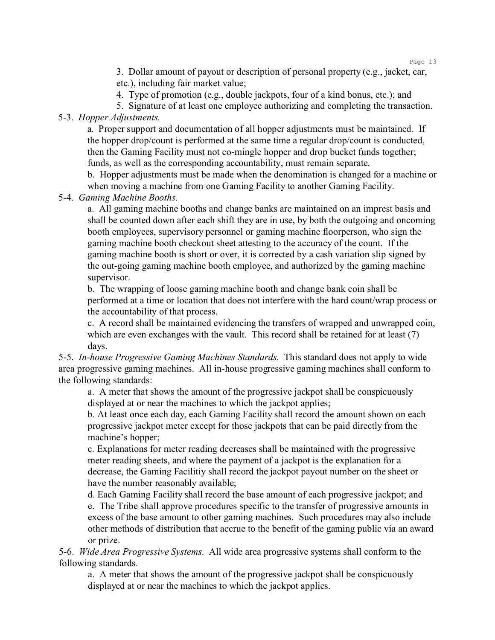Page 13

3. Dollar amount of payout or description of personal property (e.g., jacket, car, etc.), including fair market value;

4. Type of promotion (e.g., double jackpots, four of a kind bonus, etc.); and

5. Signature of at least one employee authorizing and completing the transaction.

5-3. *Hopper Adjustments.*

a. Proper support and documentation of all hopper adjustments must be maintained. If the hopper drop/count is performed at the same time a regular drop/count is conducted, then the Gaming Facility must not co-mingle hopper and drop bucket funds together; funds, as well as the corresponding accountability, must remain separate.

b. Hopper adjustments must be made when the denomination is changed for a machine or when moving a machine from one Gaming Facility to another Gaming Facility.

5-4. *Gaming Machine Booths.*

a. All gaming machine booths and change banks are maintained on an imprest basis and shall be counted down after each shift they are in use, by both the outgoing and oncoming booth employees, supervisory personnel or gaming machine floorperson, who sign the gaming machine booth checkout sheet attesting to the accuracy of the count. If the gaming machine booth is short or over, it is corrected by a cash variation slip signed by the out-going gaming machine booth employee, and authorized by the gaming machine supervisor.

b. The wrapping of loose gaming machine booth and change bank coin shall be performed at a time or location that does not interfere with the hard count/wrap process or the accountability of that process.

c. A record shall be maintained evidencing the transfers of wrapped and unwrapped coin, which are even exchanges with the vault. This record shall be retained for at least (7) days.

5-5. *In-house Progressive Gaming Machines Standards.* This standard does not apply to wide area progressive gaming machines. All in-house progressive gaming machines shall conform to the following standards:

a. A meter that shows the amount of the progressive jackpot shall be conspicuously displayed at or near the machines to which the jackpot applies;

b. At least once each day, each Gaming Facility shall record the amount shown on each progressive jackpot meter except for those jackpots that can be paid directly from the machine's hopper;

c. Explanations for meter reading decreases shall be maintained with the progressive meter reading sheets, and where the payment of a jackpot is the explanation for a decrease, the Gaming Facilitiy shall record the jackpot payout number on the sheet or have the number reasonably available;

d. Each Gaming Facility shall record the base amount of each progressive jackpot; and e. The Tribe shall approve procedures specific to the transfer of progressive amounts in excess of the base amount to other gaming machines. Such procedures may also include other methods of distribution that accrue to the benefit of the gaming public via an award or prize.

5-6. *Wide Area Progressive Systems.* All wide area progressive systems shall conform to the following standards.

a. A meter that shows the amount of the progressive jackpot shall be conspicuously displayed at or near the machines to which the jackpot applies.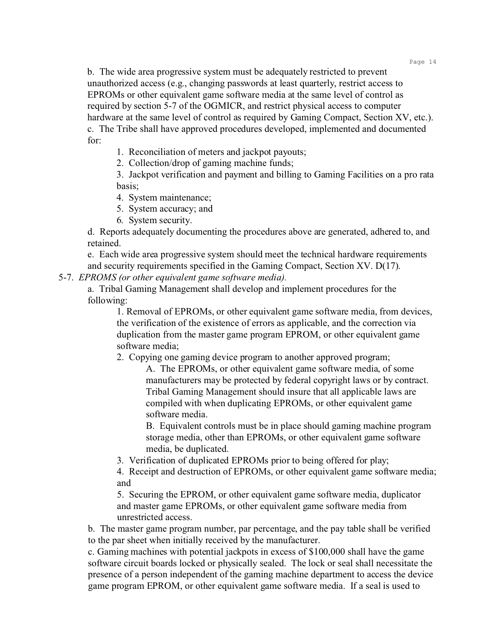b. The wide area progressive system must be adequately restricted to prevent unauthorized access (e.g., changing passwords at least quarterly, restrict access to EPROMs or other equivalent game software media at the same level of control as required by section 5-7 of the OGMICR, and restrict physical access to computer hardware at the same level of control as required by Gaming Compact, Section XV, etc.). c. The Tribe shall have approved procedures developed, implemented and documented for:

1. Reconciliation of meters and jackpot payouts;

2. Collection/drop of gaming machine funds;

3. Jackpot verification and payment and billing to Gaming Facilities on a pro rata basis;

- 4. System maintenance;
- 5. System accuracy; and
- 6. System security.

d. Reports adequately documenting the procedures above are generated, adhered to, and retained.

e. Each wide area progressive system should meet the technical hardware requirements and security requirements specified in the Gaming Compact, Section XV. D(17).

5-7. *EPROMS (or other equivalent game software media).*

a. Tribal Gaming Management shall develop and implement procedures for the following:

1. Removal of EPROMs, or other equivalent game software media, from devices, the verification of the existence of errors as applicable, and the correction via duplication from the master game program EPROM, or other equivalent game software media;

2. Copying one gaming device program to another approved program;

A. The EPROMs, or other equivalent game software media, of some manufacturers may be protected by federal copyright laws or by contract. Tribal Gaming Management should insure that all applicable laws are compiled with when duplicating EPROMs, or other equivalent game software media.

B. Equivalent controls must be in place should gaming machine program storage media, other than EPROMs, or other equivalent game software media, be duplicated.

3. Verification of duplicated EPROMs prior to being offered for play;

4. Receipt and destruction of EPROMs, or other equivalent game software media; and

5. Securing the EPROM, or other equivalent game software media, duplicator and master game EPROMs, or other equivalent game software media from unrestricted access.

b. The master game program number, par percentage, and the pay table shall be verified to the par sheet when initially received by the manufacturer.

c. Gaming machines with potential jackpots in excess of \$100,000 shall have the game software circuit boards locked or physically sealed. The lock or seal shall necessitate the presence of a person independent of the gaming machine department to access the device game program EPROM, or other equivalent game software media. If a seal is used to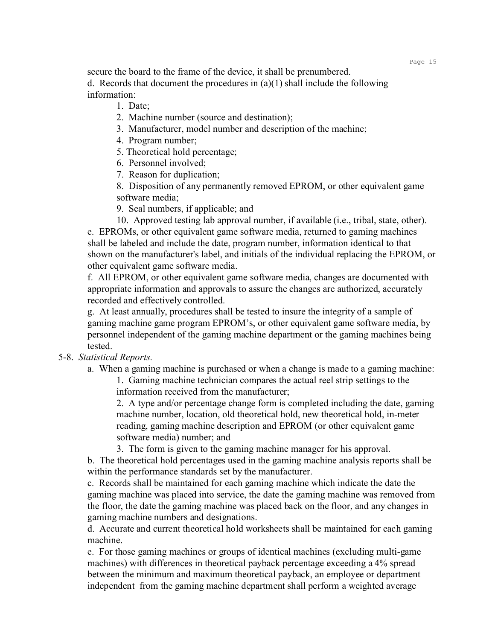secure the board to the frame of the device, it shall be prenumbered. d. Records that document the procedures in  $(a)(1)$  shall include the following information:

- 1. Date;
- 2. Machine number (source and destination);
- 3. Manufacturer, model number and description of the machine;
- 4. Program number;
- 5. Theoretical hold percentage;
- 6. Personnel involved;
- 7. Reason for duplication;
- 8. Disposition of any permanently removed EPROM, or other equivalent game software media;
- 9. Seal numbers, if applicable; and
- 10. Approved testing lab approval number, if available (i.e., tribal, state, other).

e. EPROMs, or other equivalent game software media, returned to gaming machines shall be labeled and include the date, program number, information identical to that shown on the manufacturer's label, and initials of the individual replacing the EPROM, or other equivalent game software media.

f. All EPROM, or other equivalent game software media, changes are documented with appropriate information and approvals to assure the changes are authorized, accurately recorded and effectively controlled.

g. At least annually, procedures shall be tested to insure the integrity of a sample of gaming machine game program EPROM's, or other equivalent game software media, by personnel independent of the gaming machine department or the gaming machines being tested.

#### 5-8. *Statistical Reports.*

a. When a gaming machine is purchased or when a change is made to a gaming machine:

1. Gaming machine technician compares the actual reel strip settings to the information received from the manufacturer;

2. A type and/or percentage change form is completed including the date, gaming machine number, location, old theoretical hold, new theoretical hold, in-meter reading, gaming machine description and EPROM (or other equivalent game software media) number; and

3. The form is given to the gaming machine manager for his approval.

b. The theoretical hold percentages used in the gaming machine analysis reports shall be within the performance standards set by the manufacturer.

c. Records shall be maintained for each gaming machine which indicate the date the gaming machine was placed into service, the date the gaming machine was removed from the floor, the date the gaming machine was placed back on the floor, and any changes in gaming machine numbers and designations.

d. Accurate and current theoretical hold worksheets shall be maintained for each gaming machine.

e. For those gaming machines or groups of identical machines (excluding multi-game machines) with differences in theoretical payback percentage exceeding a 4% spread between the minimum and maximum theoretical payback, an employee or department independent from the gaming machine department shall perform a weighted average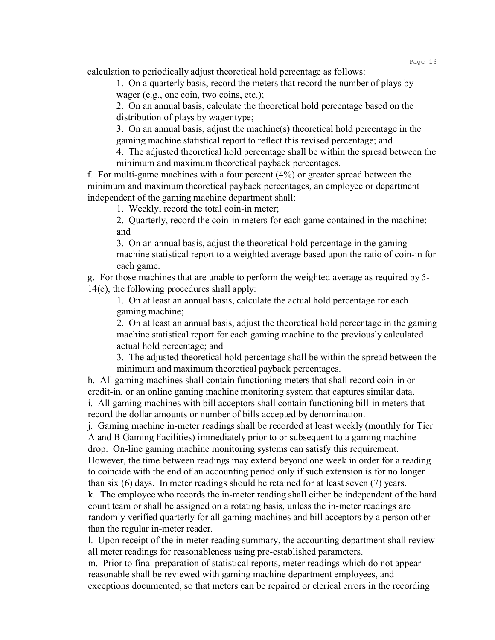calculation to periodically adjust theoretical hold percentage as follows:

1. On a quarterly basis, record the meters that record the number of plays by wager (e.g., one coin, two coins, etc.);

2. On an annual basis, calculate the theoretical hold percentage based on the distribution of plays by wager type;

3. On an annual basis, adjust the machine(s) theoretical hold percentage in the gaming machine statistical report to reflect this revised percentage; and

4. The adjusted theoretical hold percentage shall be within the spread between the minimum and maximum theoretical payback percentages.

f. For multi-game machines with a four percent (4%) or greater spread between the minimum and maximum theoretical payback percentages, an employee or department independent of the gaming machine department shall:

1. Weekly, record the total coin-in meter;

2. Quarterly, record the coin-in meters for each game contained in the machine; and

3. On an annual basis, adjust the theoretical hold percentage in the gaming machine statistical report to a weighted average based upon the ratio of coin-in for each game.

g. For those machines that are unable to perform the weighted average as required by 5- 14(e), the following procedures shall apply:

1. On at least an annual basis, calculate the actual hold percentage for each gaming machine;

2. On at least an annual basis, adjust the theoretical hold percentage in the gaming machine statistical report for each gaming machine to the previously calculated actual hold percentage; and

3. The adjusted theoretical hold percentage shall be within the spread between the minimum and maximum theoretical payback percentages.

h. All gaming machines shall contain functioning meters that shall record coin-in or credit-in, or an online gaming machine monitoring system that captures similar data. i. All gaming machines with bill acceptors shall contain functioning bill-in meters that record the dollar amounts or number of bills accepted by denomination.

j. Gaming machine in-meter readings shall be recorded at least weekly (monthly for Tier A and B Gaming Facilities) immediately prior to or subsequent to a gaming machine drop. On-line gaming machine monitoring systems can satisfy this requirement. However, the time between readings may extend beyond one week in order for a reading

to coincide with the end of an accounting period only if such extension is for no longer than six (6) days. In meter readings should be retained for at least seven (7) years.

k. The employee who records the in-meter reading shall either be independent of the hard count team or shall be assigned on a rotating basis, unless the in-meter readings are randomly verified quarterly for all gaming machines and bill acceptors by a person other than the regular in-meter reader.

l. Upon receipt of the in-meter reading summary, the accounting department shall review all meter readings for reasonableness using pre-established parameters.

m. Prior to final preparation of statistical reports, meter readings which do not appear reasonable shall be reviewed with gaming machine department employees, and exceptions documented, so that meters can be repaired or clerical errors in the recording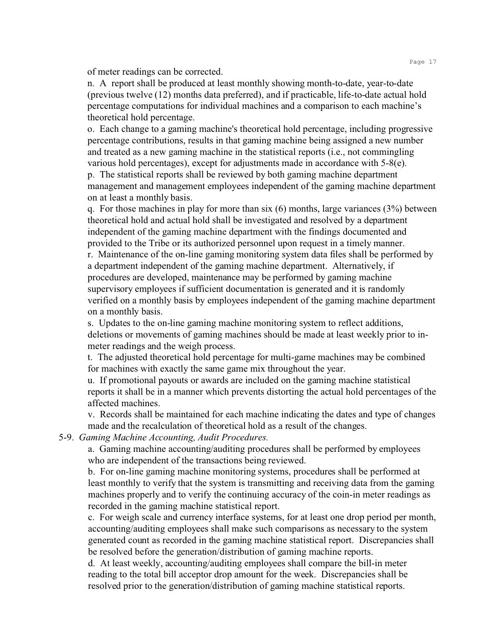of meter readings can be corrected.

n. A report shall be produced at least monthly showing month-to-date, year-to-date (previous twelve (12) months data preferred), and if practicable, life-to-date actual hold percentage computations for individual machines and a comparison to each machine's theoretical hold percentage.

o. Each change to a gaming machine's theoretical hold percentage, including progressive percentage contributions, results in that gaming machine being assigned a new number and treated as a new gaming machine in the statistical reports (i.e., not commingling various hold percentages), except for adjustments made in accordance with 5-8(e).

p. The statistical reports shall be reviewed by both gaming machine department management and management employees independent of the gaming machine department on at least a monthly basis.

q. For those machines in play for more than six  $(6)$  months, large variances  $(3%)$  between theoretical hold and actual hold shall be investigated and resolved by a department independent of the gaming machine department with the findings documented and provided to the Tribe or its authorized personnel upon request in a timely manner.

r. Maintenance of the on-line gaming monitoring system data files shall be performed by a department independent of the gaming machine department. Alternatively, if procedures are developed, maintenance may be performed by gaming machine supervisory employees if sufficient documentation is generated and it is randomly verified on a monthly basis by employees independent of the gaming machine department on a monthly basis.

s. Updates to the on-line gaming machine monitoring system to reflect additions, deletions or movements of gaming machines should be made at least weekly prior to inmeter readings and the weigh process.

t. The adjusted theoretical hold percentage for multi-game machines may be combined for machines with exactly the same game mix throughout the year.

u. If promotional payouts or awards are included on the gaming machine statistical reports it shall be in a manner which prevents distorting the actual hold percentages of the affected machines.

v. Records shall be maintained for each machine indicating the dates and type of changes made and the recalculation of theoretical hold as a result of the changes.

#### 5-9. *Gaming Machine Accounting, Audit Procedures.*

a. Gaming machine accounting/auditing procedures shall be performed by employees who are independent of the transactions being reviewed.

b. For on-line gaming machine monitoring systems, procedures shall be performed at least monthly to verify that the system is transmitting and receiving data from the gaming machines properly and to verify the continuing accuracy of the coin-in meter readings as recorded in the gaming machine statistical report.

c. For weigh scale and currency interface systems, for at least one drop period per month, accounting/auditing employees shall make such comparisons as necessary to the system generated count as recorded in the gaming machine statistical report. Discrepancies shall be resolved before the generation/distribution of gaming machine reports.

d. At least weekly, accounting/auditing employees shall compare the bill-in meter reading to the total bill acceptor drop amount for the week. Discrepancies shall be resolved prior to the generation/distribution of gaming machine statistical reports.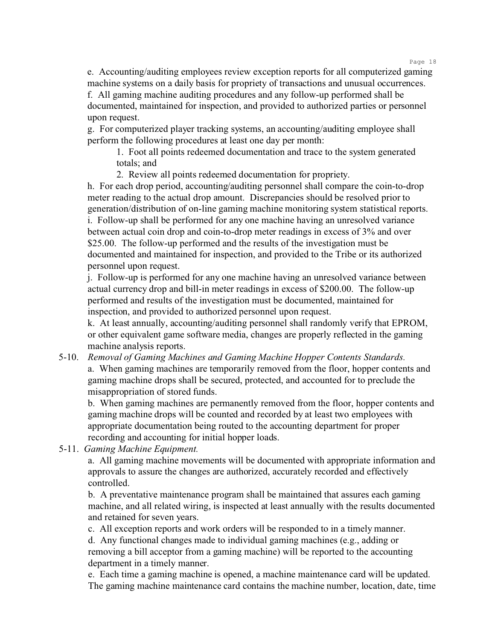Page 18

e. Accounting/auditing employees review exception reports for all computerized gaming machine systems on a daily basis for propriety of transactions and unusual occurrences.

f. All gaming machine auditing procedures and any follow-up performed shall be documented, maintained for inspection, and provided to authorized parties or personnel upon request.

g. For computerized player tracking systems, an accounting/auditing employee shall perform the following procedures at least one day per month:

1. Foot all points redeemed documentation and trace to the system generated totals; and

2. Review all points redeemed documentation for propriety.

h. For each drop period, accounting/auditing personnel shall compare the coin-to-drop meter reading to the actual drop amount. Discrepancies should be resolved prior to generation/distribution of on-line gaming machine monitoring system statistical reports. i. Follow-up shall be performed for any one machine having an unresolved variance between actual coin drop and coin-to-drop meter readings in excess of 3% and over \$25.00. The follow-up performed and the results of the investigation must be documented and maintained for inspection, and provided to the Tribe or its authorized personnel upon request.

j. Follow-up is performed for any one machine having an unresolved variance between actual currency drop and bill-in meter readings in excess of \$200.00. The follow-up performed and results of the investigation must be documented, maintained for inspection, and provided to authorized personnel upon request.

k. At least annually, accounting/auditing personnel shall randomly verify that EPROM, or other equivalent game software media, changes are properly reflected in the gaming machine analysis reports.

5-10. *Removal of Gaming Machines and Gaming Machine Hopper Contents Standards.* a. When gaming machines are temporarily removed from the floor, hopper contents and gaming machine drops shall be secured, protected, and accounted for to preclude the misappropriation of stored funds.

b. When gaming machines are permanently removed from the floor, hopper contents and gaming machine drops will be counted and recorded by at least two employees with appropriate documentation being routed to the accounting department for proper recording and accounting for initial hopper loads.

5-11. *Gaming Machine Equipment.*

a. All gaming machine movements will be documented with appropriate information and approvals to assure the changes are authorized, accurately recorded and effectively controlled.

b. A preventative maintenance program shall be maintained that assures each gaming machine, and all related wiring, is inspected at least annually with the results documented and retained for seven years.

c. All exception reports and work orders will be responded to in a timely manner. d. Any functional changes made to individual gaming machines (e.g., adding or removing a bill acceptor from a gaming machine) will be reported to the accounting department in a timely manner.

e. Each time a gaming machine is opened, a machine maintenance card will be updated. The gaming machine maintenance card contains the machine number, location, date, time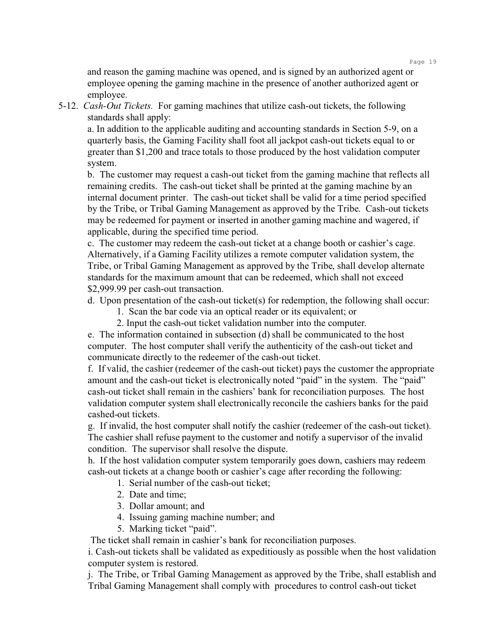Page 19

and reason the gaming machine was opened, and is signed by an authorized agent or employee opening the gaming machine in the presence of another authorized agent or employee.

5-12. *Cash-Out Tickets.* For gaming machines that utilize cash-out tickets, the following standards shall apply:

a. In addition to the applicable auditing and accounting standards in Section 5-9, on a quarterly basis, the Gaming Facility shall foot all jackpot cash-out tickets equal to or greater than \$1,200 and trace totals to those produced by the host validation computer system.

b. The customer may request a cash-out ticket from the gaming machine that reflects all remaining credits. The cash-out ticket shall be printed at the gaming machine by an internal document printer. The cash-out ticket shall be valid for a time period specified by the Tribe, or Tribal Gaming Management as approved by the Tribe. Cash-out tickets may be redeemed for payment or inserted in another gaming machine and wagered, if applicable, during the specified time period.

c. The customer may redeem the cash-out ticket at a change booth or cashier's cage. Alternatively, if a Gaming Facility utilizes a remote computer validation system, the Tribe, or Tribal Gaming Management as approved by the Tribe, shall develop alternate standards for the maximum amount that can be redeemed, which shall not exceed \$2,999.99 per cash-out transaction.

d. Upon presentation of the cash-out ticket(s) for redemption, the following shall occur:

- 1. Scan the bar code via an optical reader or its equivalent; or
- 2. Input the cash-out ticket validation number into the computer.

e. The information contained in subsection (d) shall be communicated to the host computer. The host computer shall verify the authenticity of the cash-out ticket and communicate directly to the redeemer of the cash-out ticket.

f. If valid, the cashier (redeemer of the cash-out ticket) pays the customer the appropriate amount and the cash-out ticket is electronically noted "paid" in the system. The "paid" cash-out ticket shall remain in the cashiers' bank for reconciliation purposes. The host validation computer system shall electronically reconcile the cashiers banks for the paid cashed-out tickets.

g. If invalid, the host computer shall notify the cashier (redeemer of the cash-out ticket). The cashier shall refuse payment to the customer and notify a supervisor of the invalid condition. The supervisor shall resolve the dispute.

h. If the host validation computer system temporarily goes down, cashiers may redeem cash-out tickets at a change booth or cashier's cage after recording the following:

- 1. Serial number of the cash-out ticket;
- 2. Date and time;
- 3. Dollar amount; and
- 4. Issuing gaming machine number; and
- 5. Marking ticket "paid".

The ticket shall remain in cashier's bank for reconciliation purposes.

i. Cash-out tickets shall be validated as expeditiously as possible when the host validation computer system is restored.

j. The Tribe, or Tribal Gaming Management as approved by the Tribe, shall establish and Tribal Gaming Management shall comply with procedures to control cash-out ticket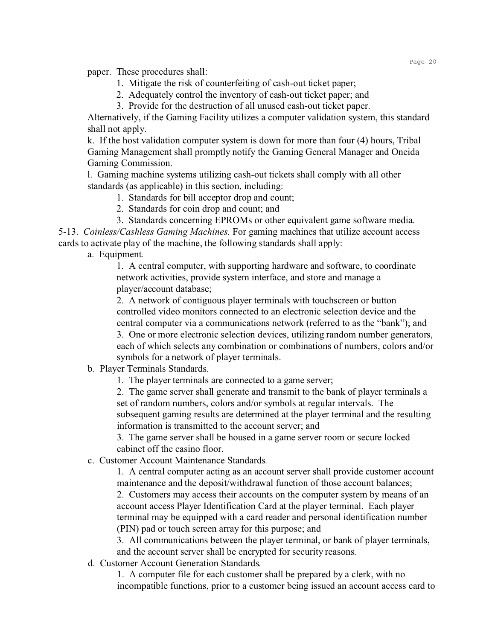paper. These procedures shall:

- 1. Mitigate the risk of counterfeiting of cash-out ticket paper;
- 2. Adequately control the inventory of cash-out ticket paper; and
- 3. Provide for the destruction of all unused cash-out ticket paper.

Alternatively, if the Gaming Facility utilizes a computer validation system, this standard shall not apply.

k. If the host validation computer system is down for more than four (4) hours, Tribal Gaming Management shall promptly notify the Gaming General Manager and Oneida Gaming Commission.

l. Gaming machine systems utilizing cash-out tickets shall comply with all other standards (as applicable) in this section, including:

- 1. Standards for bill acceptor drop and count;
- 2. Standards for coin drop and count; and
- 3. Standards concerning EPROMs or other equivalent game software media.

5-13. *Coinless/Cashless Gaming Machines.* For gaming machines that utilize account access cards to activate play of the machine, the following standards shall apply:

a. Equipment*.*

1. A central computer, with supporting hardware and software, to coordinate network activities, provide system interface, and store and manage a player/account database;

2. A network of contiguous player terminals with touchscreen or button controlled video monitors connected to an electronic selection device and the central computer via a communications network (referred to as the "bank"); and

3. One or more electronic selection devices, utilizing random number generators, each of which selects any combination or combinations of numbers, colors and/or symbols for a network of player terminals.

b. Player Terminals Standards*.*

1. The player terminals are connected to a game server;

2. The game server shall generate and transmit to the bank of player terminals a set of random numbers, colors and/or symbols at regular intervals. The subsequent gaming results are determined at the player terminal and the resulting information is transmitted to the account server; and

3. The game server shall be housed in a game server room or secure locked cabinet off the casino floor.

c. Customer Account Maintenance Standards*.*

1. A central computer acting as an account server shall provide customer account maintenance and the deposit/withdrawal function of those account balances;

2. Customers may access their accounts on the computer system by means of an account access Player Identification Card at the player terminal. Each player terminal may be equipped with a card reader and personal identification number (PIN) pad or touch screen array for this purpose; and

3. All communications between the player terminal, or bank of player terminals, and the account server shall be encrypted for security reasons.

d. Customer Account Generation Standards*.*

1. A computer file for each customer shall be prepared by a clerk, with no incompatible functions, prior to a customer being issued an account access card to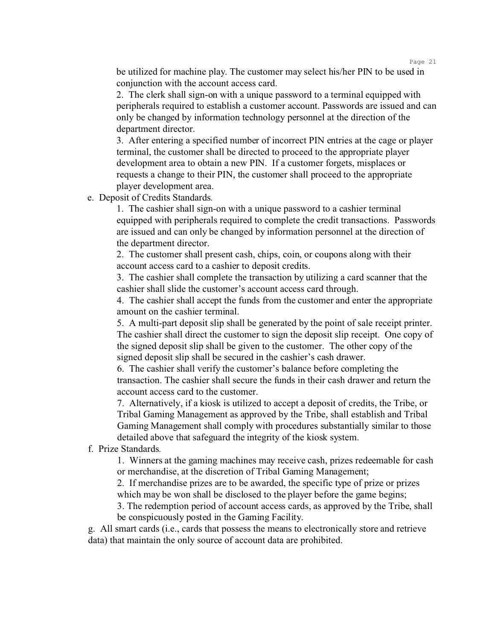be utilized for machine play. The customer may select his/her PIN to be used in conjunction with the account access card.

2. The clerk shall sign-on with a unique password to a terminal equipped with peripherals required to establish a customer account. Passwords are issued and can only be changed by information technology personnel at the direction of the department director.

3. After entering a specified number of incorrect PIN entries at the cage or player terminal, the customer shall be directed to proceed to the appropriate player development area to obtain a new PIN. If a customer forgets, misplaces or requests a change to their PIN, the customer shall proceed to the appropriate player development area.

e. Deposit of Credits Standards*.*

1. The cashier shall sign-on with a unique password to a cashier terminal equipped with peripherals required to complete the credit transactions. Passwords are issued and can only be changed by information personnel at the direction of the department director.

2. The customer shall present cash, chips, coin, or coupons along with their account access card to a cashier to deposit credits.

3. The cashier shall complete the transaction by utilizing a card scanner that the cashier shall slide the customer's account access card through.

4. The cashier shall accept the funds from the customer and enter the appropriate amount on the cashier terminal.

5. A multi-part deposit slip shall be generated by the point of sale receipt printer. The cashier shall direct the customer to sign the deposit slip receipt. One copy of the signed deposit slip shall be given to the customer. The other copy of the signed deposit slip shall be secured in the cashier's cash drawer.

6. The cashier shall verify the customer's balance before completing the transaction. The cashier shall secure the funds in their cash drawer and return the account access card to the customer.

7. Alternatively, if a kiosk is utilized to accept a deposit of credits, the Tribe, or Tribal Gaming Management as approved by the Tribe, shall establish and Tribal Gaming Management shall comply with procedures substantially similar to those detailed above that safeguard the integrity of the kiosk system.

f. Prize Standards*.*

1. Winners at the gaming machines may receive cash, prizes redeemable for cash or merchandise, at the discretion of Tribal Gaming Management;

2. If merchandise prizes are to be awarded, the specific type of prize or prizes which may be won shall be disclosed to the player before the game begins;

3. The redemption period of account access cards, as approved by the Tribe, shall be conspicuously posted in the Gaming Facility.

g. All smart cards (i.e., cards that possess the means to electronically store and retrieve data) that maintain the only source of account data are prohibited.

Page 21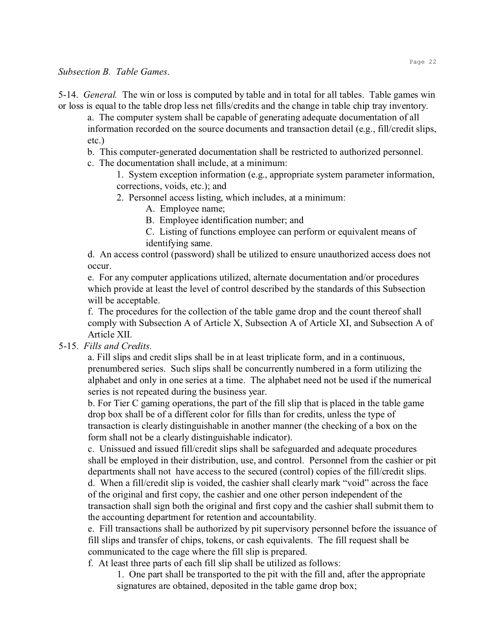#### *Subsection B. Table Games*.

5-14. *General.* The win or loss is computed by table and in total for all tables. Table games win or loss is equal to the table drop less net fills/credits and the change in table chip tray inventory.

a. The computer system shall be capable of generating adequate documentation of all information recorded on the source documents and transaction detail (e.g., fill/credit slips, etc.)

- b. This computer-generated documentation shall be restricted to authorized personnel.
- c. The documentation shall include, at a minimum:

1. System exception information (e.g., appropriate system parameter information, corrections, voids, etc.); and

- 2. Personnel access listing, which includes, at a minimum:
	- A. Employee name;

B. Employee identification number; and

C. Listing of functions employee can perform or equivalent means of identifying same.

d. An access control (password) shall be utilized to ensure unauthorized access does not occur.

e. For any computer applications utilized, alternate documentation and/or procedures which provide at least the level of control described by the standards of this Subsection will be acceptable.

f. The procedures for the collection of the table game drop and the count thereof shall comply with Subsection A of Article X, Subsection A of Article XI, and Subsection A of Article XII.

## 5-15. *Fills and Credits.*

a. Fill slips and credit slips shall be in at least triplicate form, and in a continuous, prenumbered series. Such slips shall be concurrently numbered in a form utilizing the alphabet and only in one series at a time. The alphabet need not be used if the numerical series is not repeated during the business year.

b. For Tier C gaming operations, the part of the fill slip that is placed in the table game drop box shall be of a different color for fills than for credits, unless the type of transaction is clearly distinguishable in another manner (the checking of a box on the form shall not be a clearly distinguishable indicator).

c. Unissued and issued fill/credit slips shall be safeguarded and adequate procedures shall be employed in their distribution, use, and control. Personnel from the cashier or pit departments shall not have access to the secured (control) copies of the fill/credit slips.

d. When a fill/credit slip is voided, the cashier shall clearly mark "void" across the face of the original and first copy, the cashier and one other person independent of the transaction shall sign both the original and first copy and the cashier shall submit them to the accounting department for retention and accountability.

e. Fill transactions shall be authorized by pit supervisory personnel before the issuance of fill slips and transfer of chips, tokens, or cash equivalents. The fill request shall be communicated to the cage where the fill slip is prepared.

f. At least three parts of each fill slip shall be utilized as follows:

1. One part shall be transported to the pit with the fill and, after the appropriate signatures are obtained, deposited in the table game drop box;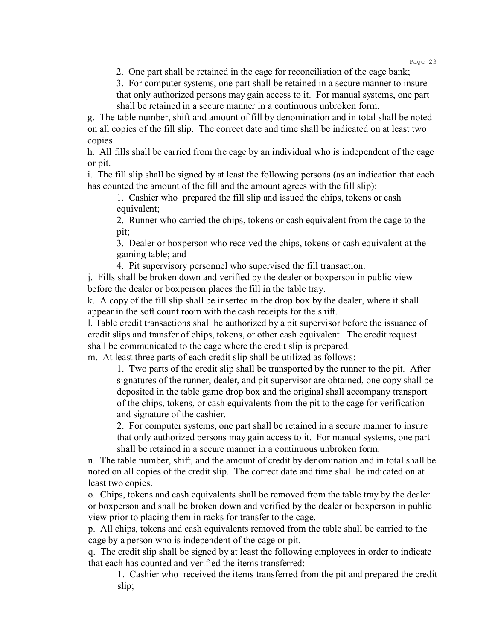Page 23

2. One part shall be retained in the cage for reconciliation of the cage bank;

3. For computer systems, one part shall be retained in a secure manner to insure that only authorized persons may gain access to it. For manual systems, one part shall be retained in a secure manner in a continuous unbroken form.

g. The table number, shift and amount of fill by denomination and in total shall be noted on all copies of the fill slip. The correct date and time shall be indicated on at least two copies.

h. All fills shall be carried from the cage by an individual who is independent of the cage or pit.

i. The fill slip shall be signed by at least the following persons (as an indication that each has counted the amount of the fill and the amount agrees with the fill slip):

1. Cashier who prepared the fill slip and issued the chips, tokens or cash equivalent;

2. Runner who carried the chips, tokens or cash equivalent from the cage to the pit;

3. Dealer or boxperson who received the chips, tokens or cash equivalent at the gaming table; and

4. Pit supervisory personnel who supervised the fill transaction.

j. Fills shall be broken down and verified by the dealer or boxperson in public view before the dealer or boxperson places the fill in the table tray.

k. A copy of the fill slip shall be inserted in the drop box by the dealer, where it shall appear in the soft count room with the cash receipts for the shift.

l. Table credit transactions shall be authorized by a pit supervisor before the issuance of credit slips and transfer of chips, tokens, or other cash equivalent. The credit request shall be communicated to the cage where the credit slip is prepared.

m. At least three parts of each credit slip shall be utilized as follows:

1. Two parts of the credit slip shall be transported by the runner to the pit. After signatures of the runner, dealer, and pit supervisor are obtained, one copy shall be deposited in the table game drop box and the original shall accompany transport of the chips, tokens, or cash equivalents from the pit to the cage for verification and signature of the cashier.

2. For computer systems, one part shall be retained in a secure manner to insure that only authorized persons may gain access to it. For manual systems, one part shall be retained in a secure manner in a continuous unbroken form.

n. The table number, shift, and the amount of credit by denomination and in total shall be noted on all copies of the credit slip. The correct date and time shall be indicated on at least two copies.

o. Chips, tokens and cash equivalents shall be removed from the table tray by the dealer or boxperson and shall be broken down and verified by the dealer or boxperson in public view prior to placing them in racks for transfer to the cage.

p. All chips, tokens and cash equivalents removed from the table shall be carried to the cage by a person who is independent of the cage or pit.

q. The credit slip shall be signed by at least the following employees in order to indicate that each has counted and verified the items transferred:

1. Cashier who received the items transferred from the pit and prepared the credit slip;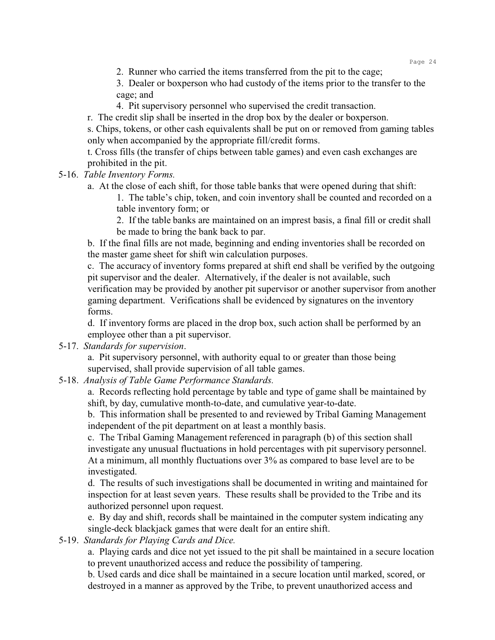3. Dealer or boxperson who had custody of the items prior to the transfer to the cage; and

- 4. Pit supervisory personnel who supervised the credit transaction.
- r. The credit slip shall be inserted in the drop box by the dealer or boxperson.

s. Chips, tokens, or other cash equivalents shall be put on or removed from gaming tables only when accompanied by the appropriate fill/credit forms.

t. Cross fills (the transfer of chips between table games) and even cash exchanges are prohibited in the pit.

5-16. *Table Inventory Forms.*

a. At the close of each shift, for those table banks that were opened during that shift:

1. The table's chip, token, and coin inventory shall be counted and recorded on a table inventory form; or

2. If the table banks are maintained on an imprest basis, a final fill or credit shall be made to bring the bank back to par.

b. If the final fills are not made, beginning and ending inventories shall be recorded on the master game sheet for shift win calculation purposes.

c. The accuracy of inventory forms prepared at shift end shall be verified by the outgoing pit supervisor and the dealer. Alternatively, if the dealer is not available, such verification may be provided by another pit supervisor or another supervisor from another gaming department. Verifications shall be evidenced by signatures on the inventory forms.

d. If inventory forms are placed in the drop box, such action shall be performed by an employee other than a pit supervisor.

## 5-17. *Standards for supervision*.

a. Pit supervisory personnel, with authority equal to or greater than those being supervised, shall provide supervision of all table games.

# 5-18. *Analysis of Table Game Performance Standards.*

a. Records reflecting hold percentage by table and type of game shall be maintained by shift, by day, cumulative month-to-date, and cumulative year-to-date.

b. This information shall be presented to and reviewed by Tribal Gaming Management independent of the pit department on at least a monthly basis.

c. The Tribal Gaming Management referenced in paragraph (b) of this section shall investigate any unusual fluctuations in hold percentages with pit supervisory personnel. At a minimum, all monthly fluctuations over 3% as compared to base level are to be investigated.

d. The results of such investigations shall be documented in writing and maintained for inspection for at least seven years. These results shall be provided to the Tribe and its authorized personnel upon request.

e. By day and shift, records shall be maintained in the computer system indicating any single-deck blackjack games that were dealt for an entire shift.

# 5-19. *Standards for Playing Cards and Dice.*

a. Playing cards and dice not yet issued to the pit shall be maintained in a secure location to prevent unauthorized access and reduce the possibility of tampering.

b. Used cards and dice shall be maintained in a secure location until marked, scored, or destroyed in a manner as approved by the Tribe, to prevent unauthorized access and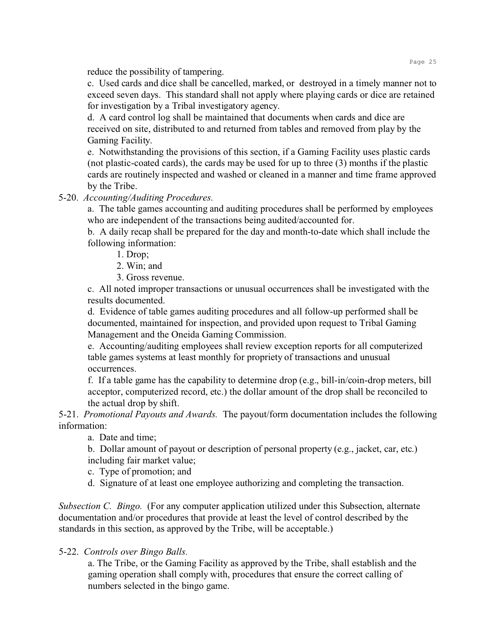reduce the possibility of tampering.

c. Used cards and dice shall be cancelled, marked, or destroyed in a timely manner not to exceed seven days. This standard shall not apply where playing cards or dice are retained for investigation by a Tribal investigatory agency.

d. A card control log shall be maintained that documents when cards and dice are received on site, distributed to and returned from tables and removed from play by the Gaming Facility.

e. Notwithstanding the provisions of this section, if a Gaming Facility uses plastic cards (not plastic-coated cards), the cards may be used for up to three (3) months if the plastic cards are routinely inspected and washed or cleaned in a manner and time frame approved by the Tribe.

5-20. *Accounting/Auditing Procedures.*

a. The table games accounting and auditing procedures shall be performed by employees who are independent of the transactions being audited/accounted for.

b. A daily recap shall be prepared for the day and month-to-date which shall include the following information:

1. Drop;

2. Win; and

3. Gross revenue.

c. All noted improper transactions or unusual occurrences shall be investigated with the results documented.

d. Evidence of table games auditing procedures and all follow-up performed shall be documented, maintained for inspection, and provided upon request to Tribal Gaming Management and the Oneida Gaming Commission.

e. Accounting/auditing employees shall review exception reports for all computerized table games systems at least monthly for propriety of transactions and unusual occurrences.

f. If a table game has the capability to determine drop (e.g., bill-in/coin-drop meters, bill acceptor, computerized record, etc.) the dollar amount of the drop shall be reconciled to the actual drop by shift.

5-21. *Promotional Payouts and Awards.* The payout/form documentation includes the following information:

a. Date and time;

b. Dollar amount of payout or description of personal property (e.g., jacket, car, etc.) including fair market value;

c. Type of promotion; and

d. Signature of at least one employee authorizing and completing the transaction.

*Subsection C. Bingo.* (For any computer application utilized under this Subsection, alternate documentation and/or procedures that provide at least the level of control described by the standards in this section, as approved by the Tribe, will be acceptable.)

# 5-22. *Controls over Bingo Balls.*

a. The Tribe, or the Gaming Facility as approved by the Tribe, shall establish and the gaming operation shall comply with, procedures that ensure the correct calling of numbers selected in the bingo game.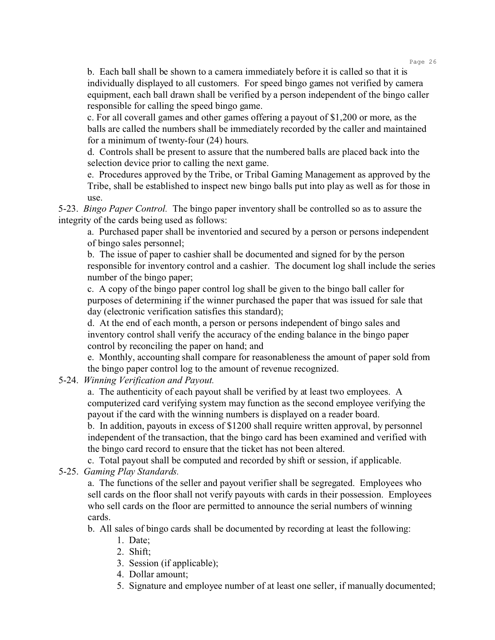b. Each ball shall be shown to a camera immediately before it is called so that it is individually displayed to all customers. For speed bingo games not verified by camera equipment, each ball drawn shall be verified by a person independent of the bingo caller responsible for calling the speed bingo game.

c. For all coverall games and other games offering a payout of \$1,200 or more, as the balls are called the numbers shall be immediately recorded by the caller and maintained for a minimum of twenty-four (24) hours.

d. Controls shall be present to assure that the numbered balls are placed back into the selection device prior to calling the next game.

e. Procedures approved by the Tribe, or Tribal Gaming Management as approved by the Tribe, shall be established to inspect new bingo balls put into play as well as for those in use.

5-23. *Bingo Paper Control.* The bingo paper inventory shall be controlled so as to assure the integrity of the cards being used as follows:

a. Purchased paper shall be inventoried and secured by a person or persons independent of bingo sales personnel;

b. The issue of paper to cashier shall be documented and signed for by the person responsible for inventory control and a cashier. The document log shall include the series number of the bingo paper;

c. A copy of the bingo paper control log shall be given to the bingo ball caller for purposes of determining if the winner purchased the paper that was issued for sale that day (electronic verification satisfies this standard);

d. At the end of each month, a person or persons independent of bingo sales and inventory control shall verify the accuracy of the ending balance in the bingo paper control by reconciling the paper on hand; and

e. Monthly, accounting shall compare for reasonableness the amount of paper sold from the bingo paper control log to the amount of revenue recognized.

5-24. *Winning Verification and Payout.*

a. The authenticity of each payout shall be verified by at least two employees. A computerized card verifying system may function as the second employee verifying the payout if the card with the winning numbers is displayed on a reader board.

b. In addition, payouts in excess of \$1200 shall require written approval, by personnel independent of the transaction, that the bingo card has been examined and verified with the bingo card record to ensure that the ticket has not been altered.

c. Total payout shall be computed and recorded by shift or session, if applicable.

5-25. *Gaming Play Standards.*

a. The functions of the seller and payout verifier shall be segregated. Employees who sell cards on the floor shall not verify payouts with cards in their possession. Employees who sell cards on the floor are permitted to announce the serial numbers of winning cards.

b. All sales of bingo cards shall be documented by recording at least the following:

- 1. Date;
- 2. Shift;
- 3. Session (if applicable);
- 4. Dollar amount;
- 5. Signature and employee number of at least one seller, if manually documented;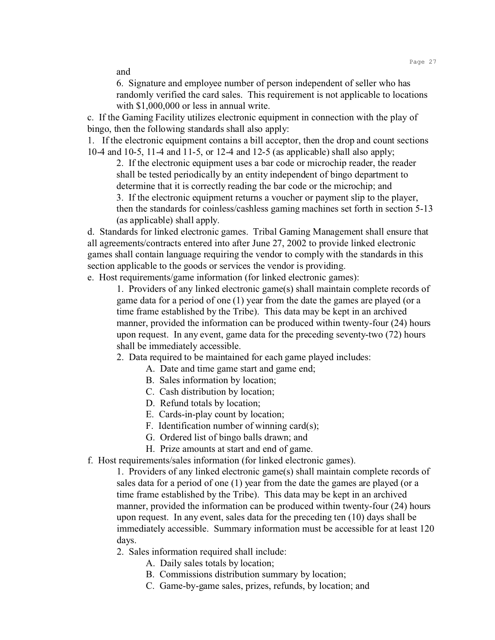and

6. Signature and employee number of person independent of seller who has randomly verified the card sales. This requirement is not applicable to locations with \$1,000,000 or less in annual write.

c. If the Gaming Facility utilizes electronic equipment in connection with the play of bingo, then the following standards shall also apply:

1. If the electronic equipment contains a bill acceptor, then the drop and count sections 10-4 and 10-5, 11-4 and 11-5, or 12-4 and 12-5 (as applicable) shall also apply;

2. If the electronic equipment uses a bar code or microchip reader, the reader shall be tested periodically by an entity independent of bingo department to determine that it is correctly reading the bar code or the microchip; and

3. If the electronic equipment returns a voucher or payment slip to the player, then the standards for coinless/cashless gaming machines set forth in section 5-13 (as applicable) shall apply.

d. Standards for linked electronic games. Tribal Gaming Management shall ensure that all agreements/contracts entered into after June 27, 2002 to provide linked electronic games shall contain language requiring the vendor to comply with the standards in this section applicable to the goods or services the vendor is providing.

e. Host requirements/game information (for linked electronic games):

1. Providers of any linked electronic game(s) shall maintain complete records of game data for a period of one (1) year from the date the games are played (or a time frame established by the Tribe). This data may be kept in an archived manner, provided the information can be produced within twenty-four (24) hours upon request. In any event, game data for the preceding seventy-two (72) hours shall be immediately accessible.

2. Data required to be maintained for each game played includes:

- A. Date and time game start and game end;
- B. Sales information by location;
- C. Cash distribution by location;
- D. Refund totals by location;
- E. Cards-in-play count by location;
- F. Identification number of winning card(s);
- G. Ordered list of bingo balls drawn; and
- H. Prize amounts at start and end of game.
- f. Host requirements/sales information (for linked electronic games).

1. Providers of any linked electronic game(s) shall maintain complete records of sales data for a period of one (1) year from the date the games are played (or a time frame established by the Tribe). This data may be kept in an archived manner, provided the information can be produced within twenty-four (24) hours upon request. In any event, sales data for the preceding ten (10) days shall be immediately accessible. Summary information must be accessible for at least 120 days.

2. Sales information required shall include:

- A. Daily sales totals by location;
- B. Commissions distribution summary by location;
- C. Game-by-game sales, prizes, refunds, by location; and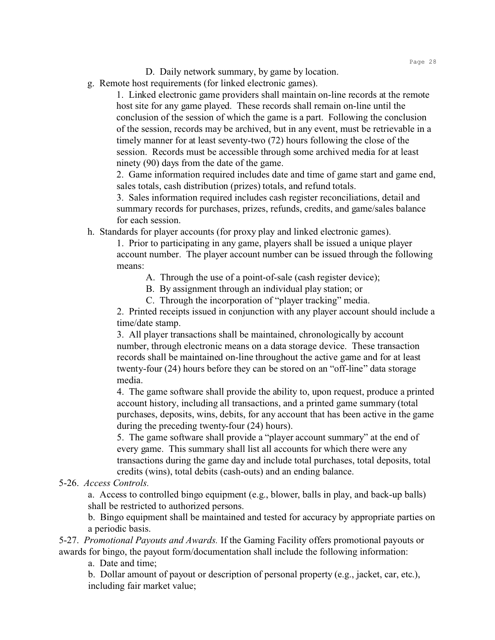- D. Daily network summary, by game by location.
- g. Remote host requirements (for linked electronic games).

1. Linked electronic game providers shall maintain on-line records at the remote host site for any game played. These records shall remain on-line until the conclusion of the session of which the game is a part. Following the conclusion of the session, records may be archived, but in any event, must be retrievable in a timely manner for at least seventy-two (72) hours following the close of the session. Records must be accessible through some archived media for at least ninety (90) days from the date of the game.

2. Game information required includes date and time of game start and game end, sales totals, cash distribution (prizes) totals, and refund totals.

3. Sales information required includes cash register reconciliations, detail and summary records for purchases, prizes, refunds, credits, and game/sales balance for each session.

h. Standards for player accounts (for proxy play and linked electronic games).

1. Prior to participating in any game, players shall be issued a unique player account number. The player account number can be issued through the following means:

A. Through the use of a point-of-sale (cash register device);

B. By assignment through an individual play station; or

C. Through the incorporation of "player tracking" media.

2. Printed receipts issued in conjunction with any player account should include a time/date stamp.

3. All player transactions shall be maintained, chronologically by account number, through electronic means on a data storage device. These transaction records shall be maintained on-line throughout the active game and for at least twenty-four (24) hours before they can be stored on an "off-line" data storage media.

4. The game software shall provide the ability to, upon request, produce a printed account history, including all transactions, and a printed game summary (total purchases, deposits, wins, debits, for any account that has been active in the game during the preceding twenty-four (24) hours).

5. The game software shall provide a "player account summary" at the end of every game. This summary shall list all accounts for which there were any transactions during the game day and include total purchases, total deposits, total credits (wins), total debits (cash-outs) and an ending balance.

## 5-26. *Access Controls.*

a. Access to controlled bingo equipment (e.g., blower, balls in play, and back-up balls) shall be restricted to authorized persons.

b. Bingo equipment shall be maintained and tested for accuracy by appropriate parties on a periodic basis.

5-27. *Promotional Payouts and Awards.* If the Gaming Facility offers promotional payouts or awards for bingo, the payout form/documentation shall include the following information:

a. Date and time;

b. Dollar amount of payout or description of personal property (e.g., jacket, car, etc.), including fair market value;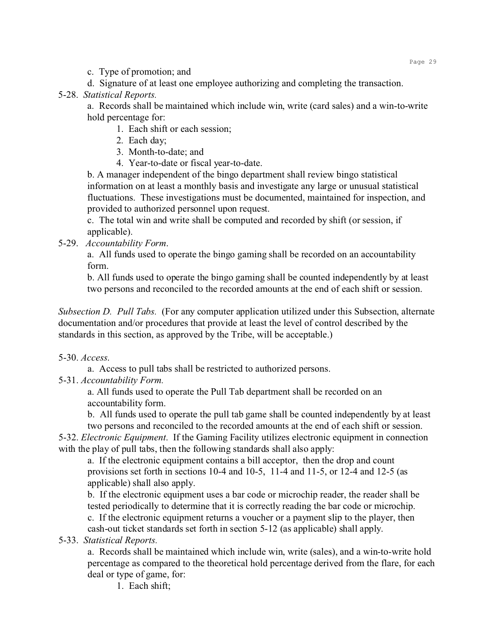c. Type of promotion; and

d. Signature of at least one employee authorizing and completing the transaction.

## 5-28. *Statistical Reports.*

a. Records shall be maintained which include win, write (card sales) and a win-to-write hold percentage for:

1. Each shift or each session;

2. Each day;

3. Month-to-date; and

4. Year-to-date or fiscal year-to-date.

b. A manager independent of the bingo department shall review bingo statistical information on at least a monthly basis and investigate any large or unusual statistical fluctuations. These investigations must be documented, maintained for inspection, and provided to authorized personnel upon request.

c. The total win and write shall be computed and recorded by shift (or session, if applicable).

5-29. *Accountability Form*.

a. All funds used to operate the bingo gaming shall be recorded on an accountability form.

b. All funds used to operate the bingo gaming shall be counted independently by at least two persons and reconciled to the recorded amounts at the end of each shift or session.

*Subsection D. Pull Tabs.* (For any computer application utilized under this Subsection, alternate documentation and/or procedures that provide at least the level of control described by the standards in this section, as approved by the Tribe, will be acceptable.)

# 5-30. *Access*.

a. Access to pull tabs shall be restricted to authorized persons.

5-31. *Accountability Form.*

a. All funds used to operate the Pull Tab department shall be recorded on an accountability form.

b. All funds used to operate the pull tab game shall be counted independently by at least two persons and reconciled to the recorded amounts at the end of each shift or session.

5-32. *Electronic Equipment*. If the Gaming Facility utilizes electronic equipment in connection with the play of pull tabs, then the following standards shall also apply:

a. If the electronic equipment contains a bill acceptor, then the drop and count provisions set forth in sections 10-4 and 10-5, 11-4 and 11-5, or 12-4 and 12-5 (as applicable) shall also apply.

b. If the electronic equipment uses a bar code or microchip reader, the reader shall be tested periodically to determine that it is correctly reading the bar code or microchip. c. If the electronic equipment returns a voucher or a payment slip to the player, then cash-out ticket standards set forth in section 5-12 (as applicable) shall apply.

# 5-33. *Statistical Reports.*

a. Records shall be maintained which include win, write (sales), and a win-to-write hold percentage as compared to the theoretical hold percentage derived from the flare, for each deal or type of game, for:

1. Each shift;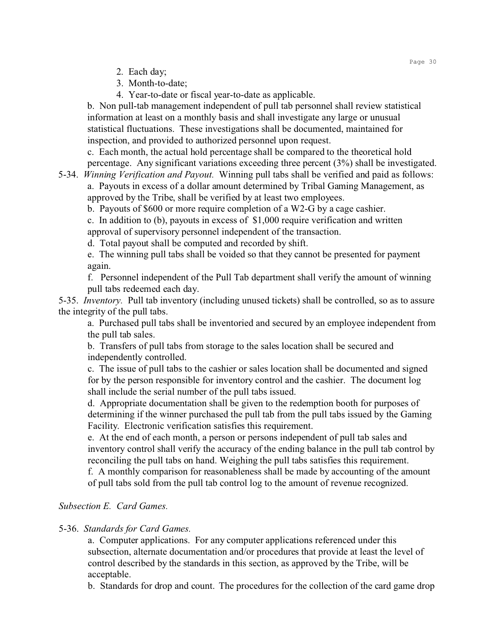- 2. Each day;
- 3. Month-to-date;
- 4. Year-to-date or fiscal year-to-date as applicable.

b. Non pull-tab management independent of pull tab personnel shall review statistical information at least on a monthly basis and shall investigate any large or unusual statistical fluctuations. These investigations shall be documented, maintained for inspection, and provided to authorized personnel upon request.

c. Each month, the actual hold percentage shall be compared to the theoretical hold percentage. Any significant variations exceeding three percent (3%) shall be investigated.

5-34. *Winning Verification and Payout.* Winning pull tabs shall be verified and paid as follows:

a. Payouts in excess of a dollar amount determined by Tribal Gaming Management, as approved by the Tribe, shall be verified by at least two employees.

b. Payouts of \$600 or more require completion of a W2-G by a cage cashier.

c. In addition to (b), payouts in excess of \$1,000 require verification and written approval of supervisory personnel independent of the transaction.

d. Total payout shall be computed and recorded by shift.

e. The winning pull tabs shall be voided so that they cannot be presented for payment again.

f. Personnel independent of the Pull Tab department shall verify the amount of winning pull tabs redeemed each day.

5-35. *Inventory.* Pull tab inventory (including unused tickets) shall be controlled, so as to assure the integrity of the pull tabs.

a. Purchased pull tabs shall be inventoried and secured by an employee independent from the pull tab sales.

b. Transfers of pull tabs from storage to the sales location shall be secured and independently controlled.

c. The issue of pull tabs to the cashier or sales location shall be documented and signed for by the person responsible for inventory control and the cashier. The document log shall include the serial number of the pull tabs issued.

d. Appropriate documentation shall be given to the redemption booth for purposes of determining if the winner purchased the pull tab from the pull tabs issued by the Gaming Facility. Electronic verification satisfies this requirement.

e. At the end of each month, a person or persons independent of pull tab sales and inventory control shall verify the accuracy of the ending balance in the pull tab control by reconciling the pull tabs on hand. Weighing the pull tabs satisfies this requirement.

f. A monthly comparison for reasonableness shall be made by accounting of the amount of pull tabs sold from the pull tab control log to the amount of revenue recognized.

## *Subsection E. Card Games.*

#### 5-36. *Standards for Card Games.*

a. Computer applications. For any computer applications referenced under this subsection, alternate documentation and/or procedures that provide at least the level of control described by the standards in this section, as approved by the Tribe, will be acceptable.

b. Standards for drop and count.The procedures for the collection of the card game drop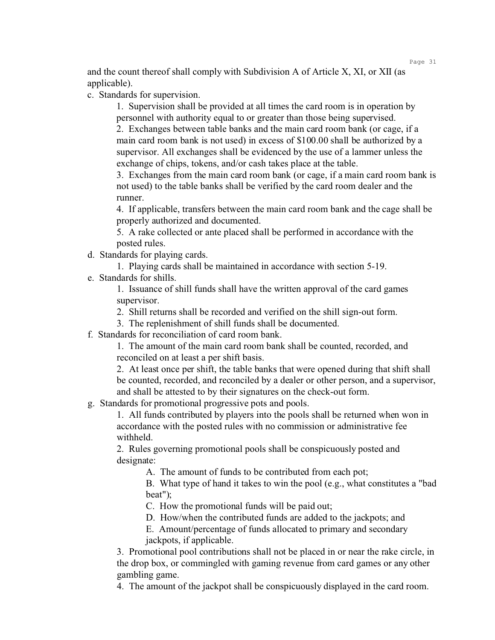and the count thereof shall comply with Subdivision A of Article X, XI, or XII (as applicable).

c. Standards for supervision.

1. Supervision shall be provided at all times the card room is in operation by personnel with authority equal to or greater than those being supervised.

2. Exchanges between table banks and the main card room bank (or cage, if a main card room bank is not used) in excess of \$100.00 shall be authorized by a supervisor. All exchanges shall be evidenced by the use of a lammer unless the exchange of chips, tokens, and/or cash takes place at the table.

3. Exchanges from the main card room bank (or cage, if a main card room bank is not used) to the table banks shall be verified by the card room dealer and the runner.

4. If applicable, transfers between the main card room bank and the cage shall be properly authorized and documented.

5. A rake collected or ante placed shall be performed in accordance with the posted rules.

d. Standards for playing cards.

1. Playing cards shall be maintained in accordance with section 5-19.

e. Standards for shills.

1. Issuance of shill funds shall have the written approval of the card games supervisor.

2. Shill returns shall be recorded and verified on the shill sign-out form.

- 3. The replenishment of shill funds shall be documented.
- f. Standards for reconciliation of card room bank.

1. The amount of the main card room bank shall be counted, recorded, and reconciled on at least a per shift basis.

2. At least once per shift, the table banks that were opened during that shift shall be counted, recorded, and reconciled by a dealer or other person, and a supervisor, and shall be attested to by their signatures on the check-out form.

g. Standards for promotional progressive pots and pools.

1. All funds contributed by players into the pools shall be returned when won in accordance with the posted rules with no commission or administrative fee withheld.

2. Rules governing promotional pools shall be conspicuously posted and designate:

A. The amount of funds to be contributed from each pot;

B. What type of hand it takes to win the pool (e.g., what constitutes a "bad beat");

C. How the promotional funds will be paid out;

D. How/when the contributed funds are added to the jackpots; and

E. Amount/percentage of funds allocated to primary and secondary jackpots, if applicable.

3. Promotional pool contributions shall not be placed in or near the rake circle, in the drop box, or commingled with gaming revenue from card games or any other gambling game.

4. The amount of the jackpot shall be conspicuously displayed in the card room.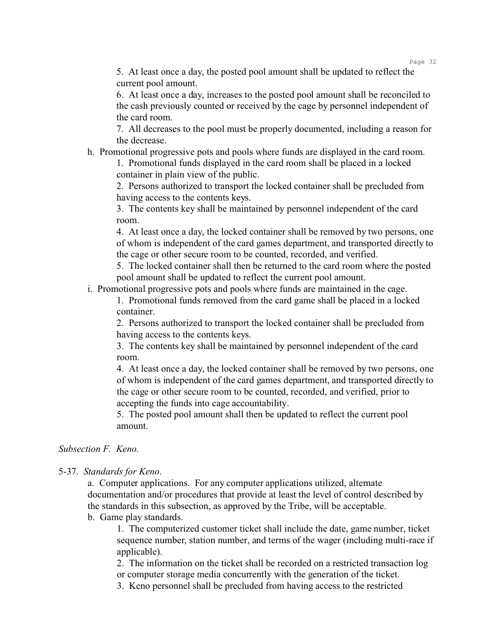5. At least once a day, the posted pool amount shall be updated to reflect the current pool amount.

6. At least once a day, increases to the posted pool amount shall be reconciled to the cash previously counted or received by the cage by personnel independent of the card room.

7. All decreases to the pool must be properly documented, including a reason for the decrease.

h. Promotional progressive pots and pools where funds are displayed in the card room.

1. Promotional funds displayed in the card room shall be placed in a locked container in plain view of the public.

2. Persons authorized to transport the locked container shall be precluded from having access to the contents keys.

3. The contents key shall be maintained by personnel independent of the card room.

4. At least once a day, the locked container shall be removed by two persons, one of whom is independent of the card games department, and transported directly to the cage or other secure room to be counted, recorded, and verified.

5. The locked container shall then be returned to the card room where the posted pool amount shall be updated to reflect the current pool amount.

i. Promotional progressive pots and pools where funds are maintained in the cage.

1. Promotional funds removed from the card game shall be placed in a locked container.

2. Persons authorized to transport the locked container shall be precluded from having access to the contents keys.

3. The contents key shall be maintained by personnel independent of the card room.

4. At least once a day, the locked container shall be removed by two persons, one of whom is independent of the card games department, and transported directly to the cage or other secure room to be counted, recorded, and verified, prior to accepting the funds into cage accountability.

5. The posted pool amount shall then be updated to reflect the current pool amount.

# *Subsection F. Keno.*

#### 5-37. *Standards for Keno*.

a. Computer applications. For any computer applications utilized, alternate documentation and/or procedures that provide at least the level of control described by the standards in this subsection, as approved by the Tribe, will be acceptable. b. Game play standards.

1. The computerized customer ticket shall include the date, game number, ticket sequence number, station number, and terms of the wager (including multi-race if applicable).

2. The information on the ticket shall be recorded on a restricted transaction log or computer storage media concurrently with the generation of the ticket.

3. Keno personnel shall be precluded from having access to the restricted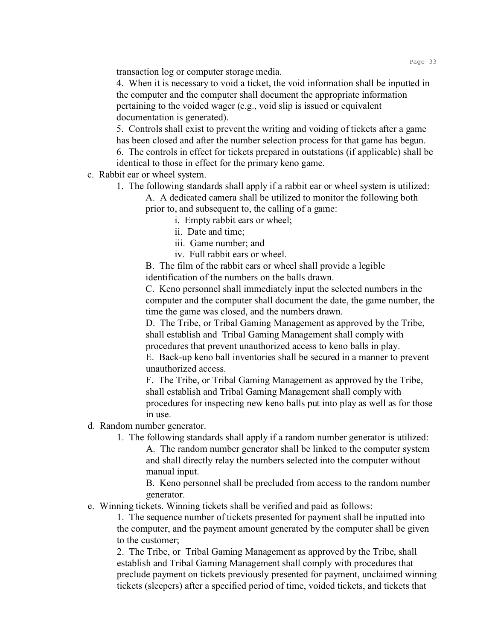transaction log or computer storage media.

4. When it is necessary to void a ticket, the void information shall be inputted in the computer and the computer shall document the appropriate information pertaining to the voided wager (e.g., void slip is issued or equivalent documentation is generated).

5. Controls shall exist to prevent the writing and voiding of tickets after a game has been closed and after the number selection process for that game has begun.

6. The controls in effect for tickets prepared in outstations (if applicable) shall be identical to those in effect for the primary keno game.

- c. Rabbit ear or wheel system.
	- 1. The following standards shall apply if a rabbit ear or wheel system is utilized:

A. A dedicated camera shall be utilized to monitor the following both

prior to, and subsequent to, the calling of a game:

- i. Empty rabbit ears or wheel;
- ii. Date and time;
- iii. Game number; and

iv. Full rabbit ears or wheel.

B. The film of the rabbit ears or wheel shall provide a legible identification of the numbers on the balls drawn.

C. Keno personnel shall immediately input the selected numbers in the computer and the computer shall document the date, the game number, the time the game was closed, and the numbers drawn.

D. The Tribe, or Tribal Gaming Management as approved by the Tribe, shall establish and Tribal Gaming Management shall comply with procedures that prevent unauthorized access to keno balls in play.

E. Back-up keno ball inventories shall be secured in a manner to prevent unauthorized access.

F. The Tribe, or Tribal Gaming Management as approved by the Tribe, shall establish and Tribal Gaming Management shall comply with procedures for inspecting new keno balls put into play as well as for those in use.

- d. Random number generator.
	- 1. The following standards shall apply if a random number generator is utilized: A. The random number generator shall be linked to the computer system and shall directly relay the numbers selected into the computer without manual input.

B. Keno personnel shall be precluded from access to the random number generator.

e. Winning tickets. Winning tickets shall be verified and paid as follows:

1. The sequence number of tickets presented for payment shall be inputted into the computer, and the payment amount generated by the computer shall be given to the customer;

2. The Tribe, or Tribal Gaming Management as approved by the Tribe, shall establish and Tribal Gaming Management shall comply with procedures that preclude payment on tickets previously presented for payment, unclaimed winning tickets (sleepers) after a specified period of time, voided tickets, and tickets that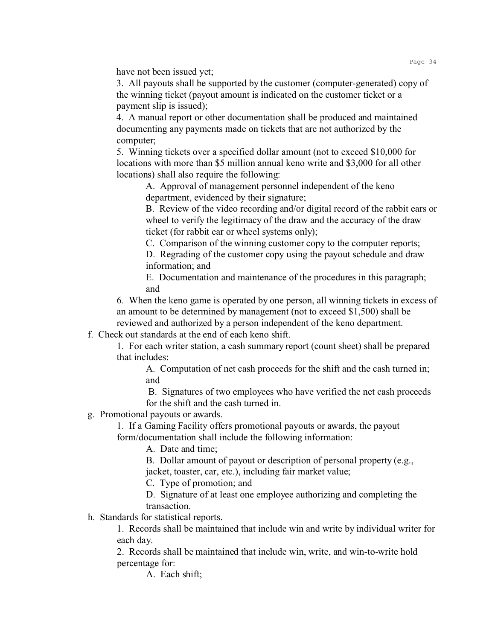have not been issued yet;

3. All payouts shall be supported by the customer (computer-generated) copy of the winning ticket (payout amount is indicated on the customer ticket or a payment slip is issued);

4. A manual report or other documentation shall be produced and maintained documenting any payments made on tickets that are not authorized by the computer;

5. Winning tickets over a specified dollar amount (not to exceed \$10,000 for locations with more than \$5 million annual keno write and \$3,000 for all other locations) shall also require the following:

A. Approval of management personnel independent of the keno department, evidenced by their signature;

B. Review of the video recording and/or digital record of the rabbit ears or wheel to verify the legitimacy of the draw and the accuracy of the draw ticket (for rabbit ear or wheel systems only);

C. Comparison of the winning customer copy to the computer reports;

D. Regrading of the customer copy using the payout schedule and draw information; and

E. Documentation and maintenance of the procedures in this paragraph; and

6. When the keno game is operated by one person, all winning tickets in excess of an amount to be determined by management (not to exceed \$1,500) shall be reviewed and authorized by a person independent of the keno department.

f. Check out standards at the end of each keno shift.

1. For each writer station, a cash summary report (count sheet) shall be prepared that includes:

A. Computation of net cash proceeds for the shift and the cash turned in; and

 B. Signatures of two employees who have verified the net cash proceeds for the shift and the cash turned in.

g. Promotional payouts or awards.

1. If a Gaming Facility offers promotional payouts or awards, the payout form/documentation shall include the following information:

A. Date and time;

B. Dollar amount of payout or description of personal property (e.g., jacket, toaster, car, etc.), including fair market value;

C. Type of promotion; and

D. Signature of at least one employee authorizing and completing the transaction.

h. Standards for statistical reports.

1. Records shall be maintained that include win and write by individual writer for each day.

2. Records shall be maintained that include win, write, and win-to-write hold percentage for:

A. Each shift;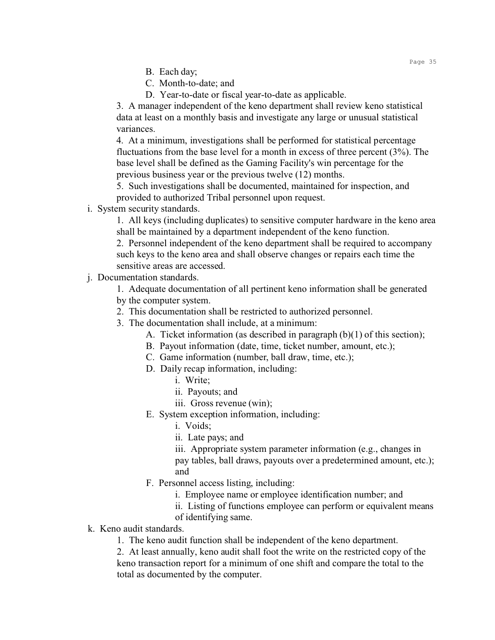- B. Each day;
- C. Month-to-date; and
- D. Year-to-date or fiscal year-to-date as applicable.

3. A manager independent of the keno department shall review keno statistical data at least on a monthly basis and investigate any large or unusual statistical variances.

4. At a minimum, investigations shall be performed for statistical percentage fluctuations from the base level for a month in excess of three percent (3%). The base level shall be defined as the Gaming Facility's win percentage for the previous business year or the previous twelve (12) months.

5. Such investigations shall be documented, maintained for inspection, and provided to authorized Tribal personnel upon request.

i. System security standards.

1. All keys (including duplicates) to sensitive computer hardware in the keno area shall be maintained by a department independent of the keno function.

2. Personnel independent of the keno department shall be required to accompany such keys to the keno area and shall observe changes or repairs each time the sensitive areas are accessed.

j. Documentation standards.

1. Adequate documentation of all pertinent keno information shall be generated by the computer system.

- 2. This documentation shall be restricted to authorized personnel.
- 3. The documentation shall include, at a minimum:
	- A. Ticket information (as described in paragraph (b)(1) of this section);
	- B. Payout information (date, time, ticket number, amount, etc.);
	- C. Game information (number, ball draw, time, etc.);
	- D. Daily recap information, including:
		- i. Write;
		- ii. Payouts; and
		- iii. Gross revenue (win);
	- E. System exception information, including:
		- i. Voids;
		- ii. Late pays; and

iii. Appropriate system parameter information (e.g., changes in pay tables, ball draws, payouts over a predetermined amount, etc.); and

- F. Personnel access listing, including:
	- i. Employee name or employee identification number; and
	- ii. Listing of functions employee can perform or equivalent means
	- of identifying same.
- k. Keno audit standards.
	- 1. The keno audit function shall be independent of the keno department.

2. At least annually, keno audit shall foot the write on the restricted copy of the keno transaction report for a minimum of one shift and compare the total to the total as documented by the computer.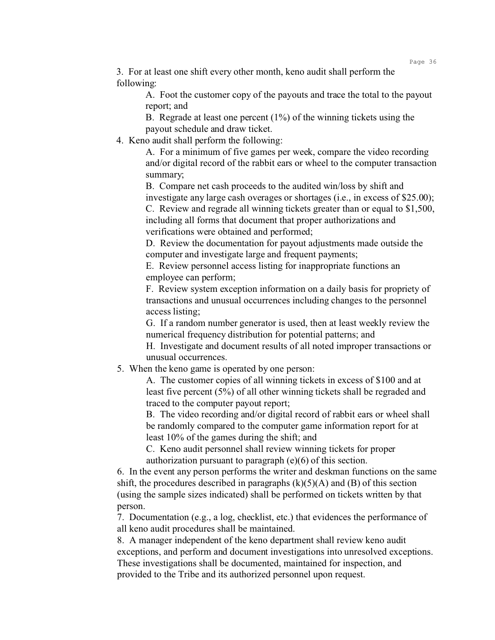3. For at least one shift every other month, keno audit shall perform the following:

> A. Foot the customer copy of the payouts and trace the total to the payout report; and

B. Regrade at least one percent (1%) of the winning tickets using the payout schedule and draw ticket.

4. Keno audit shall perform the following:

A. For a minimum of five games per week, compare the video recording and/or digital record of the rabbit ears or wheel to the computer transaction summary;

B. Compare net cash proceeds to the audited win/loss by shift and investigate any large cash overages or shortages (i.e., in excess of \$25.00); C. Review and regrade all winning tickets greater than or equal to \$1,500, including all forms that document that proper authorizations and verifications were obtained and performed;

D. Review the documentation for payout adjustments made outside the computer and investigate large and frequent payments;

E. Review personnel access listing for inappropriate functions an employee can perform;

F. Review system exception information on a daily basis for propriety of transactions and unusual occurrences including changes to the personnel access listing;

G. If a random number generator is used, then at least weekly review the numerical frequency distribution for potential patterns; and

H. Investigate and document results of all noted improper transactions or unusual occurrences.

5. When the keno game is operated by one person:

A. The customer copies of all winning tickets in excess of \$100 and at least five percent (5%) of all other winning tickets shall be regraded and traced to the computer payout report;

B. The video recording and/or digital record of rabbit ears or wheel shall be randomly compared to the computer game information report for at least 10% of the games during the shift; and

C. Keno audit personnel shall review winning tickets for proper authorization pursuant to paragraph (e)(6) of this section.

6. In the event any person performs the writer and deskman functions on the same shift, the procedures described in paragraphs  $(k)(5)(A)$  and  $(B)$  of this section (using the sample sizes indicated) shall be performed on tickets written by that person.

7. Documentation (e.g., a log, checklist, etc.) that evidences the performance of all keno audit procedures shall be maintained.

8. A manager independent of the keno department shall review keno audit exceptions, and perform and document investigations into unresolved exceptions. These investigations shall be documented, maintained for inspection, and provided to the Tribe and its authorized personnel upon request.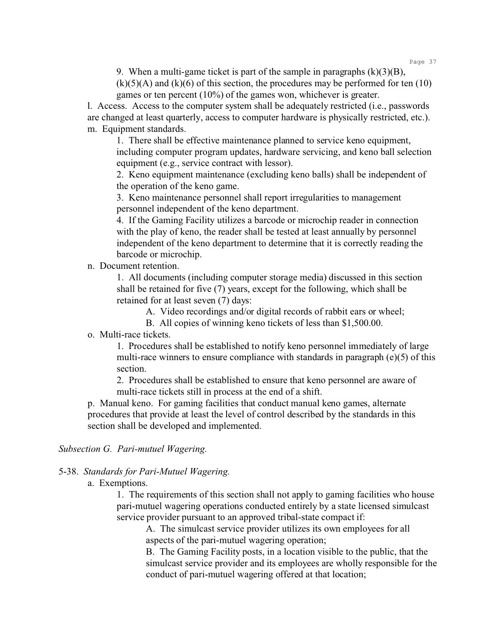9. When a multi-game ticket is part of the sample in paragraphs  $(k)(3)(B)$ ,

 $(k)(5)(A)$  and  $(k)(6)$  of this section, the procedures may be performed for ten  $(10)$ games or ten percent (10%) of the games won, whichever is greater.

l. Access. Access to the computer system shall be adequately restricted (i.e., passwords are changed at least quarterly, access to computer hardware is physically restricted, etc.). m. Equipment standards.

1. There shall be effective maintenance planned to service keno equipment, including computer program updates, hardware servicing, and keno ball selection equipment (e.g., service contract with lessor).

2. Keno equipment maintenance (excluding keno balls) shall be independent of the operation of the keno game.

3. Keno maintenance personnel shall report irregularities to management personnel independent of the keno department.

4. If the Gaming Facility utilizes a barcode or microchip reader in connection with the play of keno, the reader shall be tested at least annually by personnel independent of the keno department to determine that it is correctly reading the barcode or microchip.

n. Document retention.

1. All documents (including computer storage media) discussed in this section shall be retained for five (7) years, except for the following, which shall be retained for at least seven (7) days:

A. Video recordings and/or digital records of rabbit ears or wheel;

B. All copies of winning keno tickets of less than \$1,500.00.

o. Multi-race tickets.

1. Procedures shall be established to notify keno personnel immediately of large multi-race winners to ensure compliance with standards in paragraph (e)(5) of this section.

2. Procedures shall be established to ensure that keno personnel are aware of multi-race tickets still in process at the end of a shift.

p. Manual keno. For gaming facilities that conduct manual keno games, alternate procedures that provide at least the level of control described by the standards in this section shall be developed and implemented.

*Subsection G. Pari-mutuel Wagering.*

5-38. *Standards for Pari-Mutuel Wagering.*

a. Exemptions.

1. The requirements of this section shall not apply to gaming facilities who house pari-mutuel wagering operations conducted entirely by a state licensed simulcast service provider pursuant to an approved tribal-state compact if:

A. The simulcast service provider utilizes its own employees for all aspects of the pari-mutuel wagering operation;

B. The Gaming Facility posts, in a location visible to the public, that the simulcast service provider and its employees are wholly responsible for the conduct of pari-mutuel wagering offered at that location;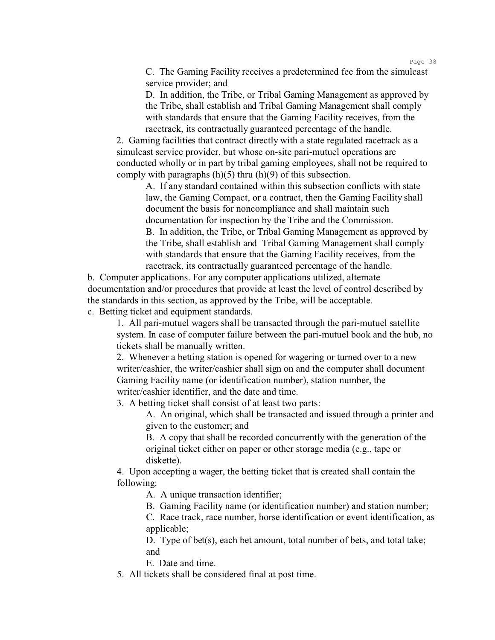C. The Gaming Facility receives a predetermined fee from the simulcast service provider; and

D. In addition, the Tribe, or Tribal Gaming Management as approved by the Tribe, shall establish and Tribal Gaming Management shall comply with standards that ensure that the Gaming Facility receives, from the racetrack, its contractually guaranteed percentage of the handle.

2. Gaming facilities that contract directly with a state regulated racetrack as a simulcast service provider, but whose on-site pari-mutuel operations are conducted wholly or in part by tribal gaming employees, shall not be required to comply with paragraphs  $(h)(5)$  thru  $(h)(9)$  of this subsection.

A. If any standard contained within this subsection conflicts with state law, the Gaming Compact, or a contract, then the Gaming Facility shall document the basis for noncompliance and shall maintain such documentation for inspection by the Tribe and the Commission. B. In addition, the Tribe, or Tribal Gaming Management as approved by the Tribe, shall establish and Tribal Gaming Management shall comply with standards that ensure that the Gaming Facility receives, from the racetrack, its contractually guaranteed percentage of the handle.

b. Computer applications. For any computer applications utilized, alternate documentation and/or procedures that provide at least the level of control described by the standards in this section, as approved by the Tribe, will be acceptable.

c. Betting ticket and equipment standards.

1. All pari-mutuel wagers shall be transacted through the pari-mutuel satellite system. In case of computer failure between the pari-mutuel book and the hub, no tickets shall be manually written.

2. Whenever a betting station is opened for wagering or turned over to a new writer/cashier, the writer/cashier shall sign on and the computer shall document Gaming Facility name (or identification number), station number, the writer/cashier identifier, and the date and time.

3. A betting ticket shall consist of at least two parts:

A. An original, which shall be transacted and issued through a printer and given to the customer; and

B. A copy that shall be recorded concurrently with the generation of the original ticket either on paper or other storage media (e.g., tape or diskette).

4. Upon accepting a wager, the betting ticket that is created shall contain the following:

A. A unique transaction identifier;

B. Gaming Facility name (or identification number) and station number;

C. Race track, race number, horse identification or event identification, as applicable;

D. Type of bet(s), each bet amount, total number of bets, and total take; and

E. Date and time.

5. All tickets shall be considered final at post time.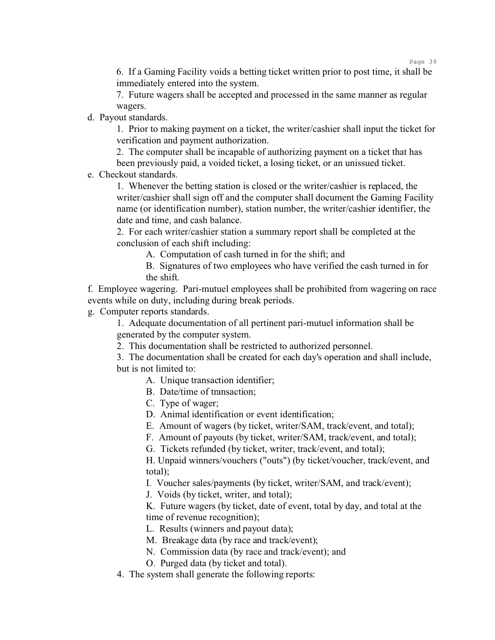6. If a Gaming Facility voids a betting ticket written prior to post time, it shall be immediately entered into the system.

7. Future wagers shall be accepted and processed in the same manner as regular wagers.

d. Payout standards.

1. Prior to making payment on a ticket, the writer/cashier shall input the ticket for verification and payment authorization.

2. The computer shall be incapable of authorizing payment on a ticket that has been previously paid, a voided ticket, a losing ticket, or an unissued ticket.

e. Checkout standards.

1. Whenever the betting station is closed or the writer/cashier is replaced, the writer/cashier shall sign off and the computer shall document the Gaming Facility name (or identification number), station number, the writer/cashier identifier, the date and time, and cash balance.

2. For each writer/cashier station a summary report shall be completed at the conclusion of each shift including:

A. Computation of cash turned in for the shift; and

B. Signatures of two employees who have verified the cash turned in for the shift.

f. Employee wagering. Pari-mutuel employees shall be prohibited from wagering on race events while on duty, including during break periods.

g. Computer reports standards.

1. Adequate documentation of all pertinent pari-mutuel information shall be generated by the computer system.

2. This documentation shall be restricted to authorized personnel.

3. The documentation shall be created for each day's operation and shall include, but is not limited to:

- A. Unique transaction identifier;
- B. Date/time of transaction;
- C. Type of wager;

D. Animal identification or event identification;

- E. Amount of wagers (by ticket, writer/SAM, track/event, and total);
- F. Amount of payouts (by ticket, writer/SAM, track/event, and total);
- G. Tickets refunded (by ticket, writer, track/event, and total);

H. Unpaid winners/vouchers ("outs") (by ticket/voucher, track/event, and total);

I. Voucher sales/payments (by ticket, writer/SAM, and track/event);

J. Voids (by ticket, writer, and total);

K. Future wagers (by ticket, date of event, total by day, and total at the time of revenue recognition);

L. Results (winners and payout data);

- M. Breakage data (by race and track/event);
- N. Commission data (by race and track/event); and
- O. Purged data (by ticket and total).
- 4. The system shall generate the following reports: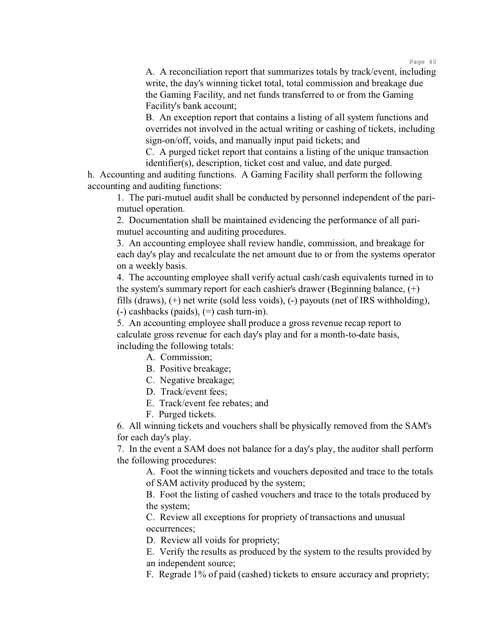A. A reconciliation report that summarizes totals by track/event, including write, the day's winning ticket total, total commission and breakage due the Gaming Facility, and net funds transferred to or from the Gaming Facility's bank account;

B. An exception report that contains a listing of all system functions and overrides not involved in the actual writing or cashing of tickets, including sign-on/off, voids, and manually input paid tickets; and

C. A purged ticket report that contains a listing of the unique transaction identifier(s), description, ticket cost and value, and date purged.

h. Accounting and auditing functions. A Gaming Facility shall perform the following accounting and auditing functions:

1. The pari-mutuel audit shall be conducted by personnel independent of the parimutuel operation.

2. Documentation shall be maintained evidencing the performance of all parimutuel accounting and auditing procedures.

3. An accounting employee shall review handle, commission, and breakage for each day's play and recalculate the net amount due to or from the systems operator on a weekly basis.

4. The accounting employee shall verify actual cash/cash equivalents turned in to the system's summary report for each cashier's drawer (Beginning balance, (+) fills (draws), (+) net write (sold less voids), (-) payouts (net of IRS withholding),  $(-)$  cashbacks (paids),  $(=)$  cash turn-in).

5. An accounting employee shall produce a gross revenue recap report to calculate gross revenue for each day's play and for a month-to-date basis, including the following totals:

A. Commission;

- B. Positive breakage;
- C. Negative breakage;
- D. Track/event fees;
- E. Track/event fee rebates; and
- F. Purged tickets.

6. All winning tickets and vouchers shall be physically removed from the SAM's for each day's play.

7. In the event a SAM does not balance for a day's play, the auditor shall perform the following procedures:

A. Foot the winning tickets and vouchers deposited and trace to the totals of SAM activity produced by the system;

B. Foot the listing of cashed vouchers and trace to the totals produced by the system;

C. Review all exceptions for propriety of transactions and unusual occurrences;

D. Review all voids for propriety;

E. Verify the results as produced by the system to the results provided by an independent source;

F. Regrade 1% of paid (cashed) tickets to ensure accuracy and propriety;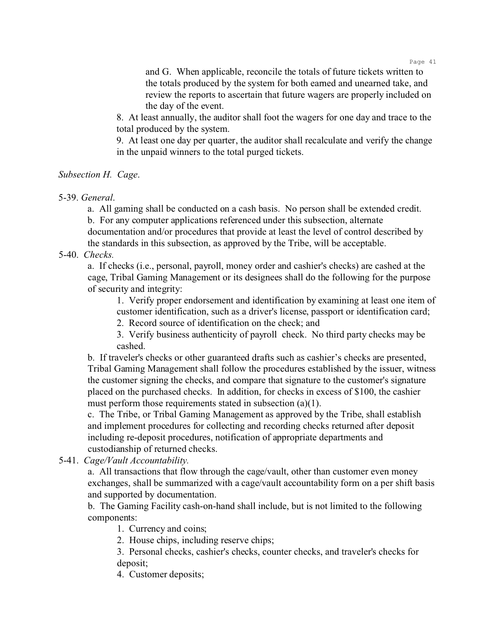and G. When applicable, reconcile the totals of future tickets written to the totals produced by the system for both earned and unearned take, and review the reports to ascertain that future wagers are properly included on the day of the event.

8. At least annually, the auditor shall foot the wagers for one day and trace to the total produced by the system.

9. At least one day per quarter, the auditor shall recalculate and verify the change in the unpaid winners to the total purged tickets.

### *Subsection H. Cage*.

5-39. *General*.

a. All gaming shall be conducted on a cash basis. No person shall be extended credit.

b. For any computer applications referenced under this subsection, alternate

documentation and/or procedures that provide at least the level of control described by the standards in this subsection, as approved by the Tribe, will be acceptable.

5-40. *Checks.*

a. If checks (i.e., personal, payroll, money order and cashier's checks) are cashed at the cage, Tribal Gaming Management or its designees shall do the following for the purpose of security and integrity:

1. Verify proper endorsement and identification by examining at least one item of customer identification, such as a driver's license, passport or identification card;

2. Record source of identification on the check; and

3. Verify business authenticity of payroll check. No third party checks may be cashed.

b. If traveler's checks or other guaranteed drafts such as cashier's checks are presented, Tribal Gaming Management shall follow the procedures established by the issuer, witness the customer signing the checks, and compare that signature to the customer's signature placed on the purchased checks. In addition, for checks in excess of \$100, the cashier must perform those requirements stated in subsection (a)(1).

c. The Tribe, or Tribal Gaming Management as approved by the Tribe, shall establish and implement procedures for collecting and recording checks returned after deposit including re-deposit procedures, notification of appropriate departments and custodianship of returned checks.

5-41. *Cage/Vault Accountability.*

a. All transactions that flow through the cage/vault, other than customer even money exchanges, shall be summarized with a cage/vault accountability form on a per shift basis and supported by documentation.

b. The Gaming Facility cash-on-hand shall include, but is not limited to the following components:

1. Currency and coins;

2. House chips, including reserve chips;

3. Personal checks, cashier's checks, counter checks, and traveler's checks for deposit;

4. Customer deposits;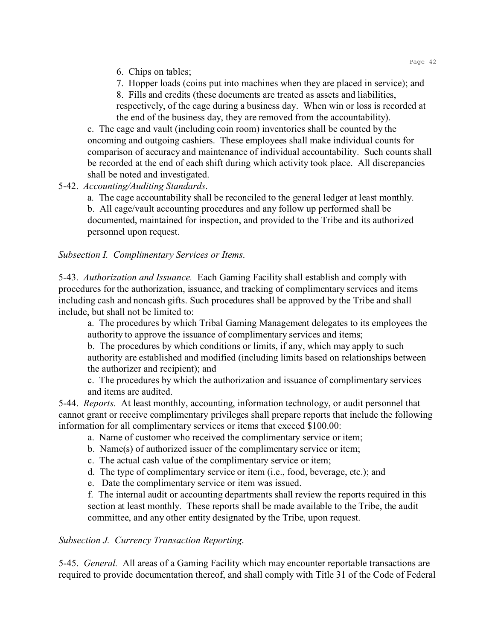6. Chips on tables;

7. Hopper loads (coins put into machines when they are placed in service); and 8. Fills and credits (these documents are treated as assets and liabilities,

respectively, of the cage during a business day. When win or loss is recorded at the end of the business day, they are removed from the accountability).

c. The cage and vault (including coin room) inventories shall be counted by the oncoming and outgoing cashiers. These employees shall make individual counts for comparison of accuracy and maintenance of individual accountability. Such counts shall be recorded at the end of each shift during which activity took place. All discrepancies shall be noted and investigated.

# 5-42. *Accounting/Auditing Standards*.

a. The cage accountability shall be reconciled to the general ledger at least monthly.

b. All cage/vault accounting procedures and any follow up performed shall be documented, maintained for inspection, and provided to the Tribe and its authorized personnel upon request.

# *Subsection I. Complimentary Services or Items*.

5-43. *Authorization and Issuance.* Each Gaming Facility shall establish and comply with procedures for the authorization, issuance, and tracking of complimentary services and items including cash and noncash gifts. Such procedures shall be approved by the Tribe and shall include, but shall not be limited to:

a. The procedures by which Tribal Gaming Management delegates to its employees the authority to approve the issuance of complimentary services and items;

b. The procedures by which conditions or limits, if any, which may apply to such authority are established and modified (including limits based on relationships between the authorizer and recipient); and

c. The procedures by which the authorization and issuance of complimentary services and items are audited.

5-44. *Reports.* At least monthly, accounting, information technology, or audit personnel that cannot grant or receive complimentary privileges shall prepare reports that include the following information for all complimentary services or items that exceed \$100.00:

- a. Name of customer who received the complimentary service or item;
- b. Name(s) of authorized issuer of the complimentary service or item;
- c. The actual cash value of the complimentary service or item;
- d. The type of complimentary service or item (i.e., food, beverage, etc.); and
- e. Date the complimentary service or item was issued.

f. The internal audit or accounting departments shall review the reports required in this section at least monthly. These reports shall be made available to the Tribe, the audit committee, and any other entity designated by the Tribe, upon request.

## *Subsection J. Currency Transaction Reporting*.

5-45. *General.* All areas of a Gaming Facility which may encounter reportable transactions are required to provide documentation thereof, and shall comply with Title 31 of the Code of Federal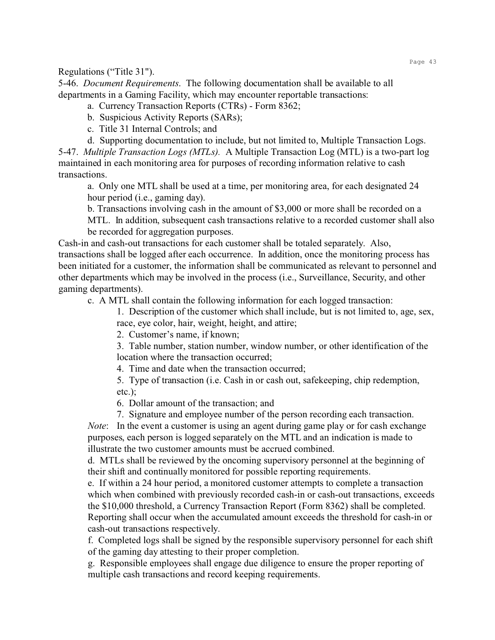Regulations ("Title 31").

5-46. *Document Requirements*. The following documentation shall be available to all departments in a Gaming Facility, which may encounter reportable transactions:

a. Currency Transaction Reports (CTRs) - Form 8362;

b. Suspicious Activity Reports (SARs);

c. Title 31 Internal Controls; and

d. Supporting documentation to include, but not limited to, Multiple Transaction Logs.

5-47. *Multiple Transaction Logs (MTLs).* A Multiple Transaction Log (MTL) is a two-part log maintained in each monitoring area for purposes of recording information relative to cash transactions.

a. Only one MTL shall be used at a time, per monitoring area, for each designated 24 hour period (i.e., gaming day).

b. Transactions involving cash in the amount of \$3,000 or more shall be recorded on a MTL. In addition, subsequent cash transactions relative to a recorded customer shall also be recorded for aggregation purposes.

Cash-in and cash-out transactions for each customer shall be totaled separately. Also, transactions shall be logged after each occurrence. In addition, once the monitoring process has been initiated for a customer, the information shall be communicated as relevant to personnel and other departments which may be involved in the process (i.e., Surveillance, Security, and other gaming departments).

c. A MTL shall contain the following information for each logged transaction:

1. Description of the customer which shall include, but is not limited to, age, sex, race, eye color, hair, weight, height, and attire;

2. Customer's name, if known;

3. Table number, station number, window number, or other identification of the location where the transaction occurred;

4. Time and date when the transaction occurred;

5. Type of transaction (i.e. Cash in or cash out, safekeeping, chip redemption, etc.);

6. Dollar amount of the transaction; and

7. Signature and employee number of the person recording each transaction.

*Note*: In the event a customer is using an agent during game play or for cash exchange purposes, each person is logged separately on the MTL and an indication is made to illustrate the two customer amounts must be accrued combined.

d. MTLs shall be reviewed by the oncoming supervisory personnel at the beginning of their shift and continually monitored for possible reporting requirements.

e. If within a 24 hour period, a monitored customer attempts to complete a transaction which when combined with previously recorded cash-in or cash-out transactions, exceeds the \$10,000 threshold, a Currency Transaction Report (Form 8362) shall be completed. Reporting shall occur when the accumulated amount exceeds the threshold for cash-in or cash-out transactions respectively.

f. Completed logs shall be signed by the responsible supervisory personnel for each shift of the gaming day attesting to their proper completion.

g. Responsible employees shall engage due diligence to ensure the proper reporting of multiple cash transactions and record keeping requirements.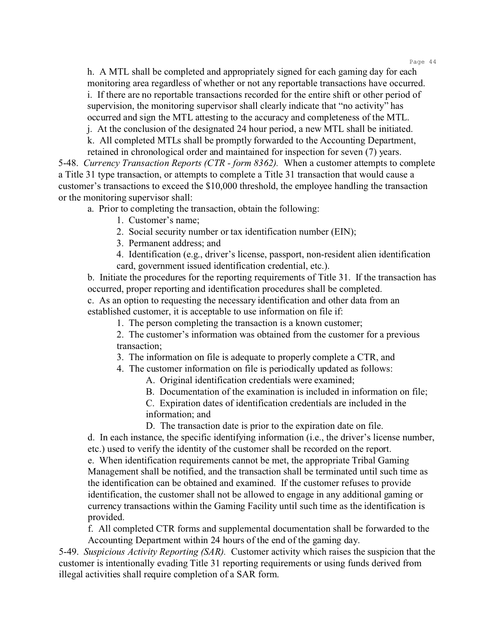h. A MTL shall be completed and appropriately signed for each gaming day for each monitoring area regardless of whether or not any reportable transactions have occurred. i. If there are no reportable transactions recorded for the entire shift or other period of supervision, the monitoring supervisor shall clearly indicate that "no activity" has occurred and sign the MTL attesting to the accuracy and completeness of the MTL.

j. At the conclusion of the designated 24 hour period, a new MTL shall be initiated.

k. All completed MTLs shall be promptly forwarded to the Accounting Department, retained in chronological order and maintained for inspection for seven (7) years.

5-48. *Currency Transaction Reports (CTR - form 8362).* When a customer attempts to complete a Title 31 type transaction, or attempts to complete a Title 31 transaction that would cause a customer's transactions to exceed the \$10,000 threshold, the employee handling the transaction or the monitoring supervisor shall:

a. Prior to completing the transaction, obtain the following:

1. Customer's name;

2. Social security number or tax identification number (EIN);

3. Permanent address; and

4. Identification (e.g., driver's license, passport, non-resident alien identification card, government issued identification credential, etc.).

b. Initiate the procedures for the reporting requirements of Title 31. If the transaction has occurred, proper reporting and identification procedures shall be completed.

c. As an option to requesting the necessary identification and other data from an established customer, it is acceptable to use information on file if:

1. The person completing the transaction is a known customer;

2. The customer's information was obtained from the customer for a previous transaction;

3. The information on file is adequate to properly complete a CTR, and

4. The customer information on file is periodically updated as follows:

A. Original identification credentials were examined;

B. Documentation of the examination is included in information on file;

C. Expiration dates of identification credentials are included in the information; and

D. The transaction date is prior to the expiration date on file.

d. In each instance, the specific identifying information (i.e., the driver's license number, etc.) used to verify the identity of the customer shall be recorded on the report.

e. When identification requirements cannot be met, the appropriate Tribal Gaming Management shall be notified, and the transaction shall be terminated until such time as the identification can be obtained and examined. If the customer refuses to provide identification, the customer shall not be allowed to engage in any additional gaming or currency transactions within the Gaming Facility until such time as the identification is provided.

f. All completed CTR forms and supplemental documentation shall be forwarded to the Accounting Department within 24 hours of the end of the gaming day.

5-49. *Suspicious Activity Reporting (SAR).* Customer activity which raises the suspicion that the customer is intentionally evading Title 31 reporting requirements or using funds derived from illegal activities shall require completion of a SAR form.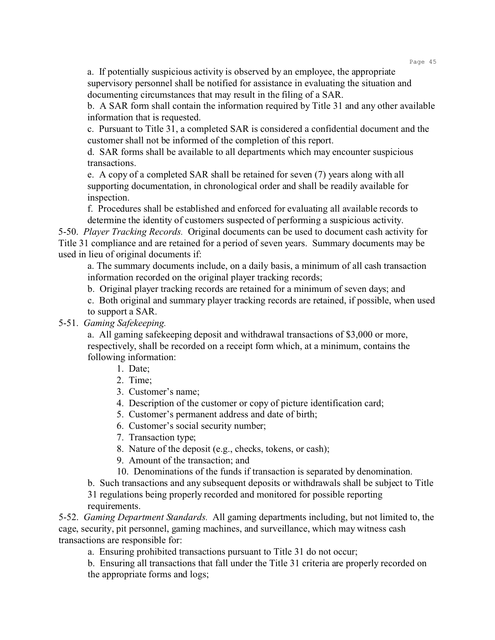a. If potentially suspicious activity is observed by an employee, the appropriate supervisory personnel shall be notified for assistance in evaluating the situation and documenting circumstances that may result in the filing of a SAR.

b. A SAR form shall contain the information required by Title 31 and any other available information that is requested.

c. Pursuant to Title 31, a completed SAR is considered a confidential document and the customer shall not be informed of the completion of this report.

d. SAR forms shall be available to all departments which may encounter suspicious transactions.

e. A copy of a completed SAR shall be retained for seven (7) years along with all supporting documentation, in chronological order and shall be readily available for inspection.

f. Procedures shall be established and enforced for evaluating all available records to determine the identity of customers suspected of performing a suspicious activity.

5-50. *Player Tracking Records.* Original documents can be used to document cash activity for Title 31 compliance and are retained for a period of seven years. Summary documents may be used in lieu of original documents if:

a. The summary documents include, on a daily basis, a minimum of all cash transaction information recorded on the original player tracking records;

b. Original player tracking records are retained for a minimum of seven days; and

c. Both original and summary player tracking records are retained, if possible, when used to support a SAR.

#### 5-51. *Gaming Safekeeping.*

a. All gaming safekeeping deposit and withdrawal transactions of \$3,000 or more, respectively, shall be recorded on a receipt form which, at a minimum, contains the following information:

- 1. Date;
- 2. Time;
- 3. Customer's name;
- 4. Description of the customer or copy of picture identification card;
- 5. Customer's permanent address and date of birth;
- 6. Customer's social security number;
- 7. Transaction type;
- 8. Nature of the deposit (e.g., checks, tokens, or cash);
- 9. Amount of the transaction; and
- 10. Denominations of the funds if transaction is separated by denomination.
- b. Such transactions and any subsequent deposits or withdrawals shall be subject to Title

31 regulations being properly recorded and monitored for possible reporting requirements.

5-52. *Gaming Department Standards.* All gaming departments including, but not limited to, the cage, security, pit personnel, gaming machines, and surveillance, which may witness cash transactions are responsible for:

a. Ensuring prohibited transactions pursuant to Title 31 do not occur;

b. Ensuring all transactions that fall under the Title 31 criteria are properly recorded on the appropriate forms and logs;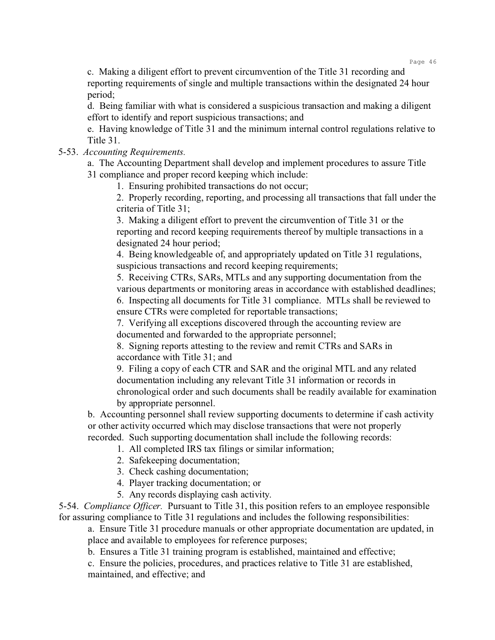c. Making a diligent effort to prevent circumvention of the Title 31 recording and reporting requirements of single and multiple transactions within the designated 24 hour period;

d. Being familiar with what is considered a suspicious transaction and making a diligent effort to identify and report suspicious transactions; and

e. Having knowledge of Title 31 and the minimum internal control regulations relative to Title 31.

5-53. *Accounting Requirements.*

a. The Accounting Department shall develop and implement procedures to assure Title 31 compliance and proper record keeping which include:

1. Ensuring prohibited transactions do not occur;

2. Properly recording, reporting, and processing all transactions that fall under the criteria of Title 31;

3. Making a diligent effort to prevent the circumvention of Title 31 or the reporting and record keeping requirements thereof by multiple transactions in a designated 24 hour period;

4. Being knowledgeable of, and appropriately updated on Title 31 regulations, suspicious transactions and record keeping requirements;

5. Receiving CTRs, SARs, MTLs and any supporting documentation from the various departments or monitoring areas in accordance with established deadlines; 6. Inspecting all documents for Title 31 compliance. MTLs shall be reviewed to

ensure CTRs were completed for reportable transactions; 7. Verifying all exceptions discovered through the accounting review are

documented and forwarded to the appropriate personnel;

8. Signing reports attesting to the review and remit CTRs and SARs in accordance with Title 31; and

9. Filing a copy of each CTR and SAR and the original MTL and any related documentation including any relevant Title 31 information or records in chronological order and such documents shall be readily available for examination by appropriate personnel.

b. Accounting personnel shall review supporting documents to determine if cash activity or other activity occurred which may disclose transactions that were not properly recorded. Such supporting documentation shall include the following records:

1. All completed IRS tax filings or similar information;

- 2. Safekeeping documentation;
- 3. Check cashing documentation;
- 4. Player tracking documentation; or
- 5. Any records displaying cash activity.

5-54. *Compliance Officer.* Pursuant to Title 31, this position refers to an employee responsible for assuring compliance to Title 31 regulations and includes the following responsibilities:

a. Ensure Title 31 procedure manuals or other appropriate documentation are updated, in place and available to employees for reference purposes;

b. Ensures a Title 31 training program is established, maintained and effective;

c. Ensure the policies, procedures, and practices relative to Title 31 are established, maintained, and effective; and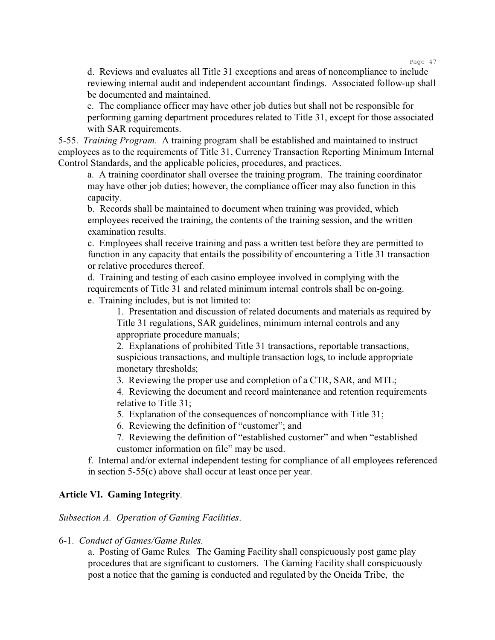d. Reviews and evaluates all Title 31 exceptions and areas of noncompliance to include reviewing internal audit and independent accountant findings. Associated follow-up shall be documented and maintained.

e. The compliance officer may have other job duties but shall not be responsible for performing gaming department procedures related to Title 31, except for those associated with SAR requirements.

5-55. *Training Program.* A training program shall be established and maintained to instruct employees as to the requirements of Title 31, Currency Transaction Reporting Minimum Internal Control Standards, and the applicable policies, procedures, and practices.

a. A training coordinator shall oversee the training program. The training coordinator may have other job duties; however, the compliance officer may also function in this capacity.

b. Records shall be maintained to document when training was provided, which employees received the training, the contents of the training session, and the written examination results.

c. Employees shall receive training and pass a written test before they are permitted to function in any capacity that entails the possibility of encountering a Title 31 transaction or relative procedures thereof.

d. Training and testing of each casino employee involved in complying with the requirements of Title 31 and related minimum internal controls shall be on-going.

e. Training includes, but is not limited to:

1. Presentation and discussion of related documents and materials as required by Title 31 regulations, SAR guidelines, minimum internal controls and any appropriate procedure manuals;

2. Explanations of prohibited Title 31 transactions, reportable transactions, suspicious transactions, and multiple transaction logs, to include appropriate monetary thresholds;

3. Reviewing the proper use and completion of a CTR, SAR, and MTL;

4. Reviewing the document and record maintenance and retention requirements relative to Title 31;

5. Explanation of the consequences of noncompliance with Title 31;

6. Reviewing the definition of "customer"; and

7. Reviewing the definition of "established customer" and when "established customer information on file" may be used.

f. Internal and/or external independent testing for compliance of all employees referenced in section 5-55(c) above shall occur at least once per year.

# **Article VI. Gaming Integrity**.

*Subsection A. Operation of Gaming Facilities*.

6-1. *Conduct of Games/Game Rules.*

a. Posting of Game Rules*.* The Gaming Facility shall conspicuously post game play procedures that are significant to customers. The Gaming Facility shall conspicuously post a notice that the gaming is conducted and regulated by the Oneida Tribe, the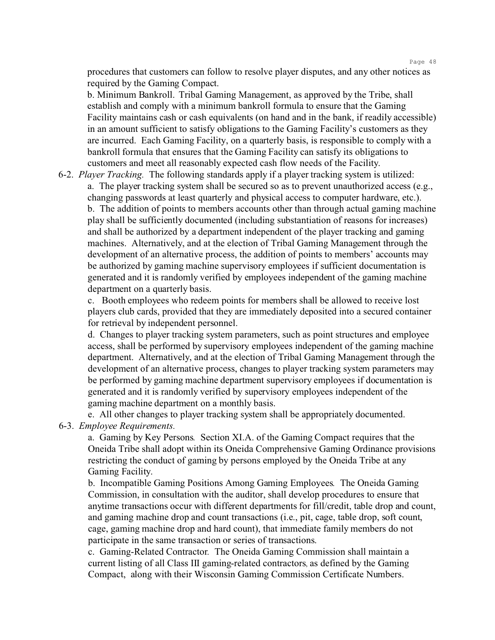procedures that customers can follow to resolve player disputes, and any other notices as required by the Gaming Compact.

b. Minimum Bankroll. Tribal Gaming Management, as approved by the Tribe, shall establish and comply with a minimum bankroll formula to ensure that the Gaming Facility maintains cash or cash equivalents (on hand and in the bank, if readily accessible) in an amount sufficient to satisfy obligations to the Gaming Facility's customers as they are incurred. Each Gaming Facility, on a quarterly basis, is responsible to comply with a bankroll formula that ensures that the Gaming Facility can satisfy its obligations to customers and meet all reasonably expected cash flow needs of the Facility.

6-2. *Player Tracking.* The following standards apply if a player tracking system is utilized: a. The player tracking system shall be secured so as to prevent unauthorized access (e.g., changing passwords at least quarterly and physical access to computer hardware, etc.). b. The addition of points to members accounts other than through actual gaming machine play shall be sufficiently documented (including substantiation of reasons for increases) and shall be authorized by a department independent of the player tracking and gaming machines. Alternatively, and at the election of Tribal Gaming Management through the development of an alternative process, the addition of points to members' accounts may be authorized by gaming machine supervisory employees if sufficient documentation is generated and it is randomly verified by employees independent of the gaming machine department on a quarterly basis.

c. Booth employees who redeem points for members shall be allowed to receive lost players club cards, provided that they are immediately deposited into a secured container for retrieval by independent personnel.

d. Changes to player tracking system parameters, such as point structures and employee access, shall be performed by supervisory employees independent of the gaming machine department. Alternatively, and at the election of Tribal Gaming Management through the development of an alternative process, changes to player tracking system parameters may be performed by gaming machine department supervisory employees if documentation is generated and it is randomly verified by supervisory employees independent of the gaming machine department on a monthly basis.

e. All other changes to player tracking system shall be appropriately documented.

#### 6-3. *Employee Requirements.*

a. Gaming by Key Persons*.* Section XI.A. of the Gaming Compact requires that the Oneida Tribe shall adopt within its Oneida Comprehensive Gaming Ordinance provisions restricting the conduct of gaming by persons employed by the Oneida Tribe at any Gaming Facility.

b. Incompatible Gaming Positions Among Gaming Employees*.* The Oneida Gaming Commission, in consultation with the auditor, shall develop procedures to ensure that anytime transactions occur with different departments for fill/credit, table drop and count, and gaming machine drop and count transactions (i.e., pit, cage, table drop, soft count, cage, gaming machine drop and hard count), that immediate family members do not participate in the same transaction or series of transactions.

c. Gaming-Related Contractor*.* The Oneida Gaming Commission shall maintain a current listing of all Class III gaming-related contractors, as defined by the Gaming Compact, along with their Wisconsin Gaming Commission Certificate Numbers.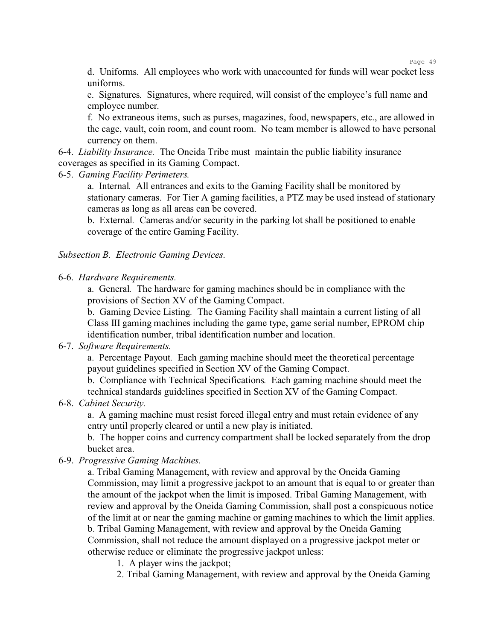d. Uniforms*.* All employees who work with unaccounted for funds will wear pocket less uniforms.

e. Signatures*.* Signatures, where required, will consist of the employee's full name and employee number.

f. No extraneous items, such as purses, magazines, food, newspapers, etc., are allowed in the cage, vault, coin room, and count room. No team member is allowed to have personal currency on them.

6-4. *Liability Insurance.* The Oneida Tribe must maintain the public liability insurance coverages as specified in its Gaming Compact.

6-5. *Gaming Facility Perimeters.*

a. Internal*.* All entrances and exits to the Gaming Facility shall be monitored by stationary cameras. For Tier A gaming facilities, a PTZ may be used instead of stationary cameras as long as all areas can be covered.

b. External*.* Cameras and/or security in the parking lot shall be positioned to enable coverage of the entire Gaming Facility.

*Subsection B. Electronic Gaming Devices*.

6-6. *Hardware Requirements.*

a. General*.* The hardware for gaming machines should be in compliance with the provisions of Section XV of the Gaming Compact.

b. Gaming Device Listing*.* The Gaming Facility shall maintain a current listing of all Class III gaming machines including the game type, game serial number, EPROM chip identification number, tribal identification number and location.

#### 6-7. *Software Requirements.*

a. Percentage Payout*.* Each gaming machine should meet the theoretical percentage payout guidelines specified in Section XV of the Gaming Compact.

b. Compliance with Technical Specifications*.* Each gaming machine should meet the technical standards guidelines specified in Section XV of the Gaming Compact.

6-8. *Cabinet Security.*

a. A gaming machine must resist forced illegal entry and must retain evidence of any entry until properly cleared or until a new play is initiated.

b. The hopper coins and currency compartment shall be locked separately from the drop bucket area.

## 6-9. *Progressive Gaming Machines.*

a. Tribal Gaming Management, with review and approval by the Oneida Gaming Commission, may limit a progressive jackpot to an amount that is equal to or greater than the amount of the jackpot when the limit is imposed. Tribal Gaming Management, with review and approval by the Oneida Gaming Commission, shall post a conspicuous notice of the limit at or near the gaming machine or gaming machines to which the limit applies. b. Tribal Gaming Management, with review and approval by the Oneida Gaming Commission, shall not reduce the amount displayed on a progressive jackpot meter or otherwise reduce or eliminate the progressive jackpot unless:

- 1. A player wins the jackpot;
- 2. Tribal Gaming Management, with review and approval by the Oneida Gaming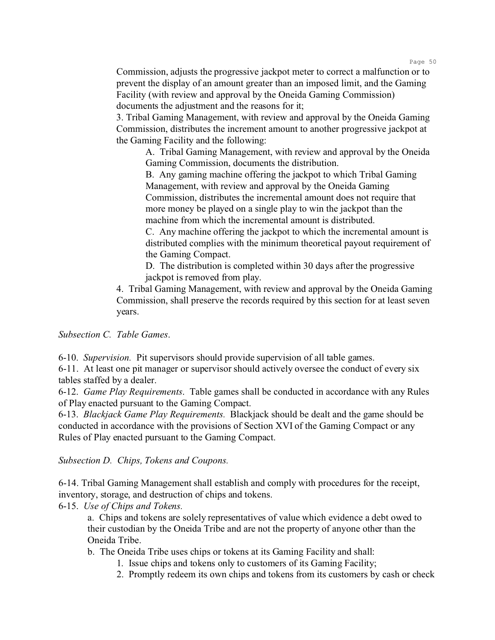Commission, adjusts the progressive jackpot meter to correct a malfunction or to prevent the display of an amount greater than an imposed limit, and the Gaming Facility (with review and approval by the Oneida Gaming Commission) documents the adjustment and the reasons for it;

3. Tribal Gaming Management, with review and approval by the Oneida Gaming Commission, distributes the increment amount to another progressive jackpot at the Gaming Facility and the following:

A. Tribal Gaming Management, with review and approval by the Oneida Gaming Commission, documents the distribution.

B. Any gaming machine offering the jackpot to which Tribal Gaming Management, with review and approval by the Oneida Gaming Commission, distributes the incremental amount does not require that more money be played on a single play to win the jackpot than the machine from which the incremental amount is distributed.

C. Any machine offering the jackpot to which the incremental amount is distributed complies with the minimum theoretical payout requirement of the Gaming Compact.

D. The distribution is completed within 30 days after the progressive jackpot is removed from play.

4. Tribal Gaming Management, with review and approval by the Oneida Gaming Commission, shall preserve the records required by this section for at least seven years.

*Subsection C. Table Games*.

6-10. *Supervision.* Pit supervisors should provide supervision of all table games.

6-11. At least one pit manager or supervisor should actively oversee the conduct of every six tables staffed by a dealer.

6-12. *Game Play Requirements*. Table games shall be conducted in accordance with any Rules of Play enacted pursuant to the Gaming Compact.

6-13. *Blackjack Game Play Requirements.* Blackjack should be dealt and the game should be conducted in accordance with the provisions of Section XVI of the Gaming Compact or any Rules of Play enacted pursuant to the Gaming Compact.

*Subsection D. Chips, Tokens and Coupons.*

6-14. Tribal Gaming Management shall establish and comply with procedures for the receipt, inventory, storage, and destruction of chips and tokens.

6-15. *Use of Chips and Tokens.*

a. Chips and tokens are solely representatives of value which evidence a debt owed to their custodian by the Oneida Tribe and are not the property of anyone other than the Oneida Tribe.

b. The Oneida Tribe uses chips or tokens at its Gaming Facility and shall:

- 1. Issue chips and tokens only to customers of its Gaming Facility;
- 2. Promptly redeem its own chips and tokens from its customers by cash or check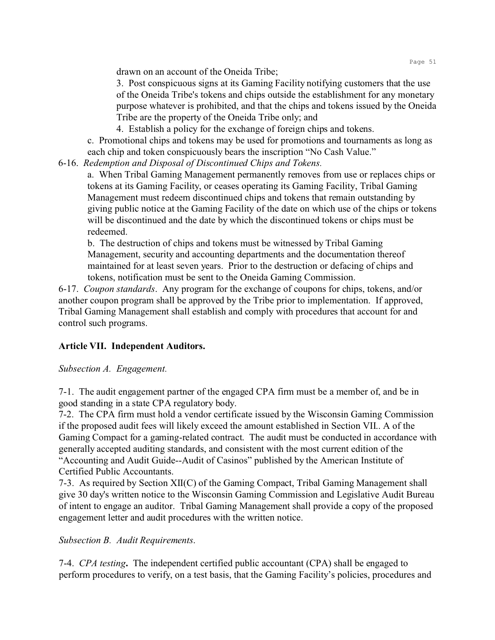drawn on an account of the Oneida Tribe;

3. Post conspicuous signs at its Gaming Facility notifying customers that the use of the Oneida Tribe's tokens and chips outside the establishment for any monetary purpose whatever is prohibited, and that the chips and tokens issued by the Oneida Tribe are the property of the Oneida Tribe only; and

4. Establish a policy for the exchange of foreign chips and tokens.

c. Promotional chips and tokens may be used for promotions and tournaments as long as each chip and token conspicuously bears the inscription "No Cash Value."

6-16. *Redemption and Disposal of Discontinued Chips and Tokens.*

a. When Tribal Gaming Management permanently removes from use or replaces chips or tokens at its Gaming Facility, or ceases operating its Gaming Facility, Tribal Gaming Management must redeem discontinued chips and tokens that remain outstanding by giving public notice at the Gaming Facility of the date on which use of the chips or tokens will be discontinued and the date by which the discontinued tokens or chips must be redeemed.

b. The destruction of chips and tokens must be witnessed by Tribal Gaming Management, security and accounting departments and the documentation thereof maintained for at least seven years. Prior to the destruction or defacing of chips and tokens, notification must be sent to the Oneida Gaming Commission.

6-17. *Coupon standards*. Any program for the exchange of coupons for chips, tokens, and/or another coupon program shall be approved by the Tribe prior to implementation. If approved, Tribal Gaming Management shall establish and comply with procedures that account for and control such programs.

# **Article VII. Independent Auditors.**

*Subsection A. Engagement.*

7-1. The audit engagement partner of the engaged CPA firm must be a member of, and be in good standing in a state CPA regulatory body.

7-2. The CPA firm must hold a vendor certificate issued by the Wisconsin Gaming Commission if the proposed audit fees will likely exceed the amount established in Section VII.. A of the Gaming Compact for a gaming-related contract. The audit must be conducted in accordance with generally accepted auditing standards, and consistent with the most current edition of the "Accounting and Audit Guide--Audit of Casinos" published by the American Institute of Certified Public Accountants.

7-3. As required by Section XII(C) of the Gaming Compact, Tribal Gaming Management shall give 30 day's written notice to the Wisconsin Gaming Commission and Legislative Audit Bureau of intent to engage an auditor. Tribal Gaming Management shall provide a copy of the proposed engagement letter and audit procedures with the written notice.

# *Subsection B. Audit Requirements*.

7-4. *CPA testing***.** The independent certified public accountant (CPA) shall be engaged to perform procedures to verify, on a test basis, that the Gaming Facility's policies, procedures and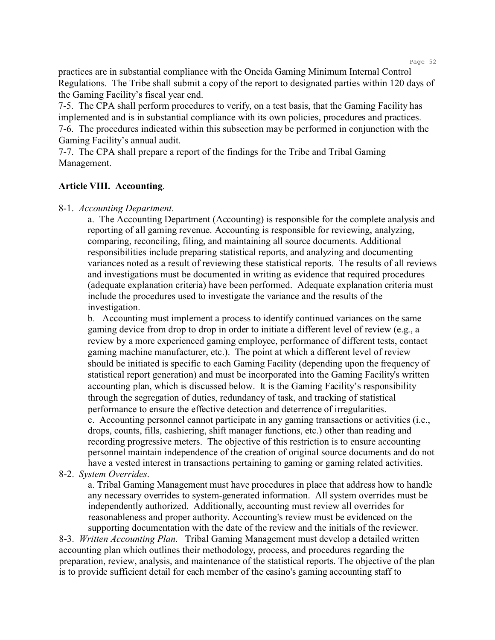practices are in substantial compliance with the Oneida Gaming Minimum Internal Control Regulations. The Tribe shall submit a copy of the report to designated parties within 120 days of the Gaming Facility's fiscal year end.

7-5. The CPA shall perform procedures to verify, on a test basis, that the Gaming Facility has implemented and is in substantial compliance with its own policies, procedures and practices. 7-6. The procedures indicated within this subsection may be performed in conjunction with the Gaming Facility's annual audit.

7-7. The CPA shall prepare a report of the findings for the Tribe and Tribal Gaming Management.

### **Article VIII. Accounting**.

#### 8-1. *Accounting Department*.

a. The Accounting Department (Accounting) is responsible for the complete analysis and reporting of all gaming revenue. Accounting is responsible for reviewing, analyzing, comparing, reconciling, filing, and maintaining all source documents. Additional responsibilities include preparing statistical reports, and analyzing and documenting variances noted as a result of reviewing these statistical reports. The results of all reviews and investigations must be documented in writing as evidence that required procedures (adequate explanation criteria) have been performed. Adequate explanation criteria must include the procedures used to investigate the variance and the results of the investigation.

b. Accounting must implement a process to identify continued variances on the same gaming device from drop to drop in order to initiate a different level of review (e.g., a review by a more experienced gaming employee, performance of different tests, contact gaming machine manufacturer, etc.). The point at which a different level of review should be initiated is specific to each Gaming Facility (depending upon the frequency of statistical report generation) and must be incorporated into the Gaming Facility's written accounting plan, which is discussed below. It is the Gaming Facility's responsibility through the segregation of duties, redundancy of task, and tracking of statistical performance to ensure the effective detection and deterrence of irregularities. c. Accounting personnel cannot participate in any gaming transactions or activities (i.e., drops, counts, fills, cashiering, shift manager functions, etc.) other than reading and recording progressive meters. The objective of this restriction is to ensure accounting personnel maintain independence of the creation of original source documents and do not have a vested interest in transactions pertaining to gaming or gaming related activities.

#### 8-2. *System Overrides*.

a. Tribal Gaming Management must have procedures in place that address how to handle any necessary overrides to system-generated information. All system overrides must be independently authorized. Additionally, accounting must review all overrides for reasonableness and proper authority. Accounting's review must be evidenced on the supporting documentation with the date of the review and the initials of the reviewer.

8-3. *Written Accounting Plan*. Tribal Gaming Management must develop a detailed written accounting plan which outlines their methodology, process, and procedures regarding the preparation, review, analysis, and maintenance of the statistical reports. The objective of the plan is to provide sufficient detail for each member of the casino's gaming accounting staff to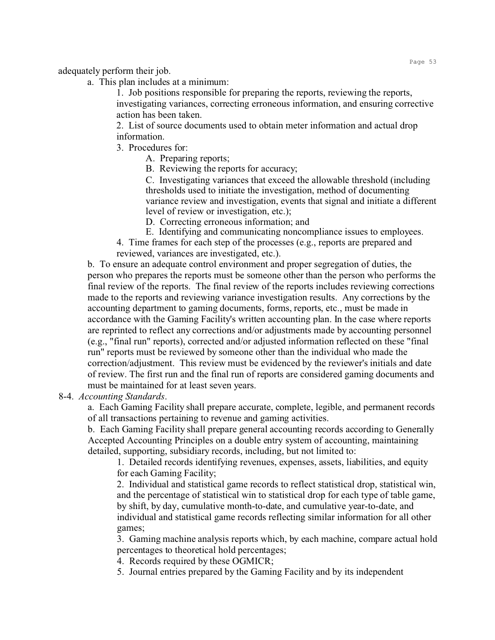adequately perform their job.

a. This plan includes at a minimum:

1. Job positions responsible for preparing the reports, reviewing the reports, investigating variances, correcting erroneous information, and ensuring corrective action has been taken.

2. List of source documents used to obtain meter information and actual drop information.

- 3. Procedures for:
	- A. Preparing reports;
	- B. Reviewing the reports for accuracy;

C. Investigating variances that exceed the allowable threshold (including thresholds used to initiate the investigation, method of documenting variance review and investigation, events that signal and initiate a different level of review or investigation, etc.);

D. Correcting erroneous information; and

- E. Identifying and communicating noncompliance issues to employees.
- 4. Time frames for each step of the processes (e.g., reports are prepared and reviewed, variances are investigated, etc.).

b. To ensure an adequate control environment and proper segregation of duties, the person who prepares the reports must be someone other than the person who performs the final review of the reports. The final review of the reports includes reviewing corrections made to the reports and reviewing variance investigation results. Any corrections by the accounting department to gaming documents, forms, reports, etc., must be made in accordance with the Gaming Facility's written accounting plan. In the case where reports are reprinted to reflect any corrections and/or adjustments made by accounting personnel (e.g., "final run" reports), corrected and/or adjusted information reflected on these "final run" reports must be reviewed by someone other than the individual who made the correction/adjustment. This review must be evidenced by the reviewer's initials and date of review. The first run and the final run of reports are considered gaming documents and must be maintained for at least seven years.

8-4. *Accounting Standards*.

a. Each Gaming Facility shall prepare accurate, complete, legible, and permanent records of all transactions pertaining to revenue and gaming activities.

b. Each Gaming Facility shall prepare general accounting records according to Generally Accepted Accounting Principles on a double entry system of accounting, maintaining detailed, supporting, subsidiary records, including, but not limited to:

1. Detailed records identifying revenues, expenses, assets, liabilities, and equity for each Gaming Facility;

2. Individual and statistical game records to reflect statistical drop, statistical win, and the percentage of statistical win to statistical drop for each type of table game, by shift, by day, cumulative month-to-date, and cumulative year-to-date, and individual and statistical game records reflecting similar information for all other games;

3. Gaming machine analysis reports which, by each machine, compare actual hold percentages to theoretical hold percentages;

- 4. Records required by these OGMICR;
- 5. Journal entries prepared by the Gaming Facility and by its independent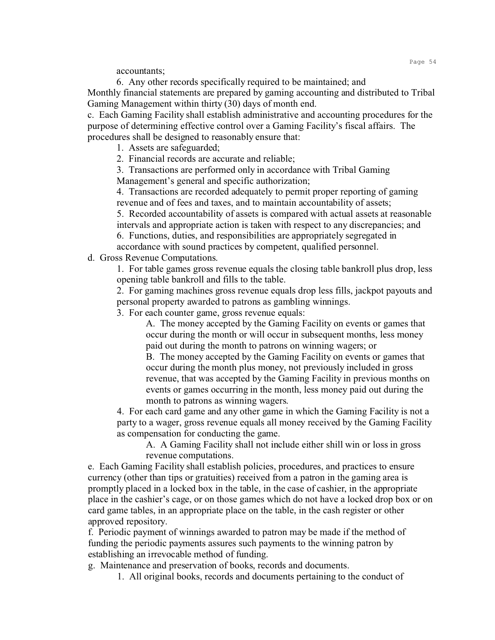accountants;

6. Any other records specifically required to be maintained; and Monthly financial statements are prepared by gaming accounting and distributed to Tribal Gaming Management within thirty (30) days of month end.

c. Each Gaming Facility shall establish administrative and accounting procedures for the purpose of determining effective control over a Gaming Facility's fiscal affairs. The procedures shall be designed to reasonably ensure that:

1. Assets are safeguarded;

2. Financial records are accurate and reliable;

3. Transactions are performed only in accordance with Tribal Gaming Management's general and specific authorization;

4. Transactions are recorded adequately to permit proper reporting of gaming revenue and of fees and taxes, and to maintain accountability of assets;

5. Recorded accountability of assets is compared with actual assets at reasonable intervals and appropriate action is taken with respect to any discrepancies; and

6. Functions, duties, and responsibilities are appropriately segregated in accordance with sound practices by competent, qualified personnel.

d. Gross Revenue Computations.

1. For table games gross revenue equals the closing table bankroll plus drop, less opening table bankroll and fills to the table.

2. For gaming machines gross revenue equals drop less fills, jackpot payouts and personal property awarded to patrons as gambling winnings.

3. For each counter game, gross revenue equals:

A. The money accepted by the Gaming Facility on events or games that occur during the month or will occur in subsequent months, less money paid out during the month to patrons on winning wagers; or

B. The money accepted by the Gaming Facility on events or games that occur during the month plus money, not previously included in gross revenue, that was accepted by the Gaming Facility in previous months on events or games occurring in the month, less money paid out during the month to patrons as winning wagers.

4. For each card game and any other game in which the Gaming Facility is not a party to a wager, gross revenue equals all money received by the Gaming Facility as compensation for conducting the game.

A. A Gaming Facility shall not include either shill win or loss in gross revenue computations.

e. Each Gaming Facility shall establish policies, procedures, and practices to ensure currency (other than tips or gratuities) received from a patron in the gaming area is promptly placed in a locked box in the table, in the case of cashier, in the appropriate place in the cashier's cage, or on those games which do not have a locked drop box or on card game tables, in an appropriate place on the table, in the cash register or other approved repository.

f. Periodic payment of winnings awarded to patron may be made if the method of funding the periodic payments assures such payments to the winning patron by establishing an irrevocable method of funding.

g. Maintenance and preservation of books, records and documents.

1. All original books, records and documents pertaining to the conduct of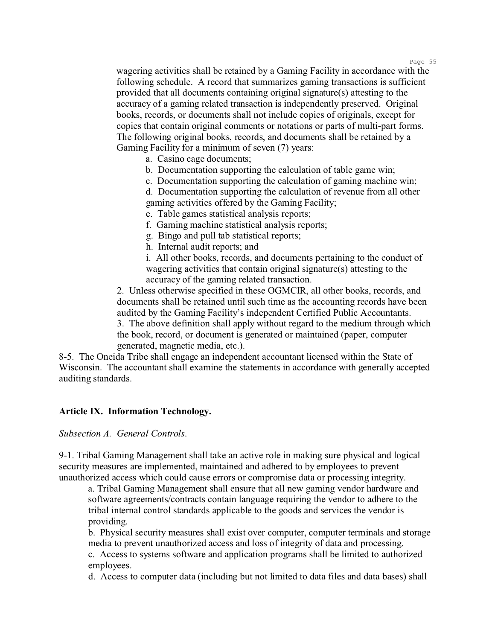wagering activities shall be retained by a Gaming Facility in accordance with the following schedule. A record that summarizes gaming transactions is sufficient provided that all documents containing original signature(s) attesting to the accuracy of a gaming related transaction is independently preserved. Original books, records, or documents shall not include copies of originals, except for copies that contain original comments or notations or parts of multi-part forms. The following original books, records, and documents shall be retained by a Gaming Facility for a minimum of seven (7) years:

- a. Casino cage documents;
- b. Documentation supporting the calculation of table game win;
- c. Documentation supporting the calculation of gaming machine win;

d. Documentation supporting the calculation of revenue from all other gaming activities offered by the Gaming Facility;

- e. Table games statistical analysis reports;
- f. Gaming machine statistical analysis reports;
- g. Bingo and pull tab statistical reports;
- h. Internal audit reports; and

i. All other books, records, and documents pertaining to the conduct of wagering activities that contain original signature(s) attesting to the accuracy of the gaming related transaction.

2. Unless otherwise specified in these OGMCIR, all other books, records, and documents shall be retained until such time as the accounting records have been audited by the Gaming Facility's independent Certified Public Accountants.

3. The above definition shall apply without regard to the medium through which the book, record, or document is generated or maintained (paper, computer generated, magnetic media, etc.).

8-5. The Oneida Tribe shall engage an independent accountant licensed within the State of Wisconsin. The accountant shall examine the statements in accordance with generally accepted auditing standards.

## **Article IX. Information Technology.**

*Subsection A. General Controls*.

9-1. Tribal Gaming Management shall take an active role in making sure physical and logical security measures are implemented, maintained and adhered to by employees to prevent unauthorized access which could cause errors or compromise data or processing integrity.

a. Tribal Gaming Management shall ensure that all new gaming vendor hardware and software agreements/contracts contain language requiring the vendor to adhere to the tribal internal control standards applicable to the goods and services the vendor is providing.

b. Physical security measures shall exist over computer, computer terminals and storage media to prevent unauthorized access and loss of integrity of data and processing.

c. Access to systems software and application programs shall be limited to authorized employees.

d. Access to computer data (including but not limited to data files and data bases) shall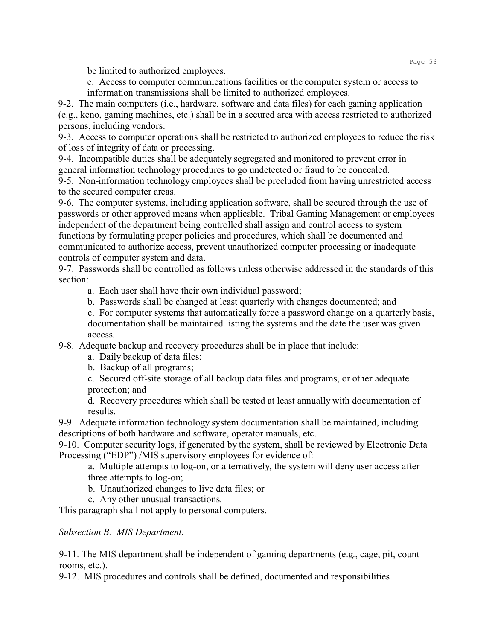be limited to authorized employees.

e. Access to computer communications facilities or the computer system or access to information transmissions shall be limited to authorized employees.

9-2. The main computers (i.e., hardware, software and data files) for each gaming application (e.g., keno, gaming machines, etc.) shall be in a secured area with access restricted to authorized persons, including vendors.

9-3. Access to computer operations shall be restricted to authorized employees to reduce the risk of loss of integrity of data or processing.

9-4. Incompatible duties shall be adequately segregated and monitored to prevent error in general information technology procedures to go undetected or fraud to be concealed.

9-5. Non-information technology employees shall be precluded from having unrestricted access to the secured computer areas.

9-6. The computer systems, including application software, shall be secured through the use of passwords or other approved means when applicable. Tribal Gaming Management or employees independent of the department being controlled shall assign and control access to system functions by formulating proper policies and procedures, which shall be documented and communicated to authorize access, prevent unauthorized computer processing or inadequate controls of computer system and data.

9-7. Passwords shall be controlled as follows unless otherwise addressed in the standards of this section:

a. Each user shall have their own individual password;

b. Passwords shall be changed at least quarterly with changes documented; and

c. For computer systems that automatically force a password change on a quarterly basis, documentation shall be maintained listing the systems and the date the user was given access.

9-8. Adequate backup and recovery procedures shall be in place that include:

a. Daily backup of data files;

b. Backup of all programs;

c. Secured off-site storage of all backup data files and programs, or other adequate protection; and

d. Recovery procedures which shall be tested at least annually with documentation of results.

9-9. Adequate information technology system documentation shall be maintained, including descriptions of both hardware and software, operator manuals, etc.

9-10. Computer security logs, if generated by the system, shall be reviewed by Electronic Data Processing ("EDP") /MIS supervisory employees for evidence of:

a. Multiple attempts to log-on, or alternatively, the system will deny user access after three attempts to log-on;

b. Unauthorized changes to live data files; or

c. Any other unusual transactions.

This paragraph shall not apply to personal computers.

*Subsection B. MIS Department*.

9-11. The MIS department shall be independent of gaming departments (e.g., cage, pit, count rooms, etc.).

9-12. MIS procedures and controls shall be defined, documented and responsibilities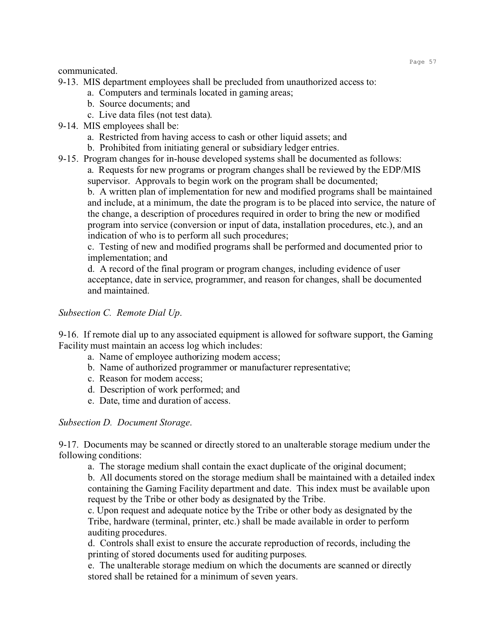communicated.

9-13. MIS department employees shall be precluded from unauthorized access to:

- a. Computers and terminals located in gaming areas;
- b. Source documents; and
- c. Live data files (not test data).
- 9-14. MIS employees shall be:
	- a. Restricted from having access to cash or other liquid assets; and
	- b. Prohibited from initiating general or subsidiary ledger entries.
- 9-15. Program changes for in-house developed systems shall be documented as follows: a. Requests for new programs or program changes shall be reviewed by the EDP/MIS supervisor. Approvals to begin work on the program shall be documented;

b. A written plan of implementation for new and modified programs shall be maintained and include, at a minimum, the date the program is to be placed into service, the nature of the change, a description of procedures required in order to bring the new or modified program into service (conversion or input of data, installation procedures, etc.), and an indication of who is to perform all such procedures;

c. Testing of new and modified programs shall be performed and documented prior to implementation; and

d. A record of the final program or program changes, including evidence of user acceptance, date in service, programmer, and reason for changes, shall be documented and maintained.

# *Subsection C. Remote Dial Up*.

9-16. If remote dial up to any associated equipment is allowed for software support, the Gaming Facility must maintain an access log which includes:

- a. Name of employee authorizing modem access;
- b. Name of authorized programmer or manufacturer representative;
- c. Reason for modem access;
- d. Description of work performed; and
- e. Date, time and duration of access.

## *Subsection D. Document Storage*.

9-17. Documents may be scanned or directly stored to an unalterable storage medium under the following conditions:

a. The storage medium shall contain the exact duplicate of the original document;

b. All documents stored on the storage medium shall be maintained with a detailed index containing the Gaming Facility department and date. This index must be available upon request by the Tribe or other body as designated by the Tribe.

c. Upon request and adequate notice by the Tribe or other body as designated by the Tribe, hardware (terminal, printer, etc.) shall be made available in order to perform auditing procedures.

d. Controls shall exist to ensure the accurate reproduction of records, including the printing of stored documents used for auditing purposes.

e. The unalterable storage medium on which the documents are scanned or directly stored shall be retained for a minimum of seven years.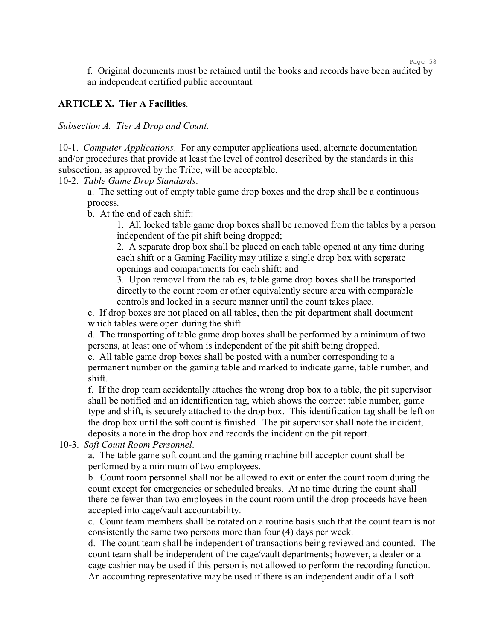f. Original documents must be retained until the books and records have been audited by an independent certified public accountant.

Page 58

# **ARTICLE X. Tier A Facilities**.

*Subsection A. Tier A Drop and Count.*

10-1. *Computer Applications*. For any computer applications used, alternate documentation and/or procedures that provide at least the level of control described by the standards in this subsection, as approved by the Tribe, will be acceptable.

## 10-2. *Table Game Drop Standards*.

a. The setting out of empty table game drop boxes and the drop shall be a continuous process.

b. At the end of each shift:

1. All locked table game drop boxes shall be removed from the tables by a person independent of the pit shift being dropped;

2. A separate drop box shall be placed on each table opened at any time during each shift or a Gaming Facility may utilize a single drop box with separate openings and compartments for each shift; and

3. Upon removal from the tables, table game drop boxes shall be transported directly to the count room or other equivalently secure area with comparable controls and locked in a secure manner until the count takes place.

c. If drop boxes are not placed on all tables, then the pit department shall document which tables were open during the shift.

d. The transporting of table game drop boxes shall be performed by a minimum of two persons, at least one of whom is independent of the pit shift being dropped.

e. All table game drop boxes shall be posted with a number corresponding to a permanent number on the gaming table and marked to indicate game, table number, and shift.

f. If the drop team accidentally attaches the wrong drop box to a table, the pit supervisor shall be notified and an identification tag, which shows the correct table number, game type and shift, is securely attached to the drop box. This identification tag shall be left on the drop box until the soft count is finished. The pit supervisor shall note the incident, deposits a note in the drop box and records the incident on the pit report.

10-3. *Soft Count Room Personnel*.

a. The table game soft count and the gaming machine bill acceptor count shall be performed by a minimum of two employees.

b. Count room personnel shall not be allowed to exit or enter the count room during the count except for emergencies or scheduled breaks. At no time during the count shall there be fewer than two employees in the count room until the drop proceeds have been accepted into cage/vault accountability.

c. Count team members shall be rotated on a routine basis such that the count team is not consistently the same two persons more than four (4) days per week.

d. The count team shall be independent of transactions being reviewed and counted. The count team shall be independent of the cage/vault departments; however, a dealer or a cage cashier may be used if this person is not allowed to perform the recording function. An accounting representative may be used if there is an independent audit of all soft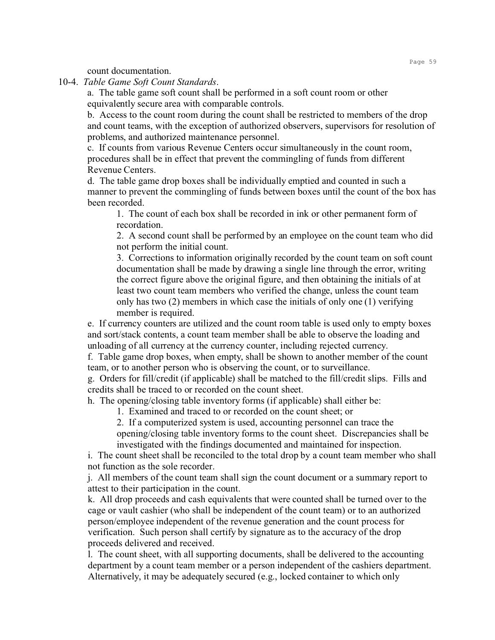count documentation.

10-4. *Table Game Soft Count Standards*.

a. The table game soft count shall be performed in a soft count room or other equivalently secure area with comparable controls.

b. Access to the count room during the count shall be restricted to members of the drop and count teams, with the exception of authorized observers, supervisors for resolution of problems, and authorized maintenance personnel.

c. If counts from various Revenue Centers occur simultaneously in the count room, procedures shall be in effect that prevent the commingling of funds from different Revenue Centers.

d. The table game drop boxes shall be individually emptied and counted in such a manner to prevent the commingling of funds between boxes until the count of the box has been recorded.

1. The count of each box shall be recorded in ink or other permanent form of recordation.

2. A second count shall be performed by an employee on the count team who did not perform the initial count.

3. Corrections to information originally recorded by the count team on soft count documentation shall be made by drawing a single line through the error, writing the correct figure above the original figure, and then obtaining the initials of at least two count team members who verified the change, unless the count team only has two (2) members in which case the initials of only one (1) verifying member is required.

e. If currency counters are utilized and the count room table is used only to empty boxes and sort/stack contents, a count team member shall be able to observe the loading and unloading of all currency at the currency counter, including rejected currency.

f. Table game drop boxes, when empty, shall be shown to another member of the count team, or to another person who is observing the count, or to surveillance.

g. Orders for fill/credit (if applicable) shall be matched to the fill/credit slips. Fills and credits shall be traced to or recorded on the count sheet.

h. The opening/closing table inventory forms (if applicable) shall either be:

1. Examined and traced to or recorded on the count sheet; or

2. If a computerized system is used, accounting personnel can trace the

opening/closing table inventory forms to the count sheet. Discrepancies shall be investigated with the findings documented and maintained for inspection.

i. The count sheet shall be reconciled to the total drop by a count team member who shall not function as the sole recorder.

j. All members of the count team shall sign the count document or a summary report to attest to their participation in the count.

k. All drop proceeds and cash equivalents that were counted shall be turned over to the cage or vault cashier (who shall be independent of the count team) or to an authorized person/employee independent of the revenue generation and the count process for verification. Such person shall certify by signature as to the accuracy of the drop proceeds delivered and received.

l. The count sheet, with all supporting documents, shall be delivered to the accounting department by a count team member or a person independent of the cashiers department. Alternatively, it may be adequately secured (e.g., locked container to which only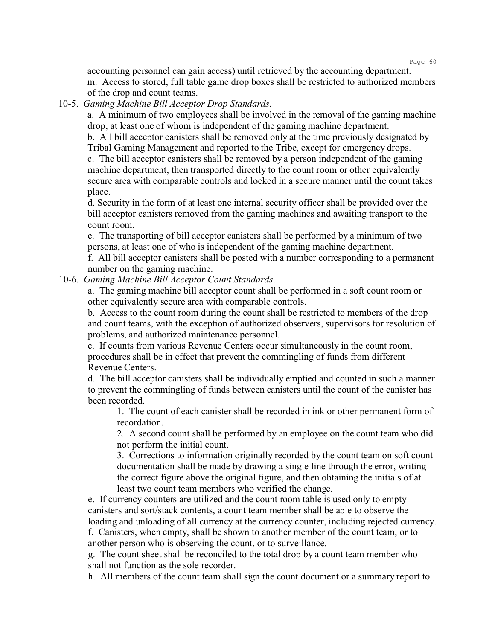accounting personnel can gain access) until retrieved by the accounting department. m. Access to stored, full table game drop boxes shall be restricted to authorized members of the drop and count teams.

10-5. *Gaming Machine Bill Acceptor Drop Standards*.

a. A minimum of two employees shall be involved in the removal of the gaming machine drop, at least one of whom is independent of the gaming machine department.

b. All bill acceptor canisters shall be removed only at the time previously designated by Tribal Gaming Management and reported to the Tribe, except for emergency drops.

c. The bill acceptor canisters shall be removed by a person independent of the gaming machine department, then transported directly to the count room or other equivalently secure area with comparable controls and locked in a secure manner until the count takes place.

d. Security in the form of at least one internal security officer shall be provided over the bill acceptor canisters removed from the gaming machines and awaiting transport to the count room.

e. The transporting of bill acceptor canisters shall be performed by a minimum of two persons, at least one of who is independent of the gaming machine department.

f. All bill acceptor canisters shall be posted with a number corresponding to a permanent number on the gaming machine.

10-6. *Gaming Machine Bill Acceptor Count Standards*.

a. The gaming machine bill acceptor count shall be performed in a soft count room or other equivalently secure area with comparable controls.

b. Access to the count room during the count shall be restricted to members of the drop and count teams, with the exception of authorized observers, supervisors for resolution of problems, and authorized maintenance personnel.

c. If counts from various Revenue Centers occur simultaneously in the count room, procedures shall be in effect that prevent the commingling of funds from different Revenue Centers.

d. The bill acceptor canisters shall be individually emptied and counted in such a manner to prevent the commingling of funds between canisters until the count of the canister has been recorded.

1. The count of each canister shall be recorded in ink or other permanent form of recordation.

2. A second count shall be performed by an employee on the count team who did not perform the initial count.

3. Corrections to information originally recorded by the count team on soft count documentation shall be made by drawing a single line through the error, writing the correct figure above the original figure, and then obtaining the initials of at least two count team members who verified the change.

e. If currency counters are utilized and the count room table is used only to empty canisters and sort/stack contents, a count team member shall be able to observe the loading and unloading of all currency at the currency counter, including rejected currency. f. Canisters, when empty, shall be shown to another member of the count team, or to

another person who is observing the count, or to surveillance.

g. The count sheet shall be reconciled to the total drop by a count team member who shall not function as the sole recorder.

h. All members of the count team shall sign the count document or a summary report to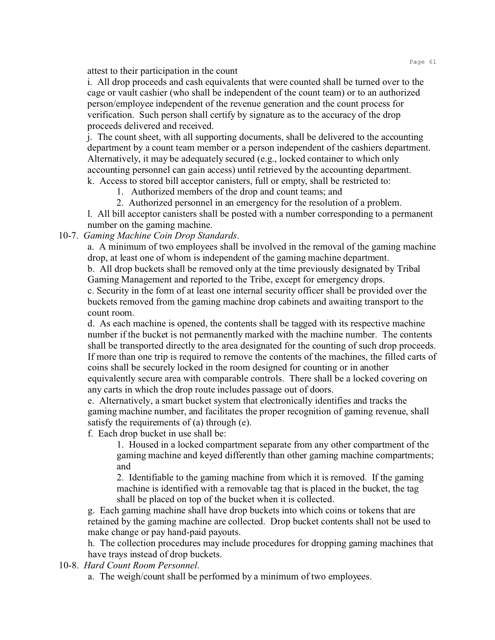attest to their participation in the count

i. All drop proceeds and cash equivalents that were counted shall be turned over to the cage or vault cashier (who shall be independent of the count team) or to an authorized person/employee independent of the revenue generation and the count process for verification. Such person shall certify by signature as to the accuracy of the drop proceeds delivered and received.

j. The count sheet, with all supporting documents, shall be delivered to the accounting department by a count team member or a person independent of the cashiers department. Alternatively, it may be adequately secured (e.g., locked container to which only accounting personnel can gain access) until retrieved by the accounting department. k. Access to stored bill acceptor canisters, full or empty, shall be restricted to:

1. Authorized members of the drop and count teams; and

2. Authorized personnel in an emergency for the resolution of a problem.

l. All bill acceptor canisters shall be posted with a number corresponding to a permanent number on the gaming machine.

10-7. *Gaming Machine Coin Drop Standards*.

a. A minimum of two employees shall be involved in the removal of the gaming machine drop, at least one of whom is independent of the gaming machine department.

b. All drop buckets shall be removed only at the time previously designated by Tribal Gaming Management and reported to the Tribe, except for emergency drops.

c. Security in the form of at least one internal security officer shall be provided over the buckets removed from the gaming machine drop cabinets and awaiting transport to the count room.

d. As each machine is opened, the contents shall be tagged with its respective machine number if the bucket is not permanently marked with the machine number. The contents shall be transported directly to the area designated for the counting of such drop proceeds. If more than one trip is required to remove the contents of the machines, the filled carts of coins shall be securely locked in the room designed for counting or in another equivalently secure area with comparable controls. There shall be a locked covering on any carts in which the drop route includes passage out of doors.

e. Alternatively, a smart bucket system that electronically identifies and tracks the gaming machine number, and facilitates the proper recognition of gaming revenue, shall satisfy the requirements of (a) through (e).

f. Each drop bucket in use shall be:

1. Housed in a locked compartment separate from any other compartment of the gaming machine and keyed differently than other gaming machine compartments; and

2. Identifiable to the gaming machine from which it is removed. If the gaming machine is identified with a removable tag that is placed in the bucket, the tag shall be placed on top of the bucket when it is collected.

g. Each gaming machine shall have drop buckets into which coins or tokens that are retained by the gaming machine are collected. Drop bucket contents shall not be used to make change or pay hand-paid payouts.

h. The collection procedures may include procedures for dropping gaming machines that have trays instead of drop buckets.

10-8. *Hard Count Room Personnel*.

a. The weigh/count shall be performed by a minimum of two employees.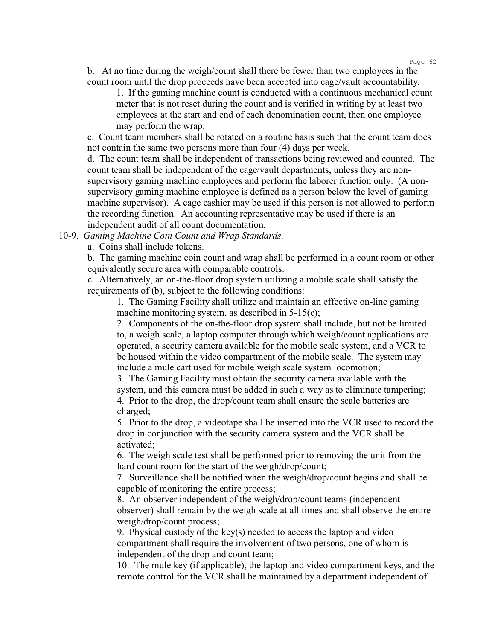b. At no time during the weigh/count shall there be fewer than two employees in the count room until the drop proceeds have been accepted into cage/vault accountability.

1. If the gaming machine count is conducted with a continuous mechanical count meter that is not reset during the count and is verified in writing by at least two employees at the start and end of each denomination count, then one employee may perform the wrap.

c. Count team members shall be rotated on a routine basis such that the count team does not contain the same two persons more than four (4) days per week.

d. The count team shall be independent of transactions being reviewed and counted. The count team shall be independent of the cage/vault departments, unless they are nonsupervisory gaming machine employees and perform the laborer function only. (A nonsupervisory gaming machine employee is defined as a person below the level of gaming machine supervisor). A cage cashier may be used if this person is not allowed to perform the recording function. An accounting representative may be used if there is an independent audit of all count documentation.

10-9. *Gaming Machine Coin Count and Wrap Standards*.

a. Coins shall include tokens.

b. The gaming machine coin count and wrap shall be performed in a count room or other equivalently secure area with comparable controls.

c. Alternatively, an on-the-floor drop system utilizing a mobile scale shall satisfy the requirements of (b), subject to the following conditions:

1. The Gaming Facility shall utilize and maintain an effective on-line gaming machine monitoring system, as described in 5-15(c);

2. Components of the on-the-floor drop system shall include, but not be limited to, a weigh scale, a laptop computer through which weigh/count applications are operated, a security camera available for the mobile scale system, and a VCR to be housed within the video compartment of the mobile scale. The system may include a mule cart used for mobile weigh scale system locomotion;

3. The Gaming Facility must obtain the security camera available with the system, and this camera must be added in such a way as to eliminate tampering; 4. Prior to the drop, the drop/count team shall ensure the scale batteries are charged;

5. Prior to the drop, a videotape shall be inserted into the VCR used to record the drop in conjunction with the security camera system and the VCR shall be activated;

6. The weigh scale test shall be performed prior to removing the unit from the hard count room for the start of the weigh/drop/count;

7. Surveillance shall be notified when the weigh/drop/count begins and shall be capable of monitoring the entire process;

8. An observer independent of the weigh/drop/count teams (independent observer) shall remain by the weigh scale at all times and shall observe the entire weigh/drop/count process;

9. Physical custody of the key(s) needed to access the laptop and video compartment shall require the involvement of two persons, one of whom is independent of the drop and count team;

10. The mule key (if applicable), the laptop and video compartment keys, and the remote control for the VCR shall be maintained by a department independent of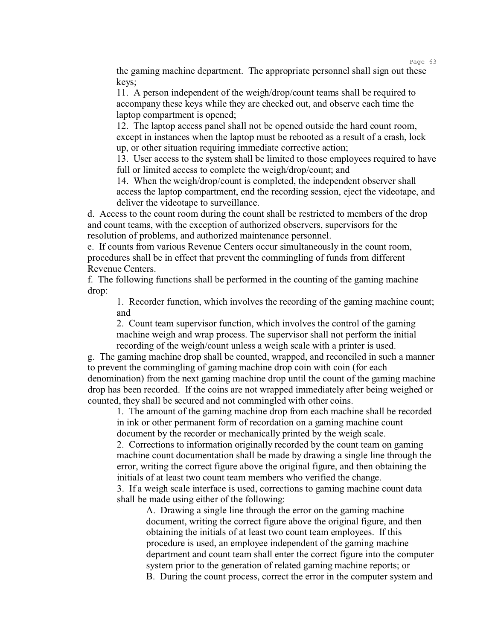the gaming machine department. The appropriate personnel shall sign out these keys;

11. A person independent of the weigh/drop/count teams shall be required to accompany these keys while they are checked out, and observe each time the laptop compartment is opened;

12. The laptop access panel shall not be opened outside the hard count room, except in instances when the laptop must be rebooted as a result of a crash, lock up, or other situation requiring immediate corrective action;

13. User access to the system shall be limited to those employees required to have full or limited access to complete the weigh/drop/count; and

14. When the weigh/drop/count is completed, the independent observer shall access the laptop compartment, end the recording session, eject the videotape, and deliver the videotape to surveillance.

d. Access to the count room during the count shall be restricted to members of the drop and count teams, with the exception of authorized observers, supervisors for the resolution of problems, and authorized maintenance personnel.

e. If counts from various Revenue Centers occur simultaneously in the count room, procedures shall be in effect that prevent the commingling of funds from different Revenue Centers.

f. The following functions shall be performed in the counting of the gaming machine drop:

1. Recorder function, which involves the recording of the gaming machine count; and

2. Count team supervisor function, which involves the control of the gaming machine weigh and wrap process. The supervisor shall not perform the initial recording of the weigh/count unless a weigh scale with a printer is used.

g. The gaming machine drop shall be counted, wrapped, and reconciled in such a manner to prevent the commingling of gaming machine drop coin with coin (for each denomination) from the next gaming machine drop until the count of the gaming machine drop has been recorded. If the coins are not wrapped immediately after being weighed or counted, they shall be secured and not commingled with other coins.

1. The amount of the gaming machine drop from each machine shall be recorded in ink or other permanent form of recordation on a gaming machine count document by the recorder or mechanically printed by the weigh scale.

2. Corrections to information originally recorded by the count team on gaming machine count documentation shall be made by drawing a single line through the error, writing the correct figure above the original figure, and then obtaining the initials of at least two count team members who verified the change.

3. If a weigh scale interface is used, corrections to gaming machine count data shall be made using either of the following:

A. Drawing a single line through the error on the gaming machine document, writing the correct figure above the original figure, and then obtaining the initials of at least two count team employees. If this procedure is used, an employee independent of the gaming machine department and count team shall enter the correct figure into the computer system prior to the generation of related gaming machine reports; or B. During the count process, correct the error in the computer system and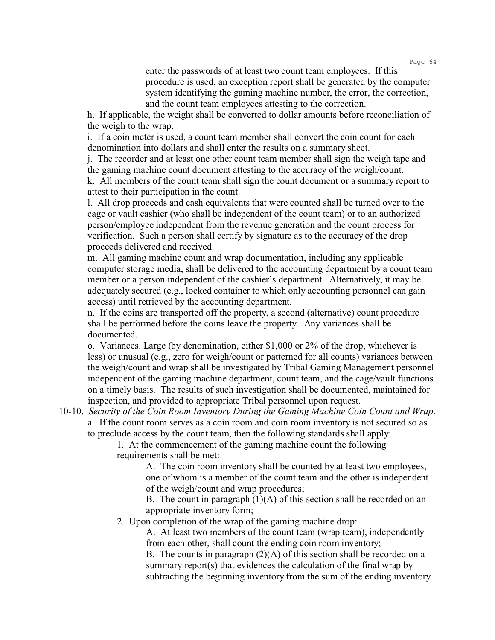enter the passwords of at least two count team employees. If this procedure is used, an exception report shall be generated by the computer system identifying the gaming machine number, the error, the correction, and the count team employees attesting to the correction.

h. If applicable, the weight shall be converted to dollar amounts before reconciliation of the weigh to the wrap.

i. If a coin meter is used, a count team member shall convert the coin count for each denomination into dollars and shall enter the results on a summary sheet.

j. The recorder and at least one other count team member shall sign the weigh tape and the gaming machine count document attesting to the accuracy of the weigh/count.

k. All members of the count team shall sign the count document or a summary report to attest to their participation in the count.

l. All drop proceeds and cash equivalents that were counted shall be turned over to the cage or vault cashier (who shall be independent of the count team) or to an authorized person/employee independent from the revenue generation and the count process for verification. Such a person shall certify by signature as to the accuracy of the drop proceeds delivered and received.

m. All gaming machine count and wrap documentation, including any applicable computer storage media, shall be delivered to the accounting department by a count team member or a person independent of the cashier's department. Alternatively, it may be adequately secured (e.g., locked container to which only accounting personnel can gain access) until retrieved by the accounting department.

n. If the coins are transported off the property, a second (alternative) count procedure shall be performed before the coins leave the property. Any variances shall be documented.

o. Variances. Large (by denomination, either \$1,000 or 2% of the drop, whichever is less) or unusual (e.g., zero for weigh/count or patterned for all counts) variances between the weigh/count and wrap shall be investigated by Tribal Gaming Management personnel independent of the gaming machine department, count team, and the cage/vault functions on a timely basis. The results of such investigation shall be documented, maintained for inspection, and provided to appropriate Tribal personnel upon request.

10-10. *Security of the Coin Room Inventory During the Gaming Machine Coin Count and Wrap*. a. If the count room serves as a coin room and coin room inventory is not secured so as to preclude access by the count team, then the following standards shall apply:

> 1. At the commencement of the gaming machine count the following requirements shall be met:

> > A. The coin room inventory shall be counted by at least two employees, one of whom is a member of the count team and the other is independent of the weigh/count and wrap procedures;

> > B. The count in paragraph  $(1)(A)$  of this section shall be recorded on an appropriate inventory form;

2. Upon completion of the wrap of the gaming machine drop:

A. At least two members of the count team (wrap team), independently from each other, shall count the ending coin room inventory;

B. The counts in paragraph  $(2)(A)$  of this section shall be recorded on a summary report(s) that evidences the calculation of the final wrap by subtracting the beginning inventory from the sum of the ending inventory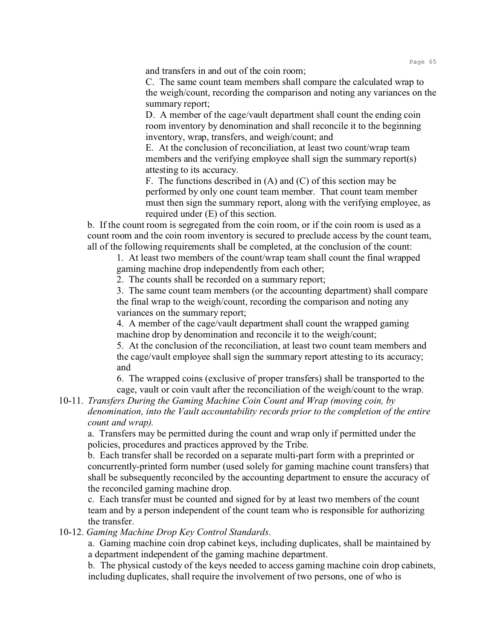and transfers in and out of the coin room;

C. The same count team members shall compare the calculated wrap to the weigh/count, recording the comparison and noting any variances on the summary report;

D. A member of the cage/vault department shall count the ending coin room inventory by denomination and shall reconcile it to the beginning inventory, wrap, transfers, and weigh/count; and

E. At the conclusion of reconciliation, at least two count/wrap team members and the verifying employee shall sign the summary report(s) attesting to its accuracy.

F. The functions described in (A) and (C) of this section may be performed by only one count team member. That count team member must then sign the summary report, along with the verifying employee, as required under (E) of this section.

b. If the count room is segregated from the coin room, or if the coin room is used as a count room and the coin room inventory is secured to preclude access by the count team, all of the following requirements shall be completed, at the conclusion of the count:

1. At least two members of the count/wrap team shall count the final wrapped gaming machine drop independently from each other;

2. The counts shall be recorded on a summary report;

3. The same count team members (or the accounting department) shall compare the final wrap to the weigh/count, recording the comparison and noting any variances on the summary report;

4. A member of the cage/vault department shall count the wrapped gaming machine drop by denomination and reconcile it to the weigh/count;

5. At the conclusion of the reconciliation, at least two count team members and the cage/vault employee shall sign the summary report attesting to its accuracy; and

6. The wrapped coins (exclusive of proper transfers) shall be transported to the cage, vault or coin vault after the reconciliation of the weigh/count to the wrap.

10-11. *Transfers During the Gaming Machine Coin Count and Wrap (moving coin, by denomination, into the Vault accountability records prior to the completion of the entire count and wrap).*

a. Transfers may be permitted during the count and wrap only if permitted under the policies, procedures and practices approved by the Tribe.

b. Each transfer shall be recorded on a separate multi-part form with a preprinted or concurrently-printed form number (used solely for gaming machine count transfers) that shall be subsequently reconciled by the accounting department to ensure the accuracy of the reconciled gaming machine drop.

c. Each transfer must be counted and signed for by at least two members of the count team and by a person independent of the count team who is responsible for authorizing the transfer.

10-12. *Gaming Machine Drop Key Control Standards*.

a. Gaming machine coin drop cabinet keys, including duplicates, shall be maintained by a department independent of the gaming machine department.

b. The physical custody of the keys needed to access gaming machine coin drop cabinets, including duplicates, shall require the involvement of two persons, one of who is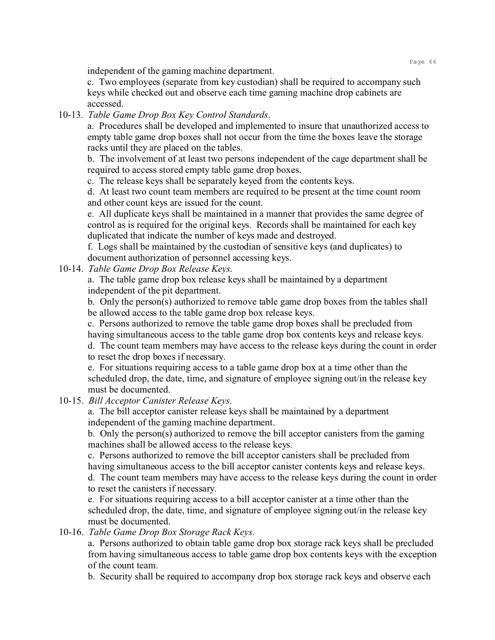independent of the gaming machine department.

c. Two employees (separate from key custodian) shall be required to accompany such keys while checked out and observe each time gaming machine drop cabinets are accessed.

## 10-13. *Table Game Drop Box Key Control Standards*.

a. Procedures shall be developed and implemented to insure that unauthorized access to empty table game drop boxes shall not occur from the time the boxes leave the storage racks until they are placed on the tables.

b. The involvement of at least two persons independent of the cage department shall be required to access stored empty table game drop boxes.

c. The release keys shall be separately keyed from the contents keys.

d. At least two count team members are required to be present at the time count room and other count keys are issued for the count.

e. All duplicate keys shall be maintained in a manner that provides the same degree of control as is required for the original keys. Records shall be maintained for each key duplicated that indicate the number of keys made and destroyed.

f. Logs shall be maintained by the custodian of sensitive keys (and duplicates) to document authorization of personnel accessing keys.

10-14. *Table Game Drop Box Release Keys*.

a. The table game drop box release keys shall be maintained by a department independent of the pit department.

b. Only the person(s) authorized to remove table game drop boxes from the tables shall be allowed access to the table game drop box release keys.

c. Persons authorized to remove the table game drop boxes shall be precluded from having simultaneous access to the table game drop box contents keys and release keys. d. The count team members may have access to the release keys during the count in order to reset the drop boxes if necessary.

e. For situations requiring access to a table game drop box at a time other than the scheduled drop, the date, time, and signature of employee signing out/in the release key must be documented.

10-15. *Bill Acceptor Canister Release Keys*.

a. The bill acceptor canister release keys shall be maintained by a department independent of the gaming machine department.

b. Only the person(s) authorized to remove the bill acceptor canisters from the gaming machines shall be allowed access to the release keys.

c. Persons authorized to remove the bill acceptor canisters shall be precluded from having simultaneous access to the bill acceptor canister contents keys and release keys. d. The count team members may have access to the release keys during the count in order to reset the canisters if necessary.

e. For situations requiring access to a bill acceptor canister at a time other than the scheduled drop, the date, time, and signature of employee signing out/in the release key must be documented.

10-16. *Table Game Drop Box Storage Rack Keys*.

a. Persons authorized to obtain table game drop box storage rack keys shall be precluded from having simultaneous access to table game drop box contents keys with the exception of the count team.

b. Security shall be required to accompany drop box storage rack keys and observe each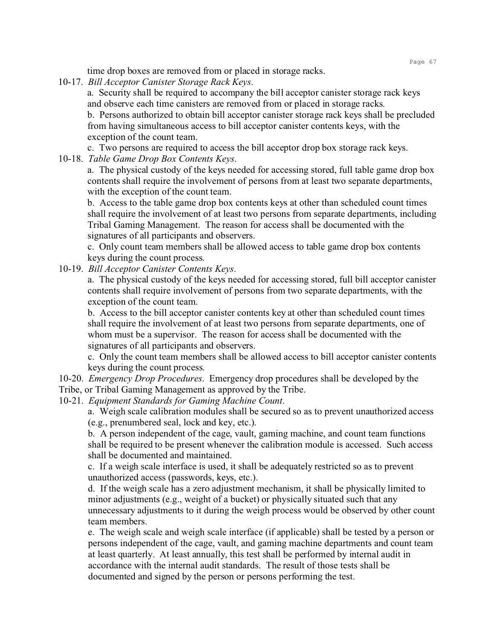time drop boxes are removed from or placed in storage racks.

10-17. *Bill Acceptor Canister Storage Rack Keys*.

a. Security shall be required to accompany the bill acceptor canister storage rack keys and observe each time canisters are removed from or placed in storage racks.

b. Persons authorized to obtain bill acceptor canister storage rack keys shall be precluded from having simultaneous access to bill acceptor canister contents keys, with the exception of the count team.

c. Two persons are required to access the bill acceptor drop box storage rack keys.

10-18. *Table Game Drop Box Contents Keys*.

a. The physical custody of the keys needed for accessing stored, full table game drop box contents shall require the involvement of persons from at least two separate departments, with the exception of the count team.

b. Access to the table game drop box contents keys at other than scheduled count times shall require the involvement of at least two persons from separate departments, including Tribal Gaming Management. The reason for access shall be documented with the signatures of all participants and observers.

c. Only count team members shall be allowed access to table game drop box contents keys during the count process.

10-19. *Bill Acceptor Canister Contents Keys*.

a. The physical custody of the keys needed for accessing stored, full bill acceptor canister contents shall require involvement of persons from two separate departments, with the exception of the count team.

b. Access to the bill acceptor canister contents key at other than scheduled count times shall require the involvement of at least two persons from separate departments, one of whom must be a supervisor. The reason for access shall be documented with the signatures of all participants and observers.

c. Only the count team members shall be allowed access to bill acceptor canister contents keys during the count process.

10-20. *Emergency Drop Procedures*. Emergency drop procedures shall be developed by the Tribe, or Tribal Gaming Management as approved by the Tribe.

10-21. *Equipment Standards for Gaming Machine Count*.

a. Weigh scale calibration modules shall be secured so as to prevent unauthorized access (e.g., prenumbered seal, lock and key, etc.).

b. A person independent of the cage, vault, gaming machine, and count team functions shall be required to be present whenever the calibration module is accessed. Such access shall be documented and maintained.

c. If a weigh scale interface is used, it shall be adequately restricted so as to prevent unauthorized access (passwords, keys, etc.).

d. If the weigh scale has a zero adjustment mechanism, it shall be physically limited to minor adjustments (e.g., weight of a bucket) or physically situated such that any unnecessary adjustments to it during the weigh process would be observed by other count team members.

e. The weigh scale and weigh scale interface (if applicable) shall be tested by a person or persons independent of the cage, vault, and gaming machine departments and count team at least quarterly. At least annually, this test shall be performed by internal audit in accordance with the internal audit standards. The result of those tests shall be documented and signed by the person or persons performing the test.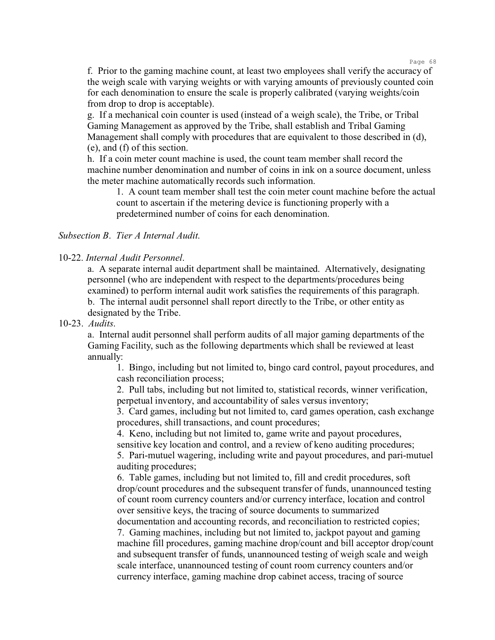f. Prior to the gaming machine count, at least two employees shall verify the accuracy of the weigh scale with varying weights or with varying amounts of previously counted coin for each denomination to ensure the scale is properly calibrated (varying weights/coin from drop to drop is acceptable).

g. If a mechanical coin counter is used (instead of a weigh scale), the Tribe, or Tribal Gaming Management as approved by the Tribe, shall establish and Tribal Gaming Management shall comply with procedures that are equivalent to those described in (d), (e), and (f) of this section.

h. If a coin meter count machine is used, the count team member shall record the machine number denomination and number of coins in ink on a source document, unless the meter machine automatically records such information.

1. A count team member shall test the coin meter count machine before the actual count to ascertain if the metering device is functioning properly with a predetermined number of coins for each denomination.

## *Subsection B*. *Tier A Internal Audit*.

#### 10-22. *Internal Audit Personnel*.

a. A separate internal audit department shall be maintained. Alternatively, designating personnel (who are independent with respect to the departments/procedures being examined) to perform internal audit work satisfies the requirements of this paragraph. b. The internal audit personnel shall report directly to the Tribe, or other entity as designated by the Tribe.

#### 10-23. *Audits*.

a. Internal audit personnel shall perform audits of all major gaming departments of the Gaming Facility, such as the following departments which shall be reviewed at least annually:

1. Bingo, including but not limited to, bingo card control, payout procedures, and cash reconciliation process;

2. Pull tabs, including but not limited to, statistical records, winner verification, perpetual inventory, and accountability of sales versus inventory;

3. Card games, including but not limited to, card games operation, cash exchange procedures, shill transactions, and count procedures;

4. Keno, including but not limited to, game write and payout procedures,

sensitive key location and control, and a review of keno auditing procedures;

5. Pari-mutuel wagering, including write and payout procedures, and pari-mutuel auditing procedures;

6. Table games, including but not limited to, fill and credit procedures, soft drop/count procedures and the subsequent transfer of funds, unannounced testing of count room currency counters and/or currency interface, location and control over sensitive keys, the tracing of source documents to summarized

documentation and accounting records, and reconciliation to restricted copies; 7. Gaming machines, including but not limited to, jackpot payout and gaming machine fill procedures, gaming machine drop/count and bill acceptor drop/count and subsequent transfer of funds, unannounced testing of weigh scale and weigh scale interface, unannounced testing of count room currency counters and/or currency interface, gaming machine drop cabinet access, tracing of source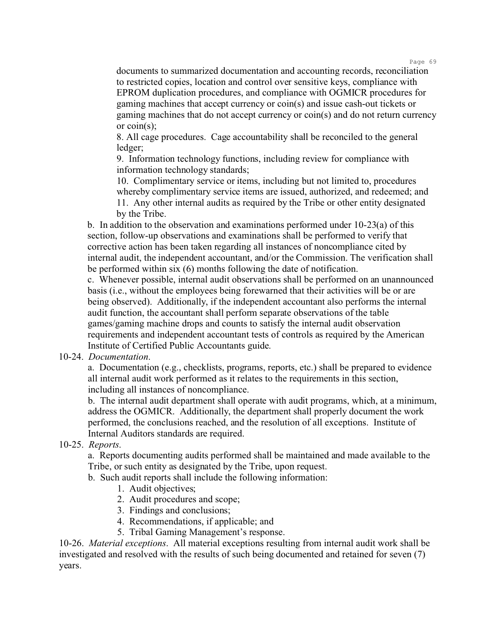documents to summarized documentation and accounting records, reconciliation to restricted copies, location and control over sensitive keys, compliance with EPROM duplication procedures, and compliance with OGMICR procedures for gaming machines that accept currency or coin(s) and issue cash-out tickets or gaming machines that do not accept currency or coin(s) and do not return currency or coin(s);

8. All cage procedures. Cage accountability shall be reconciled to the general ledger;

9. Information technology functions, including review for compliance with information technology standards;

10. Complimentary service or items, including but not limited to, procedures whereby complimentary service items are issued, authorized, and redeemed; and

11. Any other internal audits as required by the Tribe or other entity designated by the Tribe.

b. In addition to the observation and examinations performed under 10-23(a) of this section, follow-up observations and examinations shall be performed to verify that corrective action has been taken regarding all instances of noncompliance cited by internal audit, the independent accountant, and/or the Commission. The verification shall be performed within six (6) months following the date of notification.

c. Whenever possible, internal audit observations shall be performed on an unannounced basis (i.e., without the employees being forewarned that their activities will be or are being observed). Additionally, if the independent accountant also performs the internal audit function, the accountant shall perform separate observations of the table games/gaming machine drops and counts to satisfy the internal audit observation requirements and independent accountant tests of controls as required by the American Institute of Certified Public Accountants guide.

## 10-24. *Documentation*.

a. Documentation (e.g., checklists, programs, reports, etc.) shall be prepared to evidence all internal audit work performed as it relates to the requirements in this section, including all instances of noncompliance.

b. The internal audit department shall operate with audit programs, which, at a minimum, address the OGMICR. Additionally, the department shall properly document the work performed, the conclusions reached, and the resolution of all exceptions. Institute of Internal Auditors standards are required.

# 10-25. *Reports*.

a. Reports documenting audits performed shall be maintained and made available to the Tribe, or such entity as designated by the Tribe, upon request.

b. Such audit reports shall include the following information:

- 1. Audit objectives;
- 2. Audit procedures and scope;
- 3. Findings and conclusions;
- 4. Recommendations, if applicable; and
- 5. Tribal Gaming Management's response.

10-26. *Material exceptions*. All material exceptions resulting from internal audit work shall be investigated and resolved with the results of such being documented and retained for seven (7) years.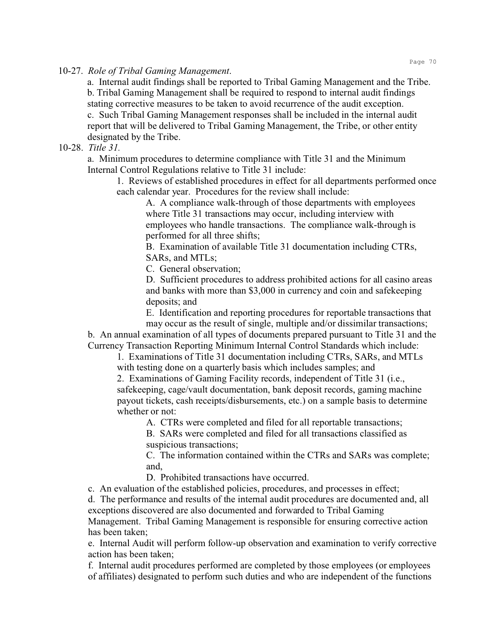10-27. *Role of Tribal Gaming Management*.

a. Internal audit findings shall be reported to Tribal Gaming Management and the Tribe. b. Tribal Gaming Management shall be required to respond to internal audit findings

stating corrective measures to be taken to avoid recurrence of the audit exception.

c. Such Tribal Gaming Management responses shall be included in the internal audit report that will be delivered to Tribal Gaming Management, the Tribe, or other entity designated by the Tribe.

## 10-28. *Title 31.*

a. Minimum procedures to determine compliance with Title 31 and the Minimum Internal Control Regulations relative to Title 31 include:

1. Reviews of established procedures in effect for all departments performed once each calendar year. Procedures for the review shall include:

A. A compliance walk-through of those departments with employees where Title 31 transactions may occur, including interview with employees who handle transactions. The compliance walk-through is performed for all three shifts;

B. Examination of available Title 31 documentation including CTRs, SARs, and MTLs;

C. General observation;

D. Sufficient procedures to address prohibited actions for all casino areas and banks with more than \$3,000 in currency and coin and safekeeping deposits; and

E. Identification and reporting procedures for reportable transactions that may occur as the result of single, multiple and/or dissimilar transactions;

b. An annual examination of all types of documents prepared pursuant to Title 31 and the Currency Transaction Reporting Minimum Internal Control Standards which include:

1. Examinations of Title 31 documentation including CTRs, SARs, and MTLs with testing done on a quarterly basis which includes samples; and

2. Examinations of Gaming Facility records, independent of Title 31 (i.e., safekeeping, cage/vault documentation, bank deposit records, gaming machine payout tickets, cash receipts/disbursements, etc.) on a sample basis to determine whether or not:

A. CTRs were completed and filed for all reportable transactions;

B. SARs were completed and filed for all transactions classified as suspicious transactions;

C. The information contained within the CTRs and SARs was complete; and,

D. Prohibited transactions have occurred.

c. An evaluation of the established policies, procedures, and processes in effect; d. The performance and results of the internal audit procedures are documented and, all exceptions discovered are also documented and forwarded to Tribal Gaming Management. Tribal Gaming Management is responsible for ensuring corrective action has been taken;

e. Internal Audit will perform follow-up observation and examination to verify corrective action has been taken;

f. Internal audit procedures performed are completed by those employees (or employees of affiliates) designated to perform such duties and who are independent of the functions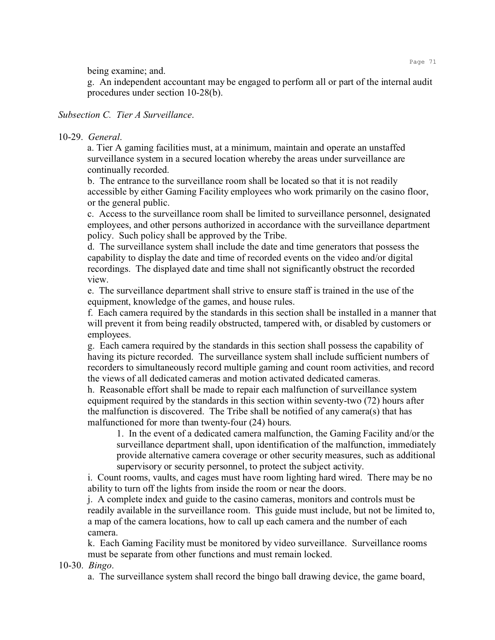being examine; and.

g. An independent accountant may be engaged to perform all or part of the internal audit procedures under section 10-28(b).

## *Subsection C. Tier A Surveillance*.

## 10-29. *General*.

a. Tier A gaming facilities must, at a minimum, maintain and operate an unstaffed surveillance system in a secured location whereby the areas under surveillance are continually recorded.

b. The entrance to the surveillance room shall be located so that it is not readily accessible by either Gaming Facility employees who work primarily on the casino floor, or the general public.

c. Access to the surveillance room shall be limited to surveillance personnel, designated employees, and other persons authorized in accordance with the surveillance department policy. Such policy shall be approved by the Tribe.

d. The surveillance system shall include the date and time generators that possess the capability to display the date and time of recorded events on the video and/or digital recordings. The displayed date and time shall not significantly obstruct the recorded view.

e. The surveillance department shall strive to ensure staff is trained in the use of the equipment, knowledge of the games, and house rules.

f. Each camera required by the standards in this section shall be installed in a manner that will prevent it from being readily obstructed, tampered with, or disabled by customers or employees.

g. Each camera required by the standards in this section shall possess the capability of having its picture recorded. The surveillance system shall include sufficient numbers of recorders to simultaneously record multiple gaming and count room activities, and record the views of all dedicated cameras and motion activated dedicated cameras.

h. Reasonable effort shall be made to repair each malfunction of surveillance system equipment required by the standards in this section within seventy-two (72) hours after the malfunction is discovered. The Tribe shall be notified of any camera(s) that has malfunctioned for more than twenty-four (24) hours.

1. In the event of a dedicated camera malfunction, the Gaming Facility and/or the surveillance department shall, upon identification of the malfunction, immediately provide alternative camera coverage or other security measures, such as additional supervisory or security personnel, to protect the subject activity.

i. Count rooms, vaults, and cages must have room lighting hard wired. There may be no ability to turn off the lights from inside the room or near the doors.

j. A complete index and guide to the casino cameras, monitors and controls must be readily available in the surveillance room. This guide must include, but not be limited to, a map of the camera locations, how to call up each camera and the number of each camera.

k. Each Gaming Facility must be monitored by video surveillance. Surveillance rooms must be separate from other functions and must remain locked.

10-30. *Bingo*.

a. The surveillance system shall record the bingo ball drawing device, the game board,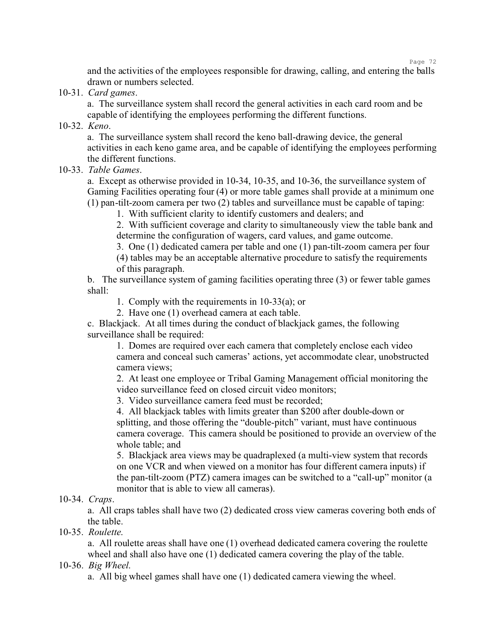and the activities of the employees responsible for drawing, calling, and entering the balls drawn or numbers selected.

10-31. *Card games*.

a. The surveillance system shall record the general activities in each card room and be capable of identifying the employees performing the different functions.

10-32. *Keno*.

a. The surveillance system shall record the keno ball-drawing device, the general activities in each keno game area, and be capable of identifying the employees performing the different functions.

10-33. *Table Games*.

a. Except as otherwise provided in 10-34, 10-35, and 10-36, the surveillance system of Gaming Facilities operating four (4) or more table games shall provide at a minimum one (1) pan-tilt-zoom camera per two (2) tables and surveillance must be capable of taping:

1. With sufficient clarity to identify customers and dealers; and

2. With sufficient coverage and clarity to simultaneously view the table bank and determine the configuration of wagers, card values, and game outcome.

3. One (1) dedicated camera per table and one (1) pan-tilt-zoom camera per four (4) tables may be an acceptable alternative procedure to satisfy the requirements of this paragraph.

b. The surveillance system of gaming facilities operating three (3) or fewer table games shall:

1. Comply with the requirements in 10-33(a); or

2. Have one (1) overhead camera at each table.

c. Blackjack. At all times during the conduct of blackjack games, the following surveillance shall be required:

1. Domes are required over each camera that completely enclose each video camera and conceal such cameras' actions, yet accommodate clear, unobstructed camera views;

2. At least one employee or Tribal Gaming Management official monitoring the video surveillance feed on closed circuit video monitors;

3. Video surveillance camera feed must be recorded;

4. All blackjack tables with limits greater than \$200 after double-down or splitting, and those offering the "double-pitch" variant, must have continuous camera coverage. This camera should be positioned to provide an overview of the whole table; and

5. Blackjack area views may be quadraplexed (a multi-view system that records on one VCR and when viewed on a monitor has four different camera inputs) if the pan-tilt-zoom (PTZ) camera images can be switched to a "call-up" monitor (a monitor that is able to view all cameras).

## 10-34. *Craps*.

a. All craps tables shall have two (2) dedicated cross view cameras covering both ends of the table.

10-35. *Roulette*.

a. All roulette areas shall have one (1) overhead dedicated camera covering the roulette wheel and shall also have one (1) dedicated camera covering the play of the table.

## 10-36. *Big Wheel*.

a. All big wheel games shall have one (1) dedicated camera viewing the wheel.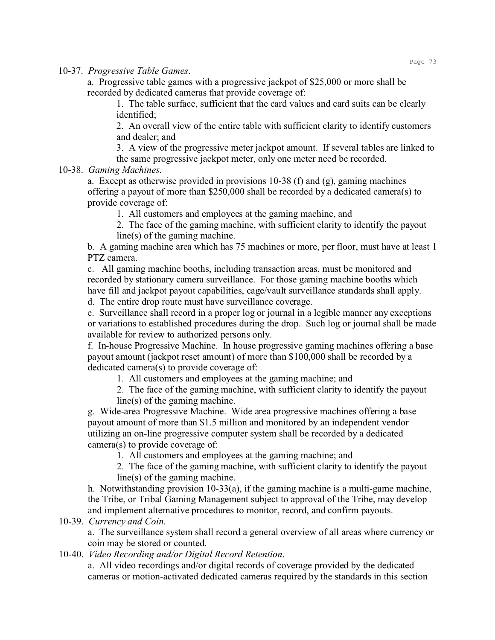10-37. *Progressive Table Games*.

a. Progressive table games with a progressive jackpot of \$25,000 or more shall be recorded by dedicated cameras that provide coverage of:

1. The table surface, sufficient that the card values and card suits can be clearly identified;

2. An overall view of the entire table with sufficient clarity to identify customers and dealer; and

3. A view of the progressive meter jackpot amount. If several tables are linked to the same progressive jackpot meter, only one meter need be recorded.

## 10-38. *Gaming Machines.*

a. Except as otherwise provided in provisions  $10-38$  (f) and (g), gaming machines offering a payout of more than \$250,000 shall be recorded by a dedicated camera(s) to provide coverage of:

1. All customers and employees at the gaming machine, and

2. The face of the gaming machine, with sufficient clarity to identify the payout line(s) of the gaming machine.

b. A gaming machine area which has 75 machines or more, per floor, must have at least 1 PTZ camera.

c. All gaming machine booths, including transaction areas, must be monitored and recorded by stationary camera surveillance. For those gaming machine booths which have fill and jackpot payout capabilities, cage/vault surveillance standards shall apply. d. The entire drop route must have surveillance coverage.

e. Surveillance shall record in a proper log or journal in a legible manner any exceptions or variations to established procedures during the drop. Such log or journal shall be made available for review to authorized persons only.

f. In-house Progressive Machine. In house progressive gaming machines offering a base payout amount (jackpot reset amount) of more than \$100,000 shall be recorded by a dedicated camera(s) to provide coverage of:

1. All customers and employees at the gaming machine; and

2. The face of the gaming machine, with sufficient clarity to identify the payout line(s) of the gaming machine.

g. Wide-area Progressive Machine. Wide area progressive machines offering a base payout amount of more than \$1.5 million and monitored by an independent vendor utilizing an on-line progressive computer system shall be recorded by a dedicated camera(s) to provide coverage of:

1. All customers and employees at the gaming machine; and

2. The face of the gaming machine, with sufficient clarity to identify the payout line(s) of the gaming machine.

h. Notwithstanding provision 10-33(a), if the gaming machine is a multi-game machine, the Tribe, or Tribal Gaming Management subject to approval of the Tribe, may develop and implement alternative procedures to monitor, record, and confirm payouts.

10-39. *Currency and Coin*.

a. The surveillance system shall record a general overview of all areas where currency or coin may be stored or counted.

10-40. *Video Recording and/or Digital Record Retention*.

a. All video recordings and/or digital records of coverage provided by the dedicated cameras or motion-activated dedicated cameras required by the standards in this section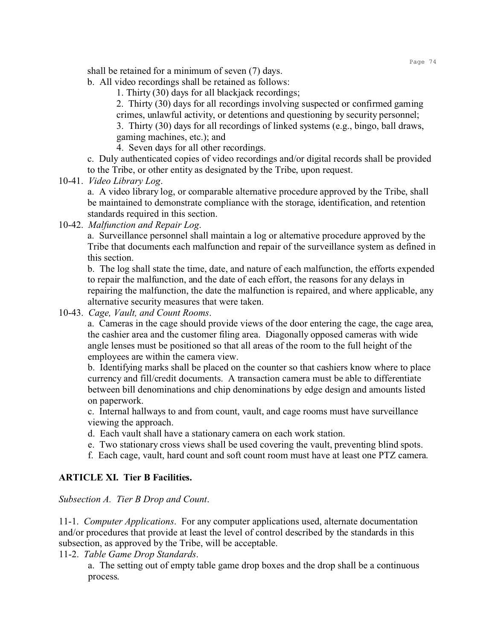shall be retained for a minimum of seven (7) days.

- b. All video recordings shall be retained as follows:
	- 1. Thirty (30) days for all blackjack recordings;

2. Thirty (30) days for all recordings involving suspected or confirmed gaming crimes, unlawful activity, or detentions and questioning by security personnel; 3. Thirty (30) days for all recordings of linked systems (e.g., bingo, ball draws,

gaming machines, etc.); and

4. Seven days for all other recordings.

c. Duly authenticated copies of video recordings and/or digital records shall be provided to the Tribe, or other entity as designated by the Tribe, upon request.

10-41. *Video Library Log*.

a. A video library log, or comparable alternative procedure approved by the Tribe, shall be maintained to demonstrate compliance with the storage, identification, and retention standards required in this section.

10-42. *Malfunction and Repair Log*.

a. Surveillance personnel shall maintain a log or alternative procedure approved by the Tribe that documents each malfunction and repair of the surveillance system as defined in this section.

b. The log shall state the time, date, and nature of each malfunction, the efforts expended to repair the malfunction, and the date of each effort, the reasons for any delays in repairing the malfunction, the date the malfunction is repaired, and where applicable, any alternative security measures that were taken.

10-43. *Cage, Vault, and Count Rooms*.

a. Cameras in the cage should provide views of the door entering the cage, the cage area, the cashier area and the customer filing area. Diagonally opposed cameras with wide angle lenses must be positioned so that all areas of the room to the full height of the employees are within the camera view.

b. Identifying marks shall be placed on the counter so that cashiers know where to place currency and fill/credit documents. A transaction camera must be able to differentiate between bill denominations and chip denominations by edge design and amounts listed on paperwork.

c. Internal hallways to and from count, vault, and cage rooms must have surveillance viewing the approach.

- d. Each vault shall have a stationary camera on each work station.
- e. Two stationary cross views shall be used covering the vault, preventing blind spots.
- f. Each cage, vault, hard count and soft count room must have at least one PTZ camera.

# **ARTICLE XI. Tier B Facilities.**

## *Subsection A. Tier B Drop and Count*.

11-1. *Computer Applications*. For any computer applications used, alternate documentation and/or procedures that provide at least the level of control described by the standards in this subsection, as approved by the Tribe, will be acceptable.

11-2. *Table Game Drop Standards*.

a. The setting out of empty table game drop boxes and the drop shall be a continuous process.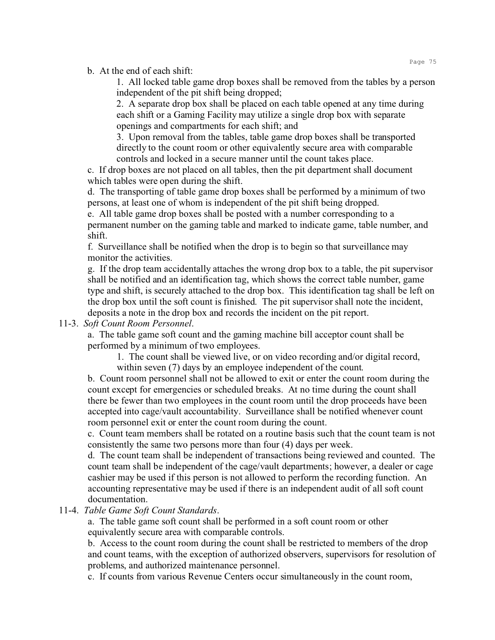b. At the end of each shift:

1. All locked table game drop boxes shall be removed from the tables by a person independent of the pit shift being dropped;

2. A separate drop box shall be placed on each table opened at any time during each shift or a Gaming Facility may utilize a single drop box with separate openings and compartments for each shift; and

3. Upon removal from the tables, table game drop boxes shall be transported directly to the count room or other equivalently secure area with comparable controls and locked in a secure manner until the count takes place.

c. If drop boxes are not placed on all tables, then the pit department shall document which tables were open during the shift.

d. The transporting of table game drop boxes shall be performed by a minimum of two persons, at least one of whom is independent of the pit shift being dropped.

e. All table game drop boxes shall be posted with a number corresponding to a permanent number on the gaming table and marked to indicate game, table number, and shift.

f. Surveillance shall be notified when the drop is to begin so that surveillance may monitor the activities.

g. If the drop team accidentally attaches the wrong drop box to a table, the pit supervisor shall be notified and an identification tag, which shows the correct table number, game type and shift, is securely attached to the drop box. This identification tag shall be left on the drop box until the soft count is finished. The pit supervisor shall note the incident, deposits a note in the drop box and records the incident on the pit report.

# 11-3. *Soft Count Room Personnel*.

a. The table game soft count and the gaming machine bill acceptor count shall be performed by a minimum of two employees.

1. The count shall be viewed live, or on video recording and/or digital record, within seven (7) days by an employee independent of the count.

b. Count room personnel shall not be allowed to exit or enter the count room during the count except for emergencies or scheduled breaks. At no time during the count shall there be fewer than two employees in the count room until the drop proceeds have been accepted into cage/vault accountability. Surveillance shall be notified whenever count room personnel exit or enter the count room during the count.

c. Count team members shall be rotated on a routine basis such that the count team is not consistently the same two persons more than four (4) days per week.

d. The count team shall be independent of transactions being reviewed and counted. The count team shall be independent of the cage/vault departments; however, a dealer or cage cashier may be used if this person is not allowed to perform the recording function. An accounting representative may be used if there is an independent audit of all soft count documentation.

# 11-4. *Table Game Soft Count Standards*.

a. The table game soft count shall be performed in a soft count room or other equivalently secure area with comparable controls.

b. Access to the count room during the count shall be restricted to members of the drop and count teams, with the exception of authorized observers, supervisors for resolution of problems, and authorized maintenance personnel.

c. If counts from various Revenue Centers occur simultaneously in the count room,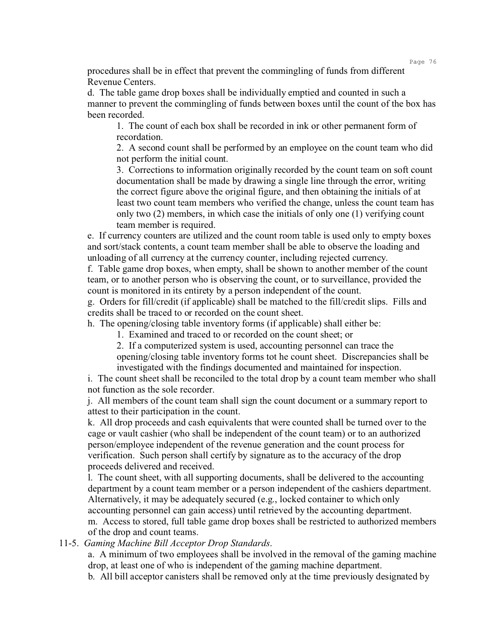procedures shall be in effect that prevent the commingling of funds from different Revenue Centers.

d. The table game drop boxes shall be individually emptied and counted in such a manner to prevent the commingling of funds between boxes until the count of the box has been recorded.

1. The count of each box shall be recorded in ink or other permanent form of recordation.

2. A second count shall be performed by an employee on the count team who did not perform the initial count.

3. Corrections to information originally recorded by the count team on soft count documentation shall be made by drawing a single line through the error, writing the correct figure above the original figure, and then obtaining the initials of at least two count team members who verified the change, unless the count team has only two (2) members, in which case the initials of only one (1) verifying count team member is required.

e. If currency counters are utilized and the count room table is used only to empty boxes and sort/stack contents, a count team member shall be able to observe the loading and unloading of all currency at the currency counter, including rejected currency.

f. Table game drop boxes, when empty, shall be shown to another member of the count team, or to another person who is observing the count, or to surveillance, provided the count is monitored in its entirety by a person independent of the count.

g. Orders for fill/credit (if applicable) shall be matched to the fill/credit slips. Fills and credits shall be traced to or recorded on the count sheet.

h. The opening/closing table inventory forms (if applicable) shall either be:

1. Examined and traced to or recorded on the count sheet; or

2. If a computerized system is used, accounting personnel can trace the

opening/closing table inventory forms tot he count sheet. Discrepancies shall be investigated with the findings documented and maintained for inspection.

i. The count sheet shall be reconciled to the total drop by a count team member who shall not function as the sole recorder.

j. All members of the count team shall sign the count document or a summary report to attest to their participation in the count.

k. All drop proceeds and cash equivalents that were counted shall be turned over to the cage or vault cashier (who shall be independent of the count team) or to an authorized person/employee independent of the revenue generation and the count process for verification. Such person shall certify by signature as to the accuracy of the drop proceeds delivered and received.

l. The count sheet, with all supporting documents, shall be delivered to the accounting department by a count team member or a person independent of the cashiers department. Alternatively, it may be adequately secured (e.g., locked container to which only accounting personnel can gain access) until retrieved by the accounting department.

m. Access to stored, full table game drop boxes shall be restricted to authorized members of the drop and count teams.

11-5. *Gaming Machine Bill Acceptor Drop Standards*.

a. A minimum of two employees shall be involved in the removal of the gaming machine drop, at least one of who is independent of the gaming machine department.

b. All bill acceptor canisters shall be removed only at the time previously designated by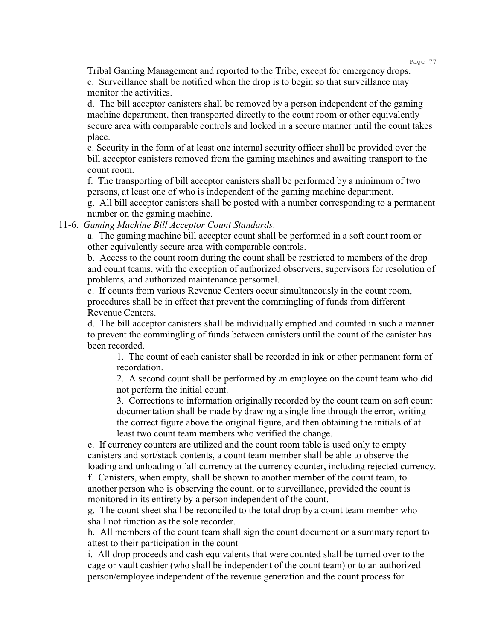Tribal Gaming Management and reported to the Tribe, except for emergency drops. c. Surveillance shall be notified when the drop is to begin so that surveillance may monitor the activities.

d. The bill acceptor canisters shall be removed by a person independent of the gaming machine department, then transported directly to the count room or other equivalently secure area with comparable controls and locked in a secure manner until the count takes place.

e. Security in the form of at least one internal security officer shall be provided over the bill acceptor canisters removed from the gaming machines and awaiting transport to the count room.

f. The transporting of bill acceptor canisters shall be performed by a minimum of two persons, at least one of who is independent of the gaming machine department.

g. All bill acceptor canisters shall be posted with a number corresponding to a permanent number on the gaming machine.

11-6. *Gaming Machine Bill Acceptor Count Standards*.

a. The gaming machine bill acceptor count shall be performed in a soft count room or other equivalently secure area with comparable controls.

b. Access to the count room during the count shall be restricted to members of the drop and count teams, with the exception of authorized observers, supervisors for resolution of problems, and authorized maintenance personnel.

c. If counts from various Revenue Centers occur simultaneously in the count room, procedures shall be in effect that prevent the commingling of funds from different Revenue Centers.

d. The bill acceptor canisters shall be individually emptied and counted in such a manner to prevent the commingling of funds between canisters until the count of the canister has been recorded.

1. The count of each canister shall be recorded in ink or other permanent form of recordation.

2. A second count shall be performed by an employee on the count team who did not perform the initial count.

3. Corrections to information originally recorded by the count team on soft count documentation shall be made by drawing a single line through the error, writing the correct figure above the original figure, and then obtaining the initials of at least two count team members who verified the change.

e. If currency counters are utilized and the count room table is used only to empty canisters and sort/stack contents, a count team member shall be able to observe the loading and unloading of all currency at the currency counter, including rejected currency.

f. Canisters, when empty, shall be shown to another member of the count team, to another person who is observing the count, or to surveillance, provided the count is monitored in its entirety by a person independent of the count.

g. The count sheet shall be reconciled to the total drop by a count team member who shall not function as the sole recorder.

h. All members of the count team shall sign the count document or a summary report to attest to their participation in the count

i. All drop proceeds and cash equivalents that were counted shall be turned over to the cage or vault cashier (who shall be independent of the count team) or to an authorized person/employee independent of the revenue generation and the count process for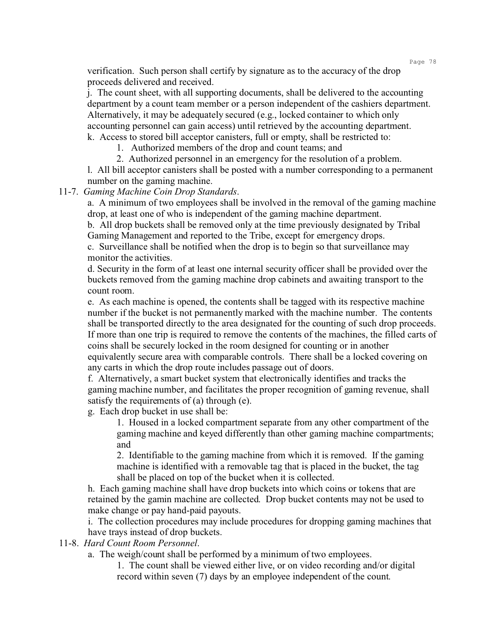verification. Such person shall certify by signature as to the accuracy of the drop proceeds delivered and received.

j. The count sheet, with all supporting documents, shall be delivered to the accounting department by a count team member or a person independent of the cashiers department. Alternatively, it may be adequately secured (e.g., locked container to which only accounting personnel can gain access) until retrieved by the accounting department. k. Access to stored bill acceptor canisters, full or empty, shall be restricted to:

1. Authorized members of the drop and count teams; and

2. Authorized personnel in an emergency for the resolution of a problem.

l. All bill acceptor canisters shall be posted with a number corresponding to a permanent number on the gaming machine.

11-7. *Gaming Machine Coin Drop Standards*.

a. A minimum of two employees shall be involved in the removal of the gaming machine drop, at least one of who is independent of the gaming machine department.

b. All drop buckets shall be removed only at the time previously designated by Tribal Gaming Management and reported to the Tribe, except for emergency drops.

c. Surveillance shall be notified when the drop is to begin so that surveillance may monitor the activities.

d. Security in the form of at least one internal security officer shall be provided over the buckets removed from the gaming machine drop cabinets and awaiting transport to the count room.

e. As each machine is opened, the contents shall be tagged with its respective machine number if the bucket is not permanently marked with the machine number. The contents shall be transported directly to the area designated for the counting of such drop proceeds. If more than one trip is required to remove the contents of the machines, the filled carts of coins shall be securely locked in the room designed for counting or in another equivalently secure area with comparable controls. There shall be a locked covering on any carts in which the drop route includes passage out of doors.

f. Alternatively, a smart bucket system that electronically identifies and tracks the gaming machine number, and facilitates the proper recognition of gaming revenue, shall satisfy the requirements of (a) through (e).

g. Each drop bucket in use shall be:

1. Housed in a locked compartment separate from any other compartment of the gaming machine and keyed differently than other gaming machine compartments; and

2. Identifiable to the gaming machine from which it is removed. If the gaming machine is identified with a removable tag that is placed in the bucket, the tag shall be placed on top of the bucket when it is collected.

h. Each gaming machine shall have drop buckets into which coins or tokens that are retained by the gamin machine are collected. Drop bucket contents may not be used to make change or pay hand-paid payouts.

i. The collection procedures may include procedures for dropping gaming machines that have trays instead of drop buckets.

## 11-8. *Hard Count Room Personnel*.

a. The weigh/count shall be performed by a minimum of two employees.

1. The count shall be viewed either live, or on video recording and/or digital record within seven (7) days by an employee independent of the count.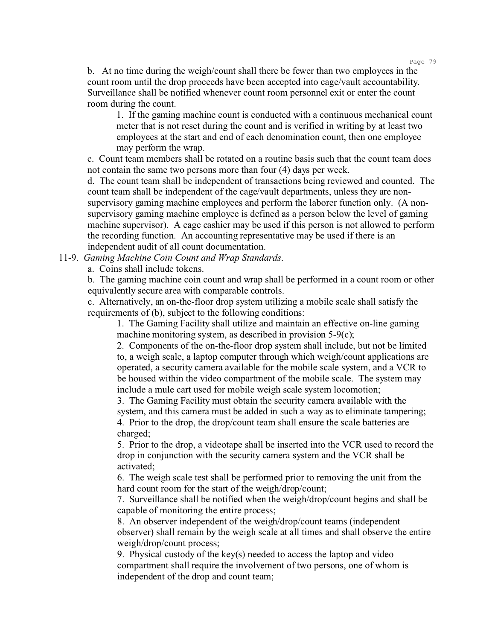b. At no time during the weigh/count shall there be fewer than two employees in the count room until the drop proceeds have been accepted into cage/vault accountability. Surveillance shall be notified whenever count room personnel exit or enter the count room during the count.

1. If the gaming machine count is conducted with a continuous mechanical count meter that is not reset during the count and is verified in writing by at least two employees at the start and end of each denomination count, then one employee may perform the wrap.

c. Count team members shall be rotated on a routine basis such that the count team does not contain the same two persons more than four (4) days per week.

d. The count team shall be independent of transactions being reviewed and counted. The count team shall be independent of the cage/vault departments, unless they are nonsupervisory gaming machine employees and perform the laborer function only. (A nonsupervisory gaming machine employee is defined as a person below the level of gaming machine supervisor). A cage cashier may be used if this person is not allowed to perform the recording function. An accounting representative may be used if there is an independent audit of all count documentation.

11-9. *Gaming Machine Coin Count and Wrap Standards*.

a. Coins shall include tokens.

b. The gaming machine coin count and wrap shall be performed in a count room or other equivalently secure area with comparable controls.

c. Alternatively, an on-the-floor drop system utilizing a mobile scale shall satisfy the requirements of (b), subject to the following conditions:

1. The Gaming Facility shall utilize and maintain an effective on-line gaming machine monitoring system, as described in provision 5-9(c);

2. Components of the on-the-floor drop system shall include, but not be limited to, a weigh scale, a laptop computer through which weigh/count applications are operated, a security camera available for the mobile scale system, and a VCR to be housed within the video compartment of the mobile scale. The system may include a mule cart used for mobile weigh scale system locomotion;

3. The Gaming Facility must obtain the security camera available with the system, and this camera must be added in such a way as to eliminate tampering; 4. Prior to the drop, the drop/count team shall ensure the scale batteries are charged;

5. Prior to the drop, a videotape shall be inserted into the VCR used to record the drop in conjunction with the security camera system and the VCR shall be activated;

6. The weigh scale test shall be performed prior to removing the unit from the hard count room for the start of the weigh/drop/count;

7. Surveillance shall be notified when the weigh/drop/count begins and shall be capable of monitoring the entire process;

8. An observer independent of the weigh/drop/count teams (independent observer) shall remain by the weigh scale at all times and shall observe the entire weigh/drop/count process;

9. Physical custody of the key(s) needed to access the laptop and video compartment shall require the involvement of two persons, one of whom is independent of the drop and count team;

Page 79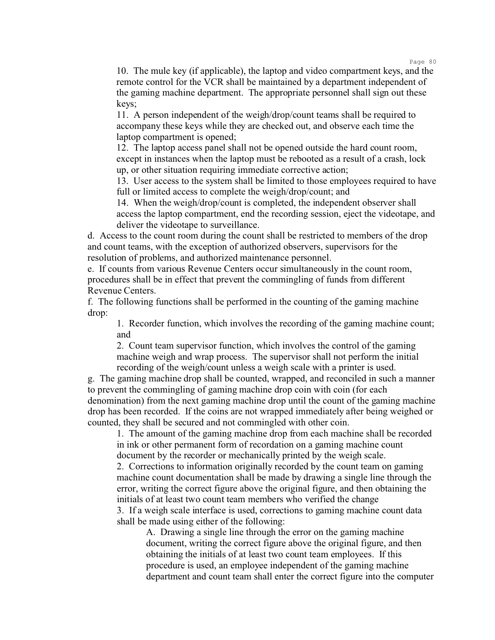10. The mule key (if applicable), the laptop and video compartment keys, and the remote control for the VCR shall be maintained by a department independent of the gaming machine department. The appropriate personnel shall sign out these keys;

11. A person independent of the weigh/drop/count teams shall be required to accompany these keys while they are checked out, and observe each time the laptop compartment is opened;

12. The laptop access panel shall not be opened outside the hard count room, except in instances when the laptop must be rebooted as a result of a crash, lock up, or other situation requiring immediate corrective action;

13. User access to the system shall be limited to those employees required to have full or limited access to complete the weigh/drop/count; and

14. When the weigh/drop/count is completed, the independent observer shall access the laptop compartment, end the recording session, eject the videotape, and deliver the videotape to surveillance.

d. Access to the count room during the count shall be restricted to members of the drop and count teams, with the exception of authorized observers, supervisors for the resolution of problems, and authorized maintenance personnel.

e. If counts from various Revenue Centers occur simultaneously in the count room, procedures shall be in effect that prevent the commingling of funds from different Revenue Centers.

f. The following functions shall be performed in the counting of the gaming machine drop:

1. Recorder function, which involves the recording of the gaming machine count; and

2. Count team supervisor function, which involves the control of the gaming machine weigh and wrap process. The supervisor shall not perform the initial recording of the weigh/count unless a weigh scale with a printer is used.

g. The gaming machine drop shall be counted, wrapped, and reconciled in such a manner to prevent the commingling of gaming machine drop coin with coin (for each denomination) from the next gaming machine drop until the count of the gaming machine drop has been recorded. If the coins are not wrapped immediately after being weighed or counted, they shall be secured and not commingled with other coin.

1. The amount of the gaming machine drop from each machine shall be recorded in ink or other permanent form of recordation on a gaming machine count document by the recorder or mechanically printed by the weigh scale.

2. Corrections to information originally recorded by the count team on gaming machine count documentation shall be made by drawing a single line through the error, writing the correct figure above the original figure, and then obtaining the initials of at least two count team members who verified the change

3. If a weigh scale interface is used, corrections to gaming machine count data shall be made using either of the following:

A. Drawing a single line through the error on the gaming machine document, writing the correct figure above the original figure, and then obtaining the initials of at least two count team employees. If this procedure is used, an employee independent of the gaming machine department and count team shall enter the correct figure into the computer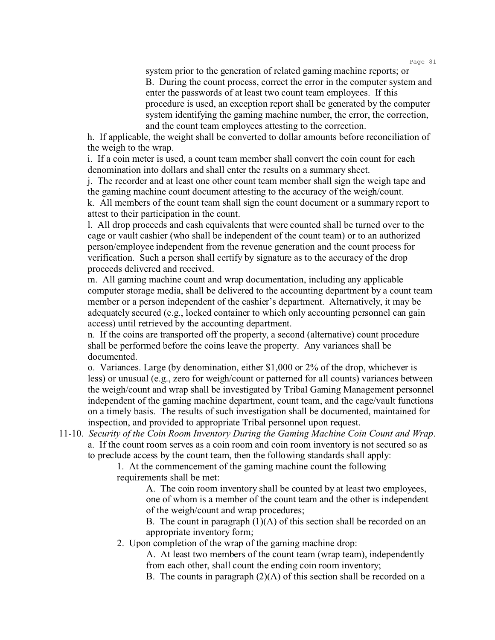system prior to the generation of related gaming machine reports; or B. During the count process, correct the error in the computer system and enter the passwords of at least two count team employees. If this procedure is used, an exception report shall be generated by the computer system identifying the gaming machine number, the error, the correction, and the count team employees attesting to the correction.

h. If applicable, the weight shall be converted to dollar amounts before reconciliation of the weigh to the wrap.

i. If a coin meter is used, a count team member shall convert the coin count for each denomination into dollars and shall enter the results on a summary sheet.

j. The recorder and at least one other count team member shall sign the weigh tape and the gaming machine count document attesting to the accuracy of the weigh/count.

k. All members of the count team shall sign the count document or a summary report to attest to their participation in the count.

l. All drop proceeds and cash equivalents that were counted shall be turned over to the cage or vault cashier (who shall be independent of the count team) or to an authorized person/employee independent from the revenue generation and the count process for verification. Such a person shall certify by signature as to the accuracy of the drop proceeds delivered and received.

m. All gaming machine count and wrap documentation, including any applicable computer storage media, shall be delivered to the accounting department by a count team member or a person independent of the cashier's department. Alternatively, it may be adequately secured (e.g., locked container to which only accounting personnel can gain access) until retrieved by the accounting department.

n. If the coins are transported off the property, a second (alternative) count procedure shall be performed before the coins leave the property. Any variances shall be documented.

o. Variances. Large (by denomination, either \$1,000 or 2% of the drop, whichever is less) or unusual (e.g., zero for weigh/count or patterned for all counts) variances between the weigh/count and wrap shall be investigated by Tribal Gaming Management personnel independent of the gaming machine department, count team, and the cage/vault functions on a timely basis. The results of such investigation shall be documented, maintained for inspection, and provided to appropriate Tribal personnel upon request.

11-10. *Security of the Coin Room Inventory During the Gaming Machine Coin Count and Wrap*. a. If the count room serves as a coin room and coin room inventory is not secured so as to preclude access by the count team, then the following standards shall apply:

> 1. At the commencement of the gaming machine count the following requirements shall be met:

> > A. The coin room inventory shall be counted by at least two employees, one of whom is a member of the count team and the other is independent of the weigh/count and wrap procedures;

> > B. The count in paragraph  $(1)(A)$  of this section shall be recorded on an appropriate inventory form;

2. Upon completion of the wrap of the gaming machine drop:

A. At least two members of the count team (wrap team), independently from each other, shall count the ending coin room inventory;

B. The counts in paragraph  $(2)(A)$  of this section shall be recorded on a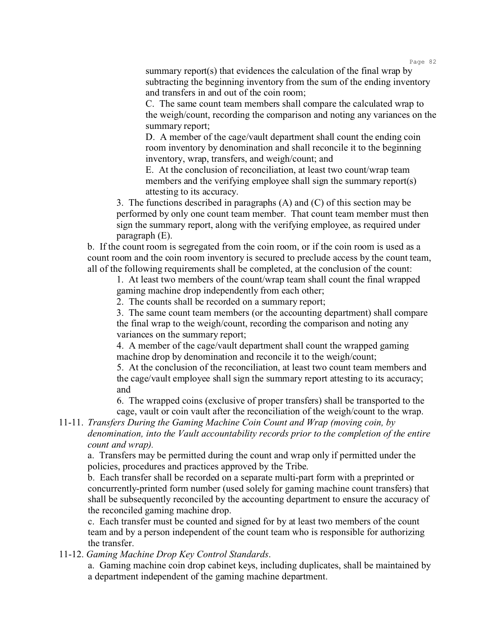summary report(s) that evidences the calculation of the final wrap by subtracting the beginning inventory from the sum of the ending inventory and transfers in and out of the coin room;

C. The same count team members shall compare the calculated wrap to the weigh/count, recording the comparison and noting any variances on the summary report;

D. A member of the cage/vault department shall count the ending coin room inventory by denomination and shall reconcile it to the beginning inventory, wrap, transfers, and weigh/count; and

E. At the conclusion of reconciliation, at least two count/wrap team members and the verifying employee shall sign the summary report(s) attesting to its accuracy.

3. The functions described in paragraphs (A) and (C) of this section may be performed by only one count team member. That count team member must then sign the summary report, along with the verifying employee, as required under paragraph (E).

b. If the count room is segregated from the coin room, or if the coin room is used as a count room and the coin room inventory is secured to preclude access by the count team, all of the following requirements shall be completed, at the conclusion of the count:

1. At least two members of the count/wrap team shall count the final wrapped gaming machine drop independently from each other;

2. The counts shall be recorded on a summary report;

3. The same count team members (or the accounting department) shall compare the final wrap to the weigh/count, recording the comparison and noting any variances on the summary report;

4. A member of the cage/vault department shall count the wrapped gaming machine drop by denomination and reconcile it to the weigh/count;

5. At the conclusion of the reconciliation, at least two count team members and the cage/vault employee shall sign the summary report attesting to its accuracy; and

6. The wrapped coins (exclusive of proper transfers) shall be transported to the cage, vault or coin vault after the reconciliation of the weigh/count to the wrap.

11-11. *Transfers During the Gaming Machine Coin Count and Wrap (moving coin, by denomination, into the Vault accountability records prior to the completion of the entire count and wrap).*

a. Transfers may be permitted during the count and wrap only if permitted under the policies, procedures and practices approved by the Tribe.

b. Each transfer shall be recorded on a separate multi-part form with a preprinted or concurrently-printed form number (used solely for gaming machine count transfers) that shall be subsequently reconciled by the accounting department to ensure the accuracy of the reconciled gaming machine drop.

c. Each transfer must be counted and signed for by at least two members of the count team and by a person independent of the count team who is responsible for authorizing the transfer.

11-12. *Gaming Machine Drop Key Control Standards*.

a. Gaming machine coin drop cabinet keys, including duplicates, shall be maintained by a department independent of the gaming machine department.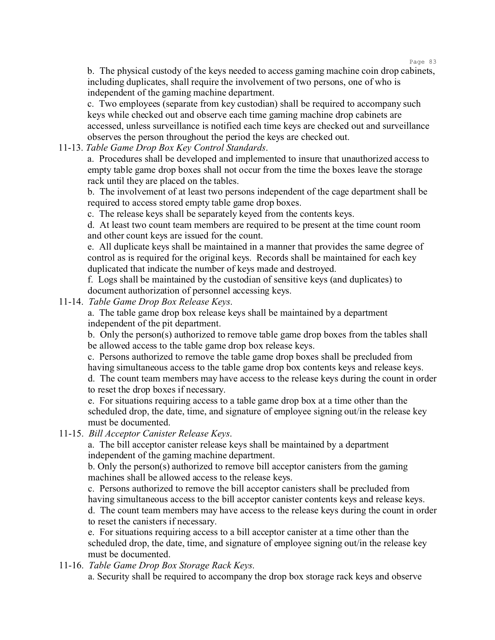b. The physical custody of the keys needed to access gaming machine coin drop cabinets, including duplicates, shall require the involvement of two persons, one of who is independent of the gaming machine department.

c. Two employees (separate from key custodian) shall be required to accompany such keys while checked out and observe each time gaming machine drop cabinets are accessed, unless surveillance is notified each time keys are checked out and surveillance observes the person throughout the period the keys are checked out.

11-13. *Table Game Drop Box Key Control Standards*.

a. Procedures shall be developed and implemented to insure that unauthorized access to empty table game drop boxes shall not occur from the time the boxes leave the storage rack until they are placed on the tables.

b. The involvement of at least two persons independent of the cage department shall be required to access stored empty table game drop boxes.

c. The release keys shall be separately keyed from the contents keys.

d. At least two count team members are required to be present at the time count room and other count keys are issued for the count.

e. All duplicate keys shall be maintained in a manner that provides the same degree of control as is required for the original keys. Records shall be maintained for each key duplicated that indicate the number of keys made and destroyed.

f. Logs shall be maintained by the custodian of sensitive keys (and duplicates) to document authorization of personnel accessing keys.

11-14. *Table Game Drop Box Release Keys*.

a. The table game drop box release keys shall be maintained by a department independent of the pit department.

b. Only the person(s) authorized to remove table game drop boxes from the tables shall be allowed access to the table game drop box release keys.

c. Persons authorized to remove the table game drop boxes shall be precluded from having simultaneous access to the table game drop box contents keys and release keys.

d. The count team members may have access to the release keys during the count in order to reset the drop boxes if necessary.

e. For situations requiring access to a table game drop box at a time other than the scheduled drop, the date, time, and signature of employee signing out/in the release key must be documented.

11-15. *Bill Acceptor Canister Release Keys*.

a. The bill acceptor canister release keys shall be maintained by a department independent of the gaming machine department.

b. Only the person(s) authorized to remove bill acceptor canisters from the gaming machines shall be allowed access to the release keys.

c. Persons authorized to remove the bill acceptor canisters shall be precluded from having simultaneous access to the bill acceptor canister contents keys and release keys. d. The count team members may have access to the release keys during the count in order to reset the canisters if necessary.

e. For situations requiring access to a bill acceptor canister at a time other than the scheduled drop, the date, time, and signature of employee signing out/in the release key must be documented.

11-16. *Table Game Drop Box Storage Rack Keys*.

a. Security shall be required to accompany the drop box storage rack keys and observe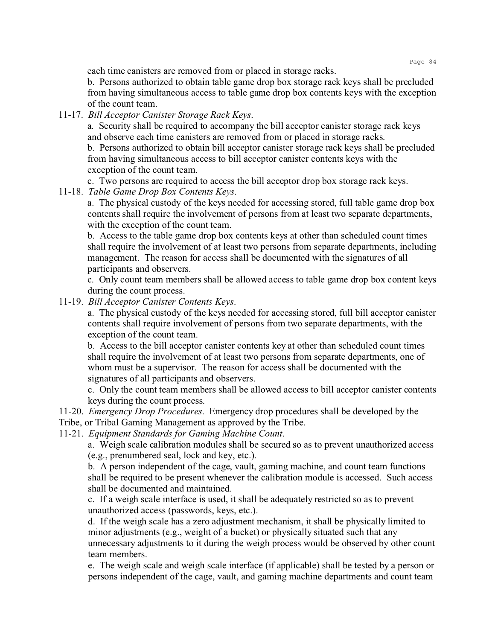each time canisters are removed from or placed in storage racks.

b. Persons authorized to obtain table game drop box storage rack keys shall be precluded from having simultaneous access to table game drop box contents keys with the exception of the count team.

11-17. *Bill Acceptor Canister Storage Rack Keys*.

a. Security shall be required to accompany the bill acceptor canister storage rack keys and observe each time canisters are removed from or placed in storage racks.

b. Persons authorized to obtain bill acceptor canister storage rack keys shall be precluded from having simultaneous access to bill acceptor canister contents keys with the exception of the count team.

c. Two persons are required to access the bill acceptor drop box storage rack keys.

11-18. *Table Game Drop Box Contents Keys*.

a. The physical custody of the keys needed for accessing stored, full table game drop box contents shall require the involvement of persons from at least two separate departments, with the exception of the count team.

b. Access to the table game drop box contents keys at other than scheduled count times shall require the involvement of at least two persons from separate departments, including management. The reason for access shall be documented with the signatures of all participants and observers.

c. Only count team members shall be allowed access to table game drop box content keys during the count process.

11-19. *Bill Acceptor Canister Contents Keys*.

a. The physical custody of the keys needed for accessing stored, full bill acceptor canister contents shall require involvement of persons from two separate departments, with the exception of the count team.

b. Access to the bill acceptor canister contents key at other than scheduled count times shall require the involvement of at least two persons from separate departments, one of whom must be a supervisor. The reason for access shall be documented with the signatures of all participants and observers.

c. Only the count team members shall be allowed access to bill acceptor canister contents keys during the count process.

11-20. *Emergency Drop Procedures*. Emergency drop procedures shall be developed by the Tribe, or Tribal Gaming Management as approved by the Tribe.

11-21. *Equipment Standards for Gaming Machine Count*.

a. Weigh scale calibration modules shall be secured so as to prevent unauthorized access (e.g., prenumbered seal, lock and key, etc.).

b. A person independent of the cage, vault, gaming machine, and count team functions shall be required to be present whenever the calibration module is accessed. Such access shall be documented and maintained.

c. If a weigh scale interface is used, it shall be adequately restricted so as to prevent unauthorized access (passwords, keys, etc.).

d. If the weigh scale has a zero adjustment mechanism, it shall be physically limited to minor adjustments (e.g., weight of a bucket) or physically situated such that any unnecessary adjustments to it during the weigh process would be observed by other count team members.

e. The weigh scale and weigh scale interface (if applicable) shall be tested by a person or persons independent of the cage, vault, and gaming machine departments and count team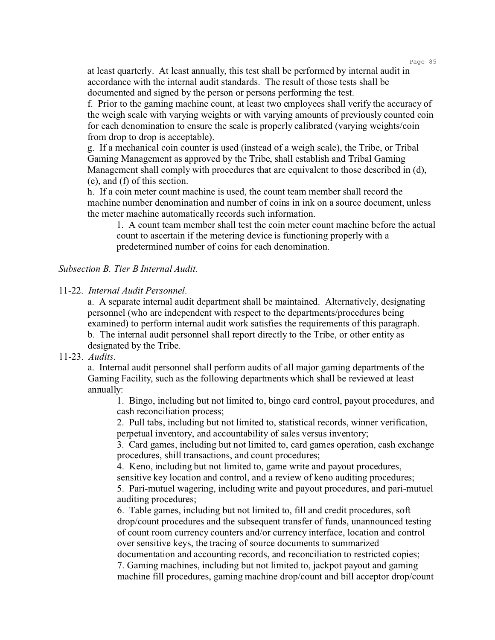at least quarterly. At least annually, this test shall be performed by internal audit in accordance with the internal audit standards. The result of those tests shall be documented and signed by the person or persons performing the test.

f. Prior to the gaming machine count, at least two employees shall verify the accuracy of the weigh scale with varying weights or with varying amounts of previously counted coin for each denomination to ensure the scale is properly calibrated (varying weights/coin from drop to drop is acceptable).

g. If a mechanical coin counter is used (instead of a weigh scale), the Tribe, or Tribal Gaming Management as approved by the Tribe, shall establish and Tribal Gaming Management shall comply with procedures that are equivalent to those described in (d), (e), and (f) of this section.

h. If a coin meter count machine is used, the count team member shall record the machine number denomination and number of coins in ink on a source document, unless the meter machine automatically records such information.

1. A count team member shall test the coin meter count machine before the actual count to ascertain if the metering device is functioning properly with a predetermined number of coins for each denomination.

#### *Subsection B. Tier B Internal Audit.*

#### 11-22. *Internal Audit Personnel*.

a. A separate internal audit department shall be maintained. Alternatively, designating personnel (who are independent with respect to the departments/procedures being examined) to perform internal audit work satisfies the requirements of this paragraph. b. The internal audit personnel shall report directly to the Tribe, or other entity as designated by the Tribe.

### 11-23. *Audits*.

a. Internal audit personnel shall perform audits of all major gaming departments of the Gaming Facility, such as the following departments which shall be reviewed at least annually:

1. Bingo, including but not limited to, bingo card control, payout procedures, and cash reconciliation process;

2. Pull tabs, including but not limited to, statistical records, winner verification, perpetual inventory, and accountability of sales versus inventory;

3. Card games, including but not limited to, card games operation, cash exchange procedures, shill transactions, and count procedures;

4. Keno, including but not limited to, game write and payout procedures, sensitive key location and control, and a review of keno auditing procedures; 5. Pari-mutuel wagering, including write and payout procedures, and pari-mutuel

auditing procedures;

6. Table games, including but not limited to, fill and credit procedures, soft drop/count procedures and the subsequent transfer of funds, unannounced testing of count room currency counters and/or currency interface, location and control over sensitive keys, the tracing of source documents to summarized

documentation and accounting records, and reconciliation to restricted copies; 7. Gaming machines, including but not limited to, jackpot payout and gaming machine fill procedures, gaming machine drop/count and bill acceptor drop/count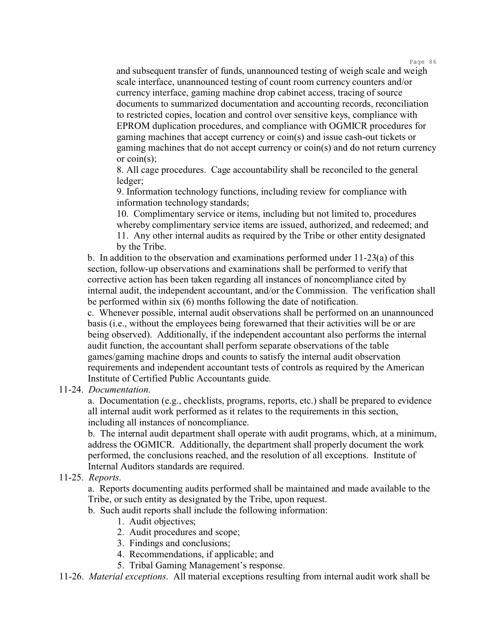and subsequent transfer of funds, unannounced testing of weigh scale and weigh scale interface, unannounced testing of count room currency counters and/or currency interface, gaming machine drop cabinet access, tracing of source documents to summarized documentation and accounting records, reconciliation to restricted copies, location and control over sensitive keys, compliance with EPROM duplication procedures, and compliance with OGMICR procedures for gaming machines that accept currency or coin(s) and issue cash-out tickets or gaming machines that do not accept currency or coin(s) and do not return currency or coin(s);

8. All cage procedures. Cage accountability shall be reconciled to the general ledger;

9. Information technology functions, including review for compliance with information technology standards;

10. Complimentary service or items, including but not limited to, procedures whereby complimentary service items are issued, authorized, and redeemed; and 11. Any other internal audits as required by the Tribe or other entity designated

by the Tribe.

b. In addition to the observation and examinations performed under 11-23(a) of this section, follow-up observations and examinations shall be performed to verify that corrective action has been taken regarding all instances of noncompliance cited by internal audit, the independent accountant, and/or the Commission. The verification shall be performed within six (6) months following the date of notification.

c. Whenever possible, internal audit observations shall be performed on an unannounced basis (i.e., without the employees being forewarned that their activities will be or are being observed). Additionally, if the independent accountant also performs the internal audit function, the accountant shall perform separate observations of the table games/gaming machine drops and counts to satisfy the internal audit observation requirements and independent accountant tests of controls as required by the American Institute of Certified Public Accountants guide.

11-24. *Documentation*.

a. Documentation (e.g., checklists, programs, reports, etc.) shall be prepared to evidence all internal audit work performed as it relates to the requirements in this section, including all instances of noncompliance.

b. The internal audit department shall operate with audit programs, which, at a minimum, address the OGMICR. Additionally, the department shall properly document the work performed, the conclusions reached, and the resolution of all exceptions. Institute of Internal Auditors standards are required.

## 11-25. *Reports*.

a. Reports documenting audits performed shall be maintained and made available to the Tribe, or such entity as designated by the Tribe, upon request.

- b. Such audit reports shall include the following information:
	- 1. Audit objectives;
	- 2. Audit procedures and scope;
	- 3. Findings and conclusions;
	- 4. Recommendations, if applicable; and
	- 5. Tribal Gaming Management's response.

11-26. *Material exceptions*. All material exceptions resulting from internal audit work shall be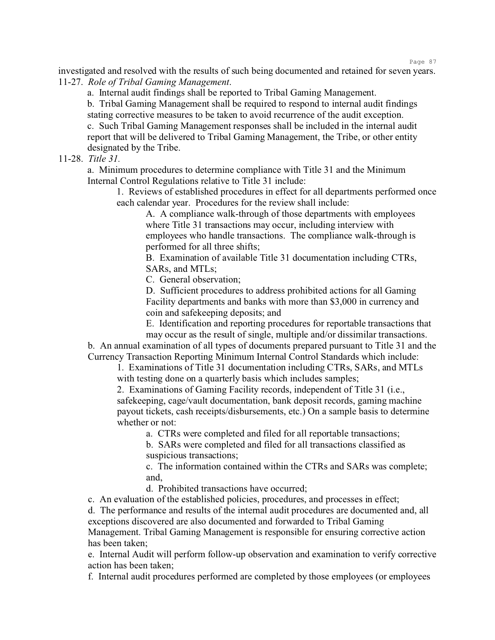investigated and resolved with the results of such being documented and retained for seven years. 11-27. *Role of Tribal Gaming Management*.

a. Internal audit findings shall be reported to Tribal Gaming Management.

b. Tribal Gaming Management shall be required to respond to internal audit findings stating corrective measures to be taken to avoid recurrence of the audit exception.

c. Such Tribal Gaming Management responses shall be included in the internal audit report that will be delivered to Tribal Gaming Management, the Tribe, or other entity designated by the Tribe.

11-28. *Title 31.*

a. Minimum procedures to determine compliance with Title 31 and the Minimum Internal Control Regulations relative to Title 31 include:

1. Reviews of established procedures in effect for all departments performed once each calendar year. Procedures for the review shall include:

A. A compliance walk-through of those departments with employees where Title 31 transactions may occur, including interview with employees who handle transactions. The compliance walk-through is performed for all three shifts;

B. Examination of available Title 31 documentation including CTRs, SARs, and MTLs;

C. General observation;

D. Sufficient procedures to address prohibited actions for all Gaming Facility departments and banks with more than \$3,000 in currency and coin and safekeeping deposits; and

E. Identification and reporting procedures for reportable transactions that may occur as the result of single, multiple and/or dissimilar transactions.

b. An annual examination of all types of documents prepared pursuant to Title 31 and the Currency Transaction Reporting Minimum Internal Control Standards which include:

1. Examinations of Title 31 documentation including CTRs, SARs, and MTLs with testing done on a quarterly basis which includes samples;

2. Examinations of Gaming Facility records, independent of Title 31 (i.e., safekeeping, cage/vault documentation, bank deposit records, gaming machine payout tickets, cash receipts/disbursements, etc.) On a sample basis to determine whether or not:

a. CTRs were completed and filed for all reportable transactions;

b. SARs were completed and filed for all transactions classified as suspicious transactions;

c. The information contained within the CTRs and SARs was complete; and,

d. Prohibited transactions have occurred;

c. An evaluation of the established policies, procedures, and processes in effect; d. The performance and results of the internal audit procedures are documented and, all exceptions discovered are also documented and forwarded to Tribal Gaming Management. Tribal Gaming Management is responsible for ensuring corrective action has been taken;

e. Internal Audit will perform follow-up observation and examination to verify corrective action has been taken;

f. Internal audit procedures performed are completed by those employees (or employees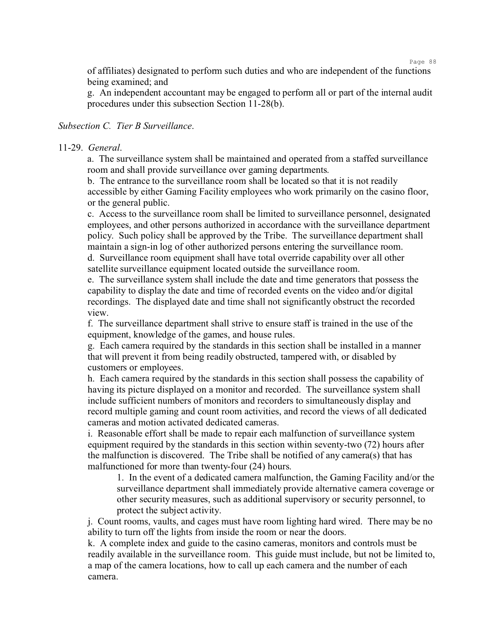of affiliates) designated to perform such duties and who are independent of the functions being examined; and

g. An independent accountant may be engaged to perform all or part of the internal audit procedures under this subsection Section 11-28(b).

## *Subsection C. Tier B Surveillance*.

#### 11-29. *General*.

a. The surveillance system shall be maintained and operated from a staffed surveillance room and shall provide surveillance over gaming departments.

b. The entrance to the surveillance room shall be located so that it is not readily accessible by either Gaming Facility employees who work primarily on the casino floor, or the general public.

c. Access to the surveillance room shall be limited to surveillance personnel, designated employees, and other persons authorized in accordance with the surveillance department policy. Such policy shall be approved by the Tribe. The surveillance department shall maintain a sign-in log of other authorized persons entering the surveillance room. d. Surveillance room equipment shall have total override capability over all other

satellite surveillance equipment located outside the surveillance room.

e. The surveillance system shall include the date and time generators that possess the capability to display the date and time of recorded events on the video and/or digital recordings. The displayed date and time shall not significantly obstruct the recorded view.

f. The surveillance department shall strive to ensure staff is trained in the use of the equipment, knowledge of the games, and house rules.

g. Each camera required by the standards in this section shall be installed in a manner that will prevent it from being readily obstructed, tampered with, or disabled by customers or employees.

h. Each camera required by the standards in this section shall possess the capability of having its picture displayed on a monitor and recorded. The surveillance system shall include sufficient numbers of monitors and recorders to simultaneously display and record multiple gaming and count room activities, and record the views of all dedicated cameras and motion activated dedicated cameras.

i. Reasonable effort shall be made to repair each malfunction of surveillance system equipment required by the standards in this section within seventy-two (72) hours after the malfunction is discovered. The Tribe shall be notified of any camera(s) that has malfunctioned for more than twenty-four (24) hours.

1. In the event of a dedicated camera malfunction, the Gaming Facility and/or the surveillance department shall immediately provide alternative camera coverage or other security measures, such as additional supervisory or security personnel, to protect the subject activity.

j. Count rooms, vaults, and cages must have room lighting hard wired. There may be no ability to turn off the lights from inside the room or near the doors.

k. A complete index and guide to the casino cameras, monitors and controls must be readily available in the surveillance room. This guide must include, but not be limited to, a map of the camera locations, how to call up each camera and the number of each camera.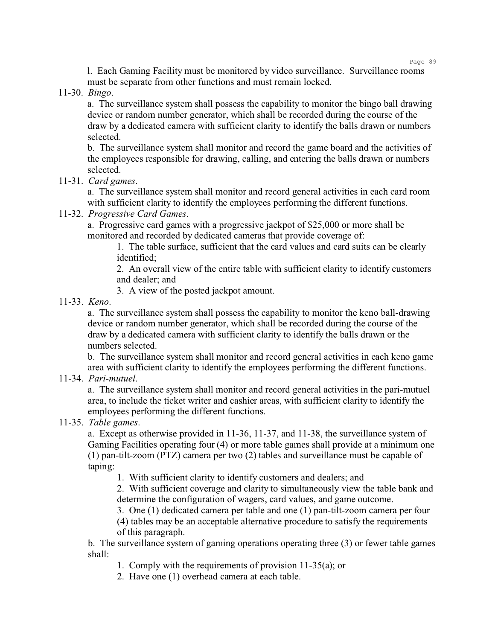l. Each Gaming Facility must be monitored by video surveillance. Surveillance rooms must be separate from other functions and must remain locked.

11-30. *Bingo*.

a. The surveillance system shall possess the capability to monitor the bingo ball drawing device or random number generator, which shall be recorded during the course of the draw by a dedicated camera with sufficient clarity to identify the balls drawn or numbers selected.

b. The surveillance system shall monitor and record the game board and the activities of the employees responsible for drawing, calling, and entering the balls drawn or numbers selected.

11-31. *Card games*.

a. The surveillance system shall monitor and record general activities in each card room with sufficient clarity to identify the employees performing the different functions.

11-32. *Progressive Card Games*.

a. Progressive card games with a progressive jackpot of \$25,000 or more shall be monitored and recorded by dedicated cameras that provide coverage of:

1. The table surface, sufficient that the card values and card suits can be clearly identified;

2. An overall view of the entire table with sufficient clarity to identify customers and dealer; and

3. A view of the posted jackpot amount.

11-33. *Keno*.

a. The surveillance system shall possess the capability to monitor the keno ball-drawing device or random number generator, which shall be recorded during the course of the draw by a dedicated camera with sufficient clarity to identify the balls drawn or the numbers selected.

b. The surveillance system shall monitor and record general activities in each keno game area with sufficient clarity to identify the employees performing the different functions.

11-34. *Pari-mutuel*.

a. The surveillance system shall monitor and record general activities in the pari-mutuel area, to include the ticket writer and cashier areas, with sufficient clarity to identify the employees performing the different functions.

11-35. *Table games*.

a. Except as otherwise provided in 11-36, 11-37, and 11-38, the surveillance system of Gaming Facilities operating four (4) or more table games shall provide at a minimum one (1) pan-tilt-zoom (PTZ) camera per two (2) tables and surveillance must be capable of taping:

1. With sufficient clarity to identify customers and dealers; and

2. With sufficient coverage and clarity to simultaneously view the table bank and determine the configuration of wagers, card values, and game outcome.

3. One (1) dedicated camera per table and one (1) pan-tilt-zoom camera per four

(4) tables may be an acceptable alternative procedure to satisfy the requirements of this paragraph.

b. The surveillance system of gaming operations operating three (3) or fewer table games shall:

1. Comply with the requirements of provision 11-35(a); or

2. Have one (1) overhead camera at each table.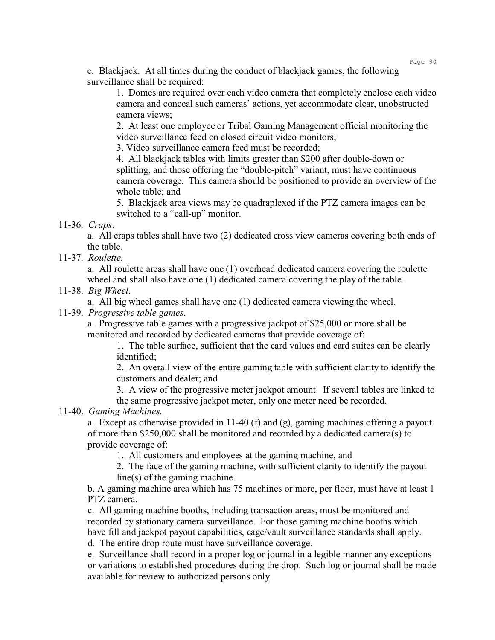c. Blackjack. At all times during the conduct of blackjack games, the following surveillance shall be required:

1. Domes are required over each video camera that completely enclose each video camera and conceal such cameras' actions, yet accommodate clear, unobstructed camera views;

2. At least one employee or Tribal Gaming Management official monitoring the video surveillance feed on closed circuit video monitors;

3. Video surveillance camera feed must be recorded;

4. All blackjack tables with limits greater than \$200 after double-down or splitting, and those offering the "double-pitch" variant, must have continuous camera coverage. This camera should be positioned to provide an overview of the whole table; and

5. Blackjack area views may be quadraplexed if the PTZ camera images can be switched to a "call-up" monitor.

11-36. *Craps*.

a. All craps tables shall have two (2) dedicated cross view cameras covering both ends of the table.

11-37. *Roulette*.

a. All roulette areas shall have one (1) overhead dedicated camera covering the roulette wheel and shall also have one (1) dedicated camera covering the play of the table.

11-38. *Big Wheel*.

a. All big wheel games shall have one (1) dedicated camera viewing the wheel.

11-39. *Progressive table games*.

a. Progressive table games with a progressive jackpot of \$25,000 or more shall be monitored and recorded by dedicated cameras that provide coverage of:

1. The table surface, sufficient that the card values and card suites can be clearly identified;

2. An overall view of the entire gaming table with sufficient clarity to identify the customers and dealer; and

3. A view of the progressive meter jackpot amount. If several tables are linked to the same progressive jackpot meter, only one meter need be recorded.

11-40. *Gaming Machines.*

a. Except as otherwise provided in 11-40 (f) and (g), gaming machines offering a payout of more than \$250,000 shall be monitored and recorded by a dedicated camera(s) to provide coverage of:

1. All customers and employees at the gaming machine, and

2. The face of the gaming machine, with sufficient clarity to identify the payout line(s) of the gaming machine.

b. A gaming machine area which has 75 machines or more, per floor, must have at least 1 PTZ camera.

c. All gaming machine booths, including transaction areas, must be monitored and recorded by stationary camera surveillance. For those gaming machine booths which have fill and jackpot payout capabilities, cage/vault surveillance standards shall apply. d. The entire drop route must have surveillance coverage.

e. Surveillance shall record in a proper log or journal in a legible manner any exceptions or variations to established procedures during the drop. Such log or journal shall be made available for review to authorized persons only.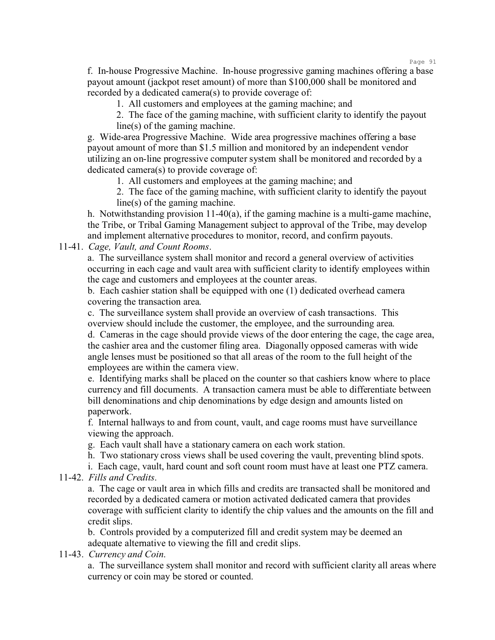f. In-house Progressive Machine. In-house progressive gaming machines offering a base payout amount (jackpot reset amount) of more than \$100,000 shall be monitored and recorded by a dedicated camera(s) to provide coverage of:

1. All customers and employees at the gaming machine; and

2. The face of the gaming machine, with sufficient clarity to identify the payout line(s) of the gaming machine.

g. Wide-area Progressive Machine. Wide area progressive machines offering a base payout amount of more than \$1.5 million and monitored by an independent vendor utilizing an on-line progressive computer system shall be monitored and recorded by a dedicated camera(s) to provide coverage of:

1. All customers and employees at the gaming machine; and

2. The face of the gaming machine, with sufficient clarity to identify the payout line(s) of the gaming machine.

h. Notwithstanding provision  $11-40(a)$ , if the gaming machine is a multi-game machine, the Tribe, or Tribal Gaming Management subject to approval of the Tribe, may develop and implement alternative procedures to monitor, record, and confirm payouts.

11-41. *Cage, Vault, and Count Rooms*.

a. The surveillance system shall monitor and record a general overview of activities occurring in each cage and vault area with sufficient clarity to identify employees within the cage and customers and employees at the counter areas.

b. Each cashier station shall be equipped with one (1) dedicated overhead camera covering the transaction area.

c. The surveillance system shall provide an overview of cash transactions. This overview should include the customer, the employee, and the surrounding area. d. Cameras in the cage should provide views of the door entering the cage, the cage area, the cashier area and the customer filing area. Diagonally opposed cameras with wide angle lenses must be positioned so that all areas of the room to the full height of the employees are within the camera view.

e. Identifying marks shall be placed on the counter so that cashiers know where to place currency and fill documents. A transaction camera must be able to differentiate between bill denominations and chip denominations by edge design and amounts listed on paperwork.

f. Internal hallways to and from count, vault, and cage rooms must have surveillance viewing the approach.

g. Each vault shall have a stationary camera on each work station.

h. Two stationary cross views shall be used covering the vault, preventing blind spots.

i. Each cage, vault, hard count and soft count room must have at least one PTZ camera.

11-42. *Fills and Credits*.

a. The cage or vault area in which fills and credits are transacted shall be monitored and recorded by a dedicated camera or motion activated dedicated camera that provides coverage with sufficient clarity to identify the chip values and the amounts on the fill and credit slips.

b. Controls provided by a computerized fill and credit system may be deemed an adequate alternative to viewing the fill and credit slips.

11-43. *Currency and Coin*.

a. The surveillance system shall monitor and record with sufficient clarity all areas where currency or coin may be stored or counted.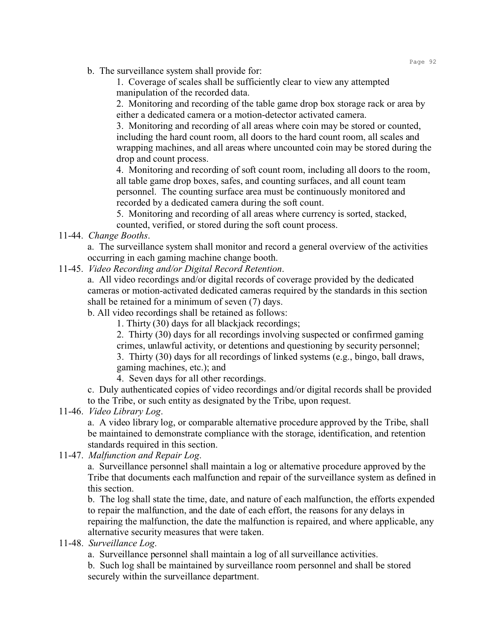b. The surveillance system shall provide for:

1. Coverage of scales shall be sufficiently clear to view any attempted manipulation of the recorded data.

2. Monitoring and recording of the table game drop box storage rack or area by either a dedicated camera or a motion-detector activated camera.

3. Monitoring and recording of all areas where coin may be stored or counted, including the hard count room, all doors to the hard count room, all scales and wrapping machines, and all areas where uncounted coin may be stored during the drop and count process.

4. Monitoring and recording of soft count room, including all doors to the room, all table game drop boxes, safes, and counting surfaces, and all count team personnel. The counting surface area must be continuously monitored and recorded by a dedicated camera during the soft count.

5. Monitoring and recording of all areas where currency is sorted, stacked, counted, verified, or stored during the soft count process.

11-44. *Change Booths*.

a. The surveillance system shall monitor and record a general overview of the activities occurring in each gaming machine change booth.

11-45. *Video Recording and/or Digital Record Retention*.

a. All video recordings and/or digital records of coverage provided by the dedicated cameras or motion-activated dedicated cameras required by the standards in this section shall be retained for a minimum of seven (7) days.

b. All video recordings shall be retained as follows:

1. Thirty (30) days for all blackjack recordings;

2. Thirty (30) days for all recordings involving suspected or confirmed gaming crimes, unlawful activity, or detentions and questioning by security personnel;

3. Thirty (30) days for all recordings of linked systems (e.g., bingo, ball draws, gaming machines, etc.); and

4. Seven days for all other recordings.

c. Duly authenticated copies of video recordings and/or digital records shall be provided to the Tribe, or such entity as designated by the Tribe, upon request.

11-46. *Video Library Log*.

a. A video library log, or comparable alternative procedure approved by the Tribe, shall be maintained to demonstrate compliance with the storage, identification, and retention standards required in this section.

11-47. *Malfunction and Repair Log*.

a. Surveillance personnel shall maintain a log or alternative procedure approved by the Tribe that documents each malfunction and repair of the surveillance system as defined in this section.

b. The log shall state the time, date, and nature of each malfunction, the efforts expended to repair the malfunction, and the date of each effort, the reasons for any delays in repairing the malfunction, the date the malfunction is repaired, and where applicable, any alternative security measures that were taken.

11-48. *Surveillance Log*.

a. Surveillance personnel shall maintain a log of all surveillance activities.

b. Such log shall be maintained by surveillance room personnel and shall be stored securely within the surveillance department.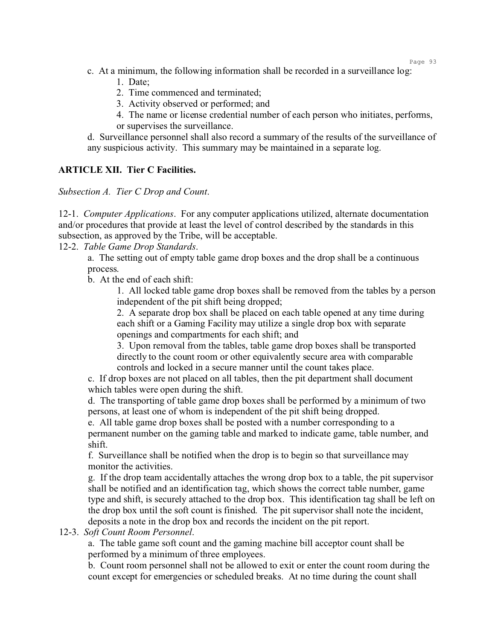- c. At a minimum, the following information shall be recorded in a surveillance log:
	- 1. Date;
	- 2. Time commenced and terminated;
	- 3. Activity observed or performed; and
	- 4. The name or license credential number of each person who initiates, performs, or supervises the surveillance.

d. Surveillance personnel shall also record a summary of the results of the surveillance of any suspicious activity. This summary may be maintained in a separate log.

## **ARTICLE XII. Tier C Facilities.**

*Subsection A. Tier C Drop and Count*.

12-1. *Computer Applications*. For any computer applications utilized, alternate documentation and/or procedures that provide at least the level of control described by the standards in this subsection, as approved by the Tribe, will be acceptable.

12-2. *Table Game Drop Standards*.

a. The setting out of empty table game drop boxes and the drop shall be a continuous process.

b. At the end of each shift:

1. All locked table game drop boxes shall be removed from the tables by a person independent of the pit shift being dropped;

2. A separate drop box shall be placed on each table opened at any time during each shift or a Gaming Facility may utilize a single drop box with separate openings and compartments for each shift; and

3. Upon removal from the tables, table game drop boxes shall be transported directly to the count room or other equivalently secure area with comparable controls and locked in a secure manner until the count takes place.

c. If drop boxes are not placed on all tables, then the pit department shall document which tables were open during the shift.

d. The transporting of table game drop boxes shall be performed by a minimum of two persons, at least one of whom is independent of the pit shift being dropped.

e. All table game drop boxes shall be posted with a number corresponding to a permanent number on the gaming table and marked to indicate game, table number, and shift.

f. Surveillance shall be notified when the drop is to begin so that surveillance may monitor the activities.

g. If the drop team accidentally attaches the wrong drop box to a table, the pit supervisor shall be notified and an identification tag, which shows the correct table number, game type and shift, is securely attached to the drop box. This identification tag shall be left on the drop box until the soft count is finished. The pit supervisor shall note the incident, deposits a note in the drop box and records the incident on the pit report.

#### 12-3. *Soft Count Room Personnel*.

a. The table game soft count and the gaming machine bill acceptor count shall be performed by a minimum of three employees.

b. Count room personnel shall not be allowed to exit or enter the count room during the count except for emergencies or scheduled breaks. At no time during the count shall

Page 93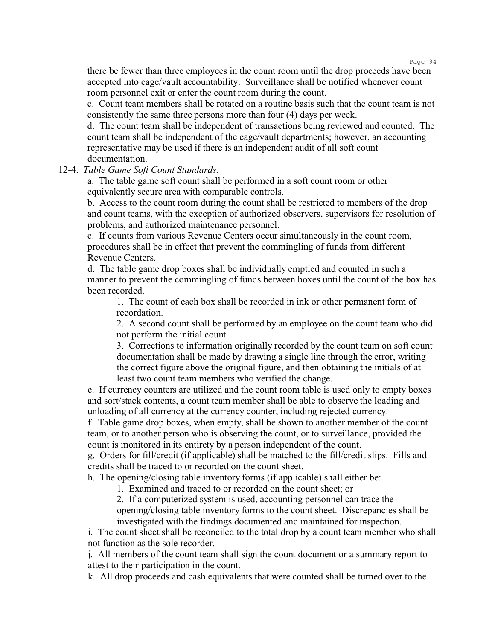there be fewer than three employees in the count room until the drop proceeds have been accepted into cage/vault accountability. Surveillance shall be notified whenever count room personnel exit or enter the count room during the count.

c. Count team members shall be rotated on a routine basis such that the count team is not consistently the same three persons more than four (4) days per week.

d. The count team shall be independent of transactions being reviewed and counted. The count team shall be independent of the cage/vault departments; however, an accounting representative may be used if there is an independent audit of all soft count documentation.

#### 12-4. *Table Game Soft Count Standards*.

a. The table game soft count shall be performed in a soft count room or other equivalently secure area with comparable controls.

b. Access to the count room during the count shall be restricted to members of the drop and count teams, with the exception of authorized observers, supervisors for resolution of problems, and authorized maintenance personnel.

c. If counts from various Revenue Centers occur simultaneously in the count room, procedures shall be in effect that prevent the commingling of funds from different Revenue Centers.

d. The table game drop boxes shall be individually emptied and counted in such a manner to prevent the commingling of funds between boxes until the count of the box has been recorded.

1. The count of each box shall be recorded in ink or other permanent form of recordation.

2. A second count shall be performed by an employee on the count team who did not perform the initial count.

3. Corrections to information originally recorded by the count team on soft count documentation shall be made by drawing a single line through the error, writing the correct figure above the original figure, and then obtaining the initials of at least two count team members who verified the change.

e. If currency counters are utilized and the count room table is used only to empty boxes and sort/stack contents, a count team member shall be able to observe the loading and unloading of all currency at the currency counter, including rejected currency.

f. Table game drop boxes, when empty, shall be shown to another member of the count team, or to another person who is observing the count, or to surveillance, provided the count is monitored in its entirety by a person independent of the count.

g. Orders for fill/credit (if applicable) shall be matched to the fill/credit slips. Fills and credits shall be traced to or recorded on the count sheet.

h. The opening/closing table inventory forms (if applicable) shall either be:

1. Examined and traced to or recorded on the count sheet; or

2. If a computerized system is used, accounting personnel can trace the opening/closing table inventory forms to the count sheet. Discrepancies shall be investigated with the findings documented and maintained for inspection.

i. The count sheet shall be reconciled to the total drop by a count team member who shall not function as the sole recorder.

j. All members of the count team shall sign the count document or a summary report to attest to their participation in the count.

k. All drop proceeds and cash equivalents that were counted shall be turned over to the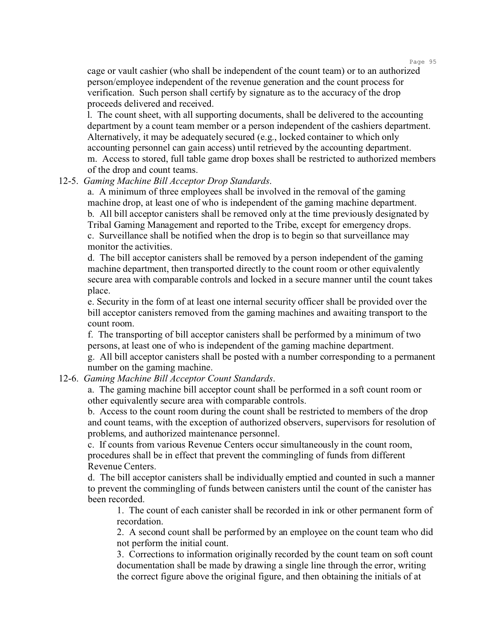cage or vault cashier (who shall be independent of the count team) or to an authorized person/employee independent of the revenue generation and the count process for verification. Such person shall certify by signature as to the accuracy of the drop proceeds delivered and received.

l. The count sheet, with all supporting documents, shall be delivered to the accounting department by a count team member or a person independent of the cashiers department. Alternatively, it may be adequately secured (e.g., locked container to which only accounting personnel can gain access) until retrieved by the accounting department. m. Access to stored, full table game drop boxes shall be restricted to authorized members of the drop and count teams.

#### 12-5. *Gaming Machine Bill Acceptor Drop Standards*.

a. A minimum of three employees shall be involved in the removal of the gaming machine drop, at least one of who is independent of the gaming machine department. b. All bill acceptor canisters shall be removed only at the time previously designated by Tribal Gaming Management and reported to the Tribe, except for emergency drops. c. Surveillance shall be notified when the drop is to begin so that surveillance may monitor the activities.

d. The bill acceptor canisters shall be removed by a person independent of the gaming machine department, then transported directly to the count room or other equivalently secure area with comparable controls and locked in a secure manner until the count takes place.

e. Security in the form of at least one internal security officer shall be provided over the bill acceptor canisters removed from the gaming machines and awaiting transport to the count room.

f. The transporting of bill acceptor canisters shall be performed by a minimum of two persons, at least one of who is independent of the gaming machine department.

g. All bill acceptor canisters shall be posted with a number corresponding to a permanent number on the gaming machine.

12-6. *Gaming Machine Bill Acceptor Count Standards*.

a. The gaming machine bill acceptor count shall be performed in a soft count room or other equivalently secure area with comparable controls.

b. Access to the count room during the count shall be restricted to members of the drop and count teams, with the exception of authorized observers, supervisors for resolution of problems, and authorized maintenance personnel.

c. If counts from various Revenue Centers occur simultaneously in the count room, procedures shall be in effect that prevent the commingling of funds from different Revenue Centers.

d. The bill acceptor canisters shall be individually emptied and counted in such a manner to prevent the commingling of funds between canisters until the count of the canister has been recorded.

1. The count of each canister shall be recorded in ink or other permanent form of recordation.

2. A second count shall be performed by an employee on the count team who did not perform the initial count.

3. Corrections to information originally recorded by the count team on soft count documentation shall be made by drawing a single line through the error, writing the correct figure above the original figure, and then obtaining the initials of at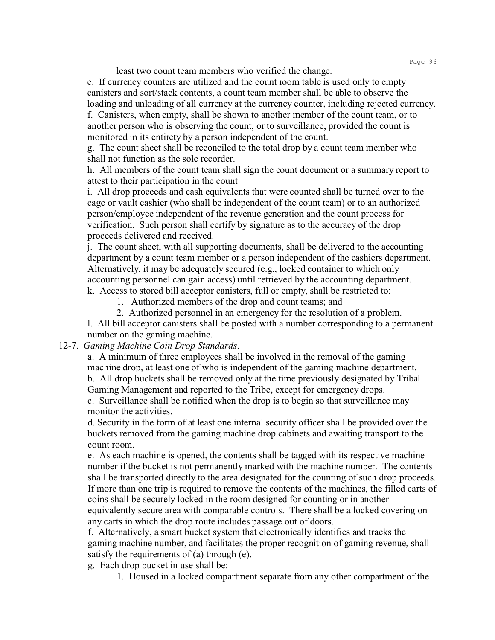least two count team members who verified the change.

e. If currency counters are utilized and the count room table is used only to empty canisters and sort/stack contents, a count team member shall be able to observe the loading and unloading of all currency at the currency counter, including rejected currency. f. Canisters, when empty, shall be shown to another member of the count team, or to another person who is observing the count, or to surveillance, provided the count is monitored in its entirety by a person independent of the count.

g. The count sheet shall be reconciled to the total drop by a count team member who shall not function as the sole recorder.

h. All members of the count team shall sign the count document or a summary report to attest to their participation in the count

i. All drop proceeds and cash equivalents that were counted shall be turned over to the cage or vault cashier (who shall be independent of the count team) or to an authorized person/employee independent of the revenue generation and the count process for verification. Such person shall certify by signature as to the accuracy of the drop proceeds delivered and received.

j. The count sheet, with all supporting documents, shall be delivered to the accounting department by a count team member or a person independent of the cashiers department. Alternatively, it may be adequately secured (e.g., locked container to which only accounting personnel can gain access) until retrieved by the accounting department. k. Access to stored bill acceptor canisters, full or empty, shall be restricted to:

1. Authorized members of the drop and count teams; and

2. Authorized personnel in an emergency for the resolution of a problem.

l. All bill acceptor canisters shall be posted with a number corresponding to a permanent number on the gaming machine.

#### 12-7. *Gaming Machine Coin Drop Standards*.

a. A minimum of three employees shall be involved in the removal of the gaming machine drop, at least one of who is independent of the gaming machine department. b. All drop buckets shall be removed only at the time previously designated by Tribal Gaming Management and reported to the Tribe, except for emergency drops.

c. Surveillance shall be notified when the drop is to begin so that surveillance may monitor the activities.

d. Security in the form of at least one internal security officer shall be provided over the buckets removed from the gaming machine drop cabinets and awaiting transport to the count room.

e. As each machine is opened, the contents shall be tagged with its respective machine number if the bucket is not permanently marked with the machine number. The contents shall be transported directly to the area designated for the counting of such drop proceeds. If more than one trip is required to remove the contents of the machines, the filled carts of coins shall be securely locked in the room designed for counting or in another equivalently secure area with comparable controls. There shall be a locked covering on any carts in which the drop route includes passage out of doors.

f. Alternatively, a smart bucket system that electronically identifies and tracks the gaming machine number, and facilitates the proper recognition of gaming revenue, shall satisfy the requirements of (a) through (e).

g. Each drop bucket in use shall be:

1. Housed in a locked compartment separate from any other compartment of the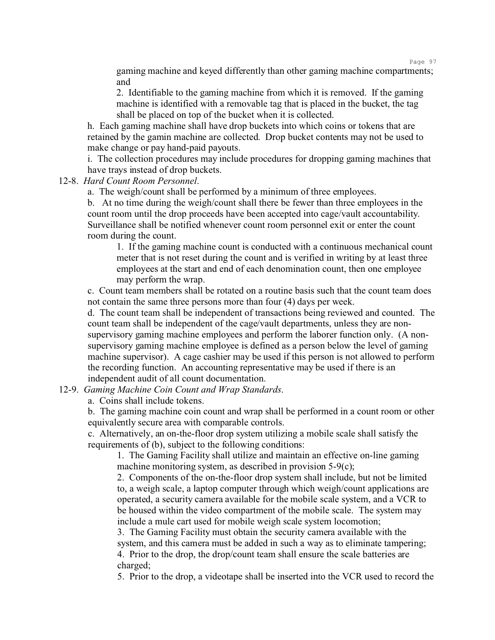gaming machine and keyed differently than other gaming machine compartments; and

2. Identifiable to the gaming machine from which it is removed. If the gaming machine is identified with a removable tag that is placed in the bucket, the tag shall be placed on top of the bucket when it is collected.

h. Each gaming machine shall have drop buckets into which coins or tokens that are retained by the gamin machine are collected. Drop bucket contents may not be used to make change or pay hand-paid payouts.

i. The collection procedures may include procedures for dropping gaming machines that have trays instead of drop buckets.

#### 12-8. *Hard Count Room Personnel*.

a. The weigh/count shall be performed by a minimum of three employees.

b. At no time during the weigh/count shall there be fewer than three employees in the count room until the drop proceeds have been accepted into cage/vault accountability. Surveillance shall be notified whenever count room personnel exit or enter the count room during the count.

1. If the gaming machine count is conducted with a continuous mechanical count meter that is not reset during the count and is verified in writing by at least three employees at the start and end of each denomination count, then one employee may perform the wrap.

c. Count team members shall be rotated on a routine basis such that the count team does not contain the same three persons more than four (4) days per week.

d. The count team shall be independent of transactions being reviewed and counted. The count team shall be independent of the cage/vault departments, unless they are nonsupervisory gaming machine employees and perform the laborer function only. (A nonsupervisory gaming machine employee is defined as a person below the level of gaming machine supervisor). A cage cashier may be used if this person is not allowed to perform the recording function. An accounting representative may be used if there is an independent audit of all count documentation.

12-9. *Gaming Machine Coin Count and Wrap Standards*.

a. Coins shall include tokens.

b. The gaming machine coin count and wrap shall be performed in a count room or other equivalently secure area with comparable controls.

c. Alternatively, an on-the-floor drop system utilizing a mobile scale shall satisfy the requirements of (b), subject to the following conditions:

1. The Gaming Facility shall utilize and maintain an effective on-line gaming machine monitoring system, as described in provision 5-9(c);

2. Components of the on-the-floor drop system shall include, but not be limited to, a weigh scale, a laptop computer through which weigh/count applications are operated, a security camera available for the mobile scale system, and a VCR to be housed within the video compartment of the mobile scale. The system may include a mule cart used for mobile weigh scale system locomotion;

3. The Gaming Facility must obtain the security camera available with the system, and this camera must be added in such a way as to eliminate tampering; 4. Prior to the drop, the drop/count team shall ensure the scale batteries are charged;

5. Prior to the drop, a videotape shall be inserted into the VCR used to record the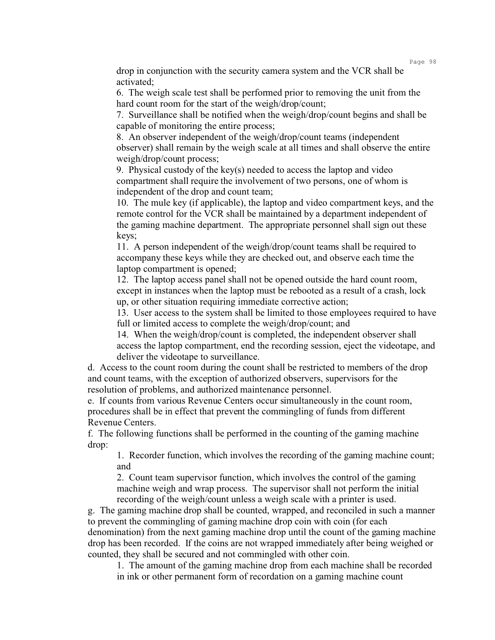drop in conjunction with the security camera system and the VCR shall be activated;

6. The weigh scale test shall be performed prior to removing the unit from the hard count room for the start of the weigh/drop/count;

7. Surveillance shall be notified when the weigh/drop/count begins and shall be capable of monitoring the entire process;

8. An observer independent of the weigh/drop/count teams (independent observer) shall remain by the weigh scale at all times and shall observe the entire weigh/drop/count process;

9. Physical custody of the key(s) needed to access the laptop and video compartment shall require the involvement of two persons, one of whom is independent of the drop and count team;

10. The mule key (if applicable), the laptop and video compartment keys, and the remote control for the VCR shall be maintained by a department independent of the gaming machine department. The appropriate personnel shall sign out these keys;

11. A person independent of the weigh/drop/count teams shall be required to accompany these keys while they are checked out, and observe each time the laptop compartment is opened;

12. The laptop access panel shall not be opened outside the hard count room, except in instances when the laptop must be rebooted as a result of a crash, lock up, or other situation requiring immediate corrective action;

13. User access to the system shall be limited to those employees required to have full or limited access to complete the weigh/drop/count; and

14. When the weigh/drop/count is completed, the independent observer shall access the laptop compartment, end the recording session, eject the videotape, and deliver the videotape to surveillance.

d. Access to the count room during the count shall be restricted to members of the drop and count teams, with the exception of authorized observers, supervisors for the resolution of problems, and authorized maintenance personnel.

e. If counts from various Revenue Centers occur simultaneously in the count room, procedures shall be in effect that prevent the commingling of funds from different Revenue Centers.

f. The following functions shall be performed in the counting of the gaming machine drop:

1. Recorder function, which involves the recording of the gaming machine count; and

2. Count team supervisor function, which involves the control of the gaming machine weigh and wrap process. The supervisor shall not perform the initial recording of the weigh/count unless a weigh scale with a printer is used.

g. The gaming machine drop shall be counted, wrapped, and reconciled in such a manner to prevent the commingling of gaming machine drop coin with coin (for each denomination) from the next gaming machine drop until the count of the gaming machine drop has been recorded. If the coins are not wrapped immediately after being weighed or counted, they shall be secured and not commingled with other coin.

1. The amount of the gaming machine drop from each machine shall be recorded in ink or other permanent form of recordation on a gaming machine count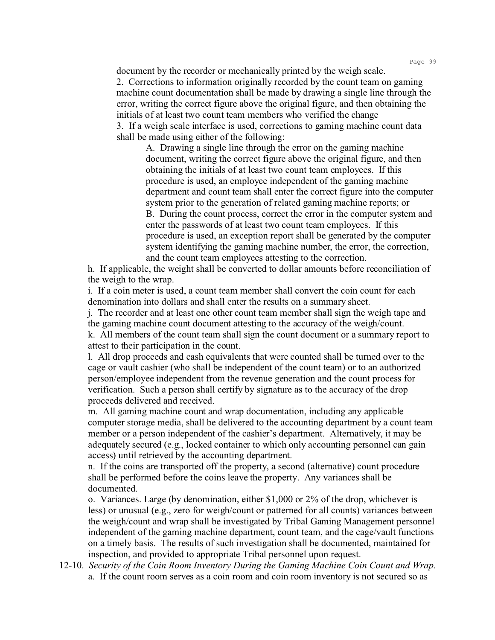document by the recorder or mechanically printed by the weigh scale. 2. Corrections to information originally recorded by the count team on gaming machine count documentation shall be made by drawing a single line through the error, writing the correct figure above the original figure, and then obtaining the initials of at least two count team members who verified the change 3. If a weigh scale interface is used, corrections to gaming machine count data shall be made using either of the following:

A. Drawing a single line through the error on the gaming machine document, writing the correct figure above the original figure, and then obtaining the initials of at least two count team employees. If this procedure is used, an employee independent of the gaming machine department and count team shall enter the correct figure into the computer system prior to the generation of related gaming machine reports; or B. During the count process, correct the error in the computer system and enter the passwords of at least two count team employees. If this procedure is used, an exception report shall be generated by the computer system identifying the gaming machine number, the error, the correction, and the count team employees attesting to the correction.

h. If applicable, the weight shall be converted to dollar amounts before reconciliation of the weigh to the wrap.

i. If a coin meter is used, a count team member shall convert the coin count for each denomination into dollars and shall enter the results on a summary sheet.

j. The recorder and at least one other count team member shall sign the weigh tape and the gaming machine count document attesting to the accuracy of the weigh/count. k. All members of the count team shall sign the count document or a summary report to attest to their participation in the count.

l. All drop proceeds and cash equivalents that were counted shall be turned over to the cage or vault cashier (who shall be independent of the count team) or to an authorized person/employee independent from the revenue generation and the count process for verification. Such a person shall certify by signature as to the accuracy of the drop proceeds delivered and received.

m. All gaming machine count and wrap documentation, including any applicable computer storage media, shall be delivered to the accounting department by a count team member or a person independent of the cashier's department. Alternatively, it may be adequately secured (e.g., locked container to which only accounting personnel can gain access) until retrieved by the accounting department.

n. If the coins are transported off the property, a second (alternative) count procedure shall be performed before the coins leave the property. Any variances shall be documented.

o. Variances. Large (by denomination, either \$1,000 or 2% of the drop, whichever is less) or unusual (e.g., zero for weigh/count or patterned for all counts) variances between the weigh/count and wrap shall be investigated by Tribal Gaming Management personnel independent of the gaming machine department, count team, and the cage/vault functions on a timely basis. The results of such investigation shall be documented, maintained for inspection, and provided to appropriate Tribal personnel upon request.

12-10. *Security of the Coin Room Inventory During the Gaming Machine Coin Count and Wrap*. a. If the count room serves as a coin room and coin room inventory is not secured so as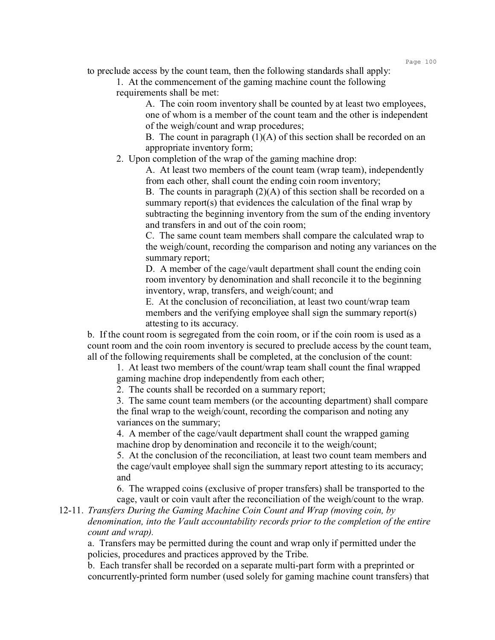to preclude access by the count team, then the following standards shall apply:

1. At the commencement of the gaming machine count the following requirements shall be met:

> A. The coin room inventory shall be counted by at least two employees, one of whom is a member of the count team and the other is independent of the weigh/count and wrap procedures;

> B. The count in paragraph  $(1)(A)$  of this section shall be recorded on an appropriate inventory form;

2. Upon completion of the wrap of the gaming machine drop:

A. At least two members of the count team (wrap team), independently from each other, shall count the ending coin room inventory;

B. The counts in paragraph  $(2)(A)$  of this section shall be recorded on a summary report(s) that evidences the calculation of the final wrap by subtracting the beginning inventory from the sum of the ending inventory and transfers in and out of the coin room;

C. The same count team members shall compare the calculated wrap to the weigh/count, recording the comparison and noting any variances on the summary report;

D. A member of the cage/vault department shall count the ending coin room inventory by denomination and shall reconcile it to the beginning inventory, wrap, transfers, and weigh/count; and

E. At the conclusion of reconciliation, at least two count/wrap team members and the verifying employee shall sign the summary report(s) attesting to its accuracy.

b. If the count room is segregated from the coin room, or if the coin room is used as a count room and the coin room inventory is secured to preclude access by the count team, all of the following requirements shall be completed, at the conclusion of the count:

1. At least two members of the count/wrap team shall count the final wrapped gaming machine drop independently from each other;

2. The counts shall be recorded on a summary report;

3. The same count team members (or the accounting department) shall compare the final wrap to the weigh/count, recording the comparison and noting any variances on the summary;

4. A member of the cage/vault department shall count the wrapped gaming machine drop by denomination and reconcile it to the weigh/count;

5. At the conclusion of the reconciliation, at least two count team members and the cage/vault employee shall sign the summary report attesting to its accuracy; and

6. The wrapped coins (exclusive of proper transfers) shall be transported to the cage, vault or coin vault after the reconciliation of the weigh/count to the wrap.

12-11. *Transfers During the Gaming Machine Coin Count and Wrap (moving coin, by denomination, into the Vault accountability records prior to the completion of the entire count and wrap).*

a. Transfers may be permitted during the count and wrap only if permitted under the policies, procedures and practices approved by the Tribe.

b. Each transfer shall be recorded on a separate multi-part form with a preprinted or concurrently-printed form number (used solely for gaming machine count transfers) that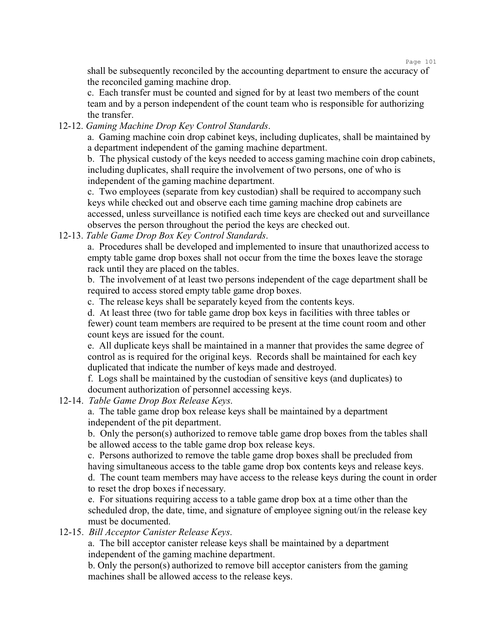shall be subsequently reconciled by the accounting department to ensure the accuracy of the reconciled gaming machine drop.

c. Each transfer must be counted and signed for by at least two members of the count team and by a person independent of the count team who is responsible for authorizing the transfer.

12-12. *Gaming Machine Drop Key Control Standards*.

a. Gaming machine coin drop cabinet keys, including duplicates, shall be maintained by a department independent of the gaming machine department.

b. The physical custody of the keys needed to access gaming machine coin drop cabinets, including duplicates, shall require the involvement of two persons, one of who is independent of the gaming machine department.

c. Two employees (separate from key custodian) shall be required to accompany such keys while checked out and observe each time gaming machine drop cabinets are accessed, unless surveillance is notified each time keys are checked out and surveillance observes the person throughout the period the keys are checked out.

12-13. *Table Game Drop Box Key Control Standards*.

a. Procedures shall be developed and implemented to insure that unauthorized access to empty table game drop boxes shall not occur from the time the boxes leave the storage rack until they are placed on the tables.

b. The involvement of at least two persons independent of the cage department shall be required to access stored empty table game drop boxes.

c. The release keys shall be separately keyed from the contents keys.

d. At least three (two for table game drop box keys in facilities with three tables or fewer) count team members are required to be present at the time count room and other count keys are issued for the count.

e. All duplicate keys shall be maintained in a manner that provides the same degree of control as is required for the original keys. Records shall be maintained for each key duplicated that indicate the number of keys made and destroyed.

f. Logs shall be maintained by the custodian of sensitive keys (and duplicates) to document authorization of personnel accessing keys.

12-14. *Table Game Drop Box Release Keys*.

a. The table game drop box release keys shall be maintained by a department independent of the pit department.

b. Only the person(s) authorized to remove table game drop boxes from the tables shall be allowed access to the table game drop box release keys.

c. Persons authorized to remove the table game drop boxes shall be precluded from having simultaneous access to the table game drop box contents keys and release keys. d. The count team members may have access to the release keys during the count in order to reset the drop boxes if necessary.

e. For situations requiring access to a table game drop box at a time other than the scheduled drop, the date, time, and signature of employee signing out/in the release key must be documented.

## 12-15. *Bill Acceptor Canister Release Keys*.

a. The bill acceptor canister release keys shall be maintained by a department independent of the gaming machine department.

b. Only the person(s) authorized to remove bill acceptor canisters from the gaming machines shall be allowed access to the release keys.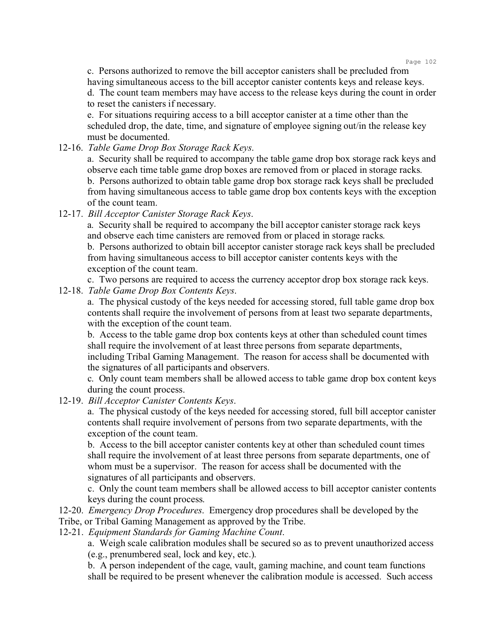c. Persons authorized to remove the bill acceptor canisters shall be precluded from having simultaneous access to the bill acceptor canister contents keys and release keys. d. The count team members may have access to the release keys during the count in order to reset the canisters if necessary.

e. For situations requiring access to a bill acceptor canister at a time other than the scheduled drop, the date, time, and signature of employee signing out/in the release key must be documented.

12-16. *Table Game Drop Box Storage Rack Keys*.

a. Security shall be required to accompany the table game drop box storage rack keys and observe each time table game drop boxes are removed from or placed in storage racks. b. Persons authorized to obtain table game drop box storage rack keys shall be precluded from having simultaneous access to table game drop box contents keys with the exception of the count team.

12-17. *Bill Acceptor Canister Storage Rack Keys*.

a. Security shall be required to accompany the bill acceptor canister storage rack keys and observe each time canisters are removed from or placed in storage racks.

b. Persons authorized to obtain bill acceptor canister storage rack keys shall be precluded from having simultaneous access to bill acceptor canister contents keys with the exception of the count team.

c. Two persons are required to access the currency acceptor drop box storage rack keys.

12-18. *Table Game Drop Box Contents Keys*.

a. The physical custody of the keys needed for accessing stored, full table game drop box contents shall require the involvement of persons from at least two separate departments, with the exception of the count team.

b. Access to the table game drop box contents keys at other than scheduled count times shall require the involvement of at least three persons from separate departments, including Tribal Gaming Management. The reason for access shall be documented with the signatures of all participants and observers.

c. Only count team members shall be allowed access to table game drop box content keys during the count process.

12-19. *Bill Acceptor Canister Contents Keys*.

a. The physical custody of the keys needed for accessing stored, full bill acceptor canister contents shall require involvement of persons from two separate departments, with the exception of the count team.

b. Access to the bill acceptor canister contents key at other than scheduled count times shall require the involvement of at least three persons from separate departments, one of whom must be a supervisor. The reason for access shall be documented with the signatures of all participants and observers.

c. Only the count team members shall be allowed access to bill acceptor canister contents keys during the count process.

- 12-20. *Emergency Drop Procedures*. Emergency drop procedures shall be developed by the Tribe, or Tribal Gaming Management as approved by the Tribe.
- 12-21. *Equipment Standards for Gaming Machine Count*.

a. Weigh scale calibration modules shall be secured so as to prevent unauthorized access (e.g., prenumbered seal, lock and key, etc.).

b. A person independent of the cage, vault, gaming machine, and count team functions shall be required to be present whenever the calibration module is accessed. Such access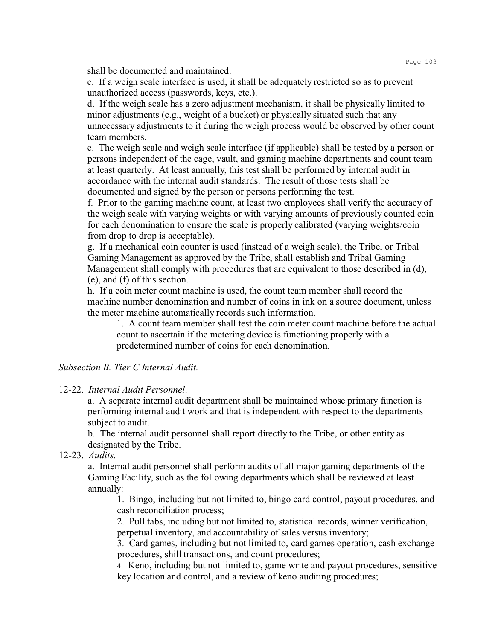shall be documented and maintained.

c. If a weigh scale interface is used, it shall be adequately restricted so as to prevent unauthorized access (passwords, keys, etc.).

d. If the weigh scale has a zero adjustment mechanism, it shall be physically limited to minor adjustments (e.g., weight of a bucket) or physically situated such that any unnecessary adjustments to it during the weigh process would be observed by other count team members.

e. The weigh scale and weigh scale interface (if applicable) shall be tested by a person or persons independent of the cage, vault, and gaming machine departments and count team at least quarterly. At least annually, this test shall be performed by internal audit in accordance with the internal audit standards. The result of those tests shall be documented and signed by the person or persons performing the test.

f. Prior to the gaming machine count, at least two employees shall verify the accuracy of the weigh scale with varying weights or with varying amounts of previously counted coin for each denomination to ensure the scale is properly calibrated (varying weights/coin from drop to drop is acceptable).

g. If a mechanical coin counter is used (instead of a weigh scale), the Tribe, or Tribal Gaming Management as approved by the Tribe, shall establish and Tribal Gaming Management shall comply with procedures that are equivalent to those described in (d), (e), and (f) of this section.

h. If a coin meter count machine is used, the count team member shall record the machine number denomination and number of coins in ink on a source document, unless the meter machine automatically records such information.

1. A count team member shall test the coin meter count machine before the actual count to ascertain if the metering device is functioning properly with a predetermined number of coins for each denomination.

*Subsection B. Tier C Internal Audit.*

## 12-22. *Internal Audit Personnel*.

a. A separate internal audit department shall be maintained whose primary function is performing internal audit work and that is independent with respect to the departments subject to audit.

b. The internal audit personnel shall report directly to the Tribe, or other entity as designated by the Tribe.

12-23. *Audits*.

a. Internal audit personnel shall perform audits of all major gaming departments of the Gaming Facility, such as the following departments which shall be reviewed at least annually:

1. Bingo, including but not limited to, bingo card control, payout procedures, and cash reconciliation process;

2. Pull tabs, including but not limited to, statistical records, winner verification, perpetual inventory, and accountability of sales versus inventory;

3. Card games, including but not limited to, card games operation, cash exchange procedures, shill transactions, and count procedures;

4. Keno, including but not limited to, game write and payout procedures, sensitive key location and control, and a review of keno auditing procedures;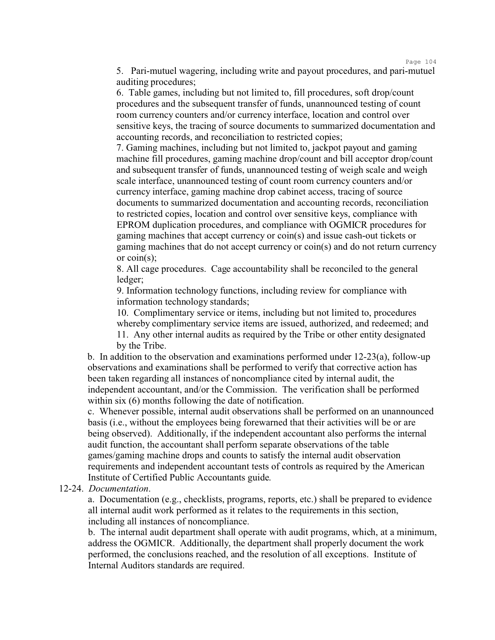Page 104

5. Pari-mutuel wagering, including write and payout procedures, and pari-mutuel auditing procedures;

6. Table games, including but not limited to, fill procedures, soft drop/count procedures and the subsequent transfer of funds, unannounced testing of count room currency counters and/or currency interface, location and control over sensitive keys, the tracing of source documents to summarized documentation and accounting records, and reconciliation to restricted copies;

7. Gaming machines, including but not limited to, jackpot payout and gaming machine fill procedures, gaming machine drop/count and bill acceptor drop/count and subsequent transfer of funds, unannounced testing of weigh scale and weigh scale interface, unannounced testing of count room currency counters and/or currency interface, gaming machine drop cabinet access, tracing of source documents to summarized documentation and accounting records, reconciliation to restricted copies, location and control over sensitive keys, compliance with EPROM duplication procedures, and compliance with OGMICR procedures for gaming machines that accept currency or coin(s) and issue cash-out tickets or gaming machines that do not accept currency or coin(s) and do not return currency or coin(s);

8. All cage procedures. Cage accountability shall be reconciled to the general ledger;

9. Information technology functions, including review for compliance with information technology standards;

10. Complimentary service or items, including but not limited to, procedures whereby complimentary service items are issued, authorized, and redeemed; and

11. Any other internal audits as required by the Tribe or other entity designated by the Tribe.

b. In addition to the observation and examinations performed under 12-23(a), follow-up observations and examinations shall be performed to verify that corrective action has been taken regarding all instances of noncompliance cited by internal audit, the independent accountant, and/or the Commission. The verification shall be performed within six (6) months following the date of notification.

c. Whenever possible, internal audit observations shall be performed on an unannounced basis (i.e., without the employees being forewarned that their activities will be or are being observed). Additionally, if the independent accountant also performs the internal audit function, the accountant shall perform separate observations of the table games/gaming machine drops and counts to satisfy the internal audit observation requirements and independent accountant tests of controls as required by the American Institute of Certified Public Accountants guide.

12-24. *Documentation*.

a. Documentation (e.g., checklists, programs, reports, etc.) shall be prepared to evidence all internal audit work performed as it relates to the requirements in this section, including all instances of noncompliance.

b. The internal audit department shall operate with audit programs, which, at a minimum, address the OGMICR. Additionally, the department shall properly document the work performed, the conclusions reached, and the resolution of all exceptions. Institute of Internal Auditors standards are required.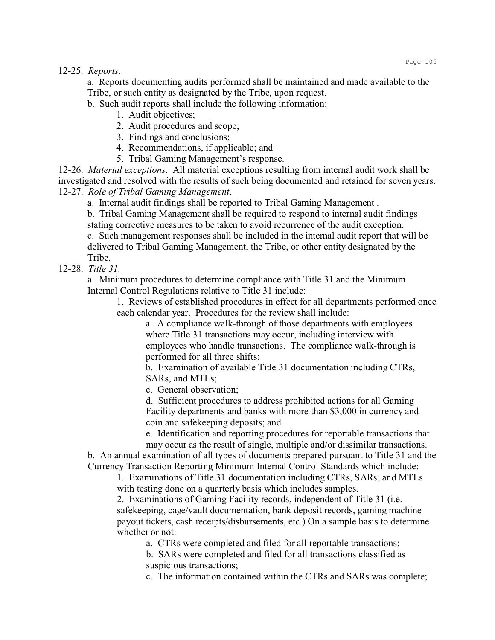12-25. *Reports*.

a. Reports documenting audits performed shall be maintained and made available to the Tribe, or such entity as designated by the Tribe, upon request.

b. Such audit reports shall include the following information:

1. Audit objectives;

2. Audit procedures and scope;

3. Findings and conclusions;

4. Recommendations, if applicable; and

5. Tribal Gaming Management's response.

12-26. *Material exceptions*. All material exceptions resulting from internal audit work shall be investigated and resolved with the results of such being documented and retained for seven years. 12-27. *Role of Tribal Gaming Management*.

a. Internal audit findings shall be reported to Tribal Gaming Management .

b. Tribal Gaming Management shall be required to respond to internal audit findings stating corrective measures to be taken to avoid recurrence of the audit exception. c. Such management responses shall be included in the internal audit report that will be delivered to Tribal Gaming Management, the Tribe, or other entity designated by the Tribe.

12-28. *Title 31.*

a. Minimum procedures to determine compliance with Title 31 and the Minimum Internal Control Regulations relative to Title 31 include:

1. Reviews of established procedures in effect for all departments performed once each calendar year. Procedures for the review shall include:

a. A compliance walk-through of those departments with employees where Title 31 transactions may occur, including interview with employees who handle transactions. The compliance walk-through is performed for all three shifts;

b. Examination of available Title 31 documentation including CTRs, SARs, and MTLs;

c. General observation;

d. Sufficient procedures to address prohibited actions for all Gaming Facility departments and banks with more than \$3,000 in currency and coin and safekeeping deposits; and

e. Identification and reporting procedures for reportable transactions that may occur as the result of single, multiple and/or dissimilar transactions.

b. An annual examination of all types of documents prepared pursuant to Title 31 and the Currency Transaction Reporting Minimum Internal Control Standards which include:

1. Examinations of Title 31 documentation including CTRs, SARs, and MTLs with testing done on a quarterly basis which includes samples.

2. Examinations of Gaming Facility records, independent of Title 31 (i.e. safekeeping, cage/vault documentation, bank deposit records, gaming machine payout tickets, cash receipts/disbursements, etc.) On a sample basis to determine whether or not:

a. CTRs were completed and filed for all reportable transactions;

b. SARs were completed and filed for all transactions classified as suspicious transactions;

c. The information contained within the CTRs and SARs was complete;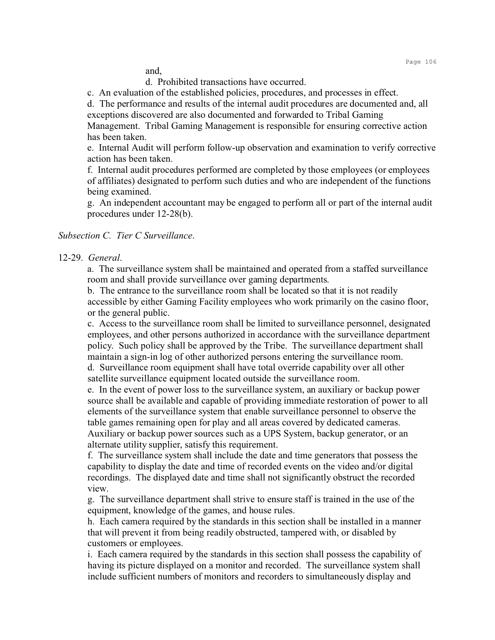and,

d. Prohibited transactions have occurred.

c. An evaluation of the established policies, procedures, and processes in effect.

d. The performance and results of the internal audit procedures are documented and, all exceptions discovered are also documented and forwarded to Tribal Gaming

Management. Tribal Gaming Management is responsible for ensuring corrective action has been taken.

e. Internal Audit will perform follow-up observation and examination to verify corrective action has been taken.

f. Internal audit procedures performed are completed by those employees (or employees of affiliates) designated to perform such duties and who are independent of the functions being examined.

g. An independent accountant may be engaged to perform all or part of the internal audit procedures under 12-28(b).

## *Subsection C. Tier C Surveillance*.

#### 12-29. *General*.

a. The surveillance system shall be maintained and operated from a staffed surveillance room and shall provide surveillance over gaming departments.

b. The entrance to the surveillance room shall be located so that it is not readily accessible by either Gaming Facility employees who work primarily on the casino floor, or the general public.

c. Access to the surveillance room shall be limited to surveillance personnel, designated employees, and other persons authorized in accordance with the surveillance department policy. Such policy shall be approved by the Tribe. The surveillance department shall maintain a sign-in log of other authorized persons entering the surveillance room. d. Surveillance room equipment shall have total override capability over all other

satellite surveillance equipment located outside the surveillance room.

e. In the event of power loss to the surveillance system, an auxiliary or backup power source shall be available and capable of providing immediate restoration of power to all elements of the surveillance system that enable surveillance personnel to observe the table games remaining open for play and all areas covered by dedicated cameras. Auxiliary or backup power sources such as a UPS System, backup generator, or an alternate utility supplier, satisfy this requirement.

f. The surveillance system shall include the date and time generators that possess the capability to display the date and time of recorded events on the video and/or digital recordings. The displayed date and time shall not significantly obstruct the recorded view.

g. The surveillance department shall strive to ensure staff is trained in the use of the equipment, knowledge of the games, and house rules.

h. Each camera required by the standards in this section shall be installed in a manner that will prevent it from being readily obstructed, tampered with, or disabled by customers or employees.

i. Each camera required by the standards in this section shall possess the capability of having its picture displayed on a monitor and recorded. The surveillance system shall include sufficient numbers of monitors and recorders to simultaneously display and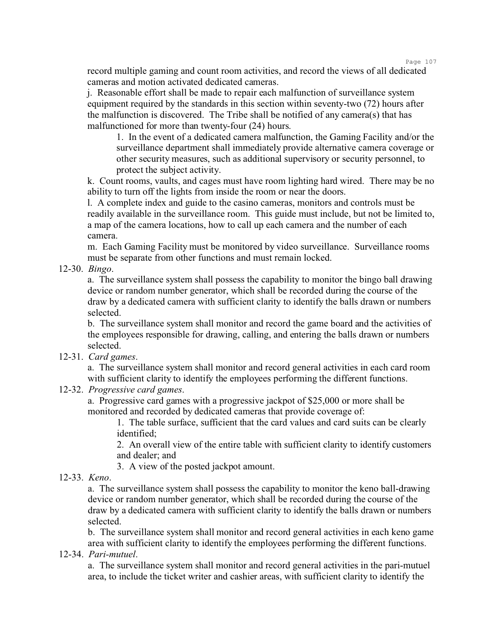Page 107

record multiple gaming and count room activities, and record the views of all dedicated cameras and motion activated dedicated cameras.

j. Reasonable effort shall be made to repair each malfunction of surveillance system equipment required by the standards in this section within seventy-two (72) hours after the malfunction is discovered. The Tribe shall be notified of any camera(s) that has malfunctioned for more than twenty-four (24) hours.

1. In the event of a dedicated camera malfunction, the Gaming Facility and/or the surveillance department shall immediately provide alternative camera coverage or other security measures, such as additional supervisory or security personnel, to protect the subject activity.

k. Count rooms, vaults, and cages must have room lighting hard wired. There may be no ability to turn off the lights from inside the room or near the doors.

l. A complete index and guide to the casino cameras, monitors and controls must be readily available in the surveillance room. This guide must include, but not be limited to, a map of the camera locations, how to call up each camera and the number of each camera.

m. Each Gaming Facility must be monitored by video surveillance. Surveillance rooms must be separate from other functions and must remain locked.

12-30. *Bingo*.

a. The surveillance system shall possess the capability to monitor the bingo ball drawing device or random number generator, which shall be recorded during the course of the draw by a dedicated camera with sufficient clarity to identify the balls drawn or numbers selected.

b. The surveillance system shall monitor and record the game board and the activities of the employees responsible for drawing, calling, and entering the balls drawn or numbers selected.

12-31. *Card games*.

a. The surveillance system shall monitor and record general activities in each card room with sufficient clarity to identify the employees performing the different functions.

12-32. *Progressive card games*.

a. Progressive card games with a progressive jackpot of \$25,000 or more shall be monitored and recorded by dedicated cameras that provide coverage of:

1. The table surface, sufficient that the card values and card suits can be clearly identified;

2. An overall view of the entire table with sufficient clarity to identify customers and dealer; and

3. A view of the posted jackpot amount.

12-33. *Keno*.

a. The surveillance system shall possess the capability to monitor the keno ball-drawing device or random number generator, which shall be recorded during the course of the draw by a dedicated camera with sufficient clarity to identify the balls drawn or numbers selected.

b. The surveillance system shall monitor and record general activities in each keno game area with sufficient clarity to identify the employees performing the different functions.

12-34. *Pari-mutuel*.

a. The surveillance system shall monitor and record general activities in the pari-mutuel area, to include the ticket writer and cashier areas, with sufficient clarity to identify the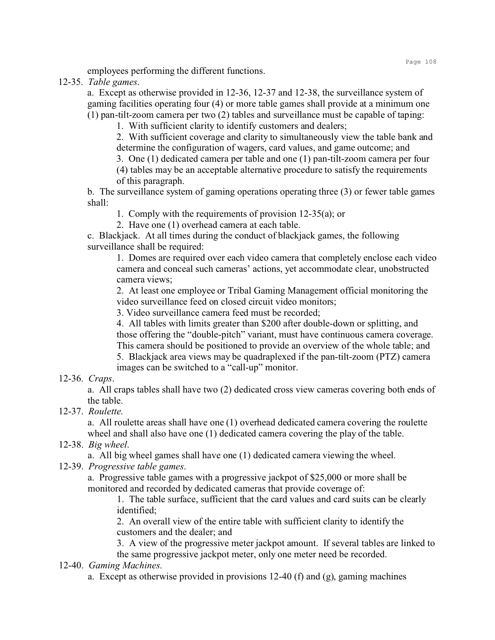employees performing the different functions.

12-35. *Table games*.

a. Except as otherwise provided in 12-36, 12-37 and 12-38, the surveillance system of gaming facilities operating four (4) or more table games shall provide at a minimum one (1) pan-tilt-zoom camera per two (2) tables and surveillance must be capable of taping:

1. With sufficient clarity to identify customers and dealers;

2. With sufficient coverage and clarity to simultaneously view the table bank and determine the configuration of wagers, card values, and game outcome; and

3. One (1) dedicated camera per table and one (1) pan-tilt-zoom camera per four

(4) tables may be an acceptable alternative procedure to satisfy the requirements of this paragraph.

b. The surveillance system of gaming operations operating three (3) or fewer table games shall:

1. Comply with the requirements of provision 12-35(a); or

2. Have one (1) overhead camera at each table.

c. Blackjack. At all times during the conduct of blackjack games, the following surveillance shall be required:

1. Domes are required over each video camera that completely enclose each video camera and conceal such cameras' actions, yet accommodate clear, unobstructed camera views;

2. At least one employee or Tribal Gaming Management official monitoring the video surveillance feed on closed circuit video monitors;

3. Video surveillance camera feed must be recorded;

4. All tables with limits greater than \$200 after double-down or splitting, and those offering the "double-pitch" variant, must have continuous camera coverage. This camera should be positioned to provide an overview of the whole table; and

5. Blackjack area views may be quadraplexed if the pan-tilt-zoom (PTZ) camera images can be switched to a "call-up" monitor.

#### 12-36. *Craps*.

a. All craps tables shall have two (2) dedicated cross view cameras covering both ends of the table.

12-37. *Roulette*.

a. All roulette areas shall have one (1) overhead dedicated camera covering the roulette wheel and shall also have one (1) dedicated camera covering the play of the table.

## 12-38. *Big wheel*.

a. All big wheel games shall have one (1) dedicated camera viewing the wheel.

12-39. *Progressive table games*.

a. Progressive table games with a progressive jackpot of \$25,000 or more shall be monitored and recorded by dedicated cameras that provide coverage of:

1. The table surface, sufficient that the card values and card suits can be clearly identified;

2. An overall view of the entire table with sufficient clarity to identify the customers and the dealer; and

3. A view of the progressive meter jackpot amount. If several tables are linked to the same progressive jackpot meter, only one meter need be recorded.

## 12-40. *Gaming Machines.*

a. Except as otherwise provided in provisions 12-40 (f) and (g), gaming machines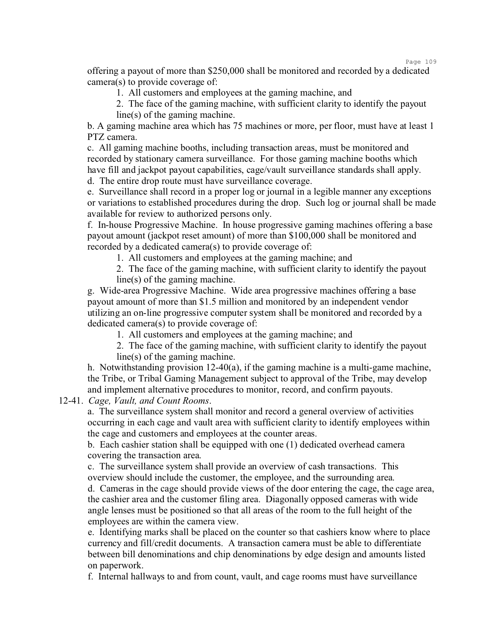Page 109

offering a payout of more than \$250,000 shall be monitored and recorded by a dedicated camera(s) to provide coverage of:

1. All customers and employees at the gaming machine, and

2. The face of the gaming machine, with sufficient clarity to identify the payout line(s) of the gaming machine.

b. A gaming machine area which has 75 machines or more, per floor, must have at least 1 PTZ camera.

c. All gaming machine booths, including transaction areas, must be monitored and recorded by stationary camera surveillance. For those gaming machine booths which have fill and jackpot payout capabilities, cage/vault surveillance standards shall apply.

d. The entire drop route must have surveillance coverage.

e. Surveillance shall record in a proper log or journal in a legible manner any exceptions or variations to established procedures during the drop. Such log or journal shall be made available for review to authorized persons only.

f. In-house Progressive Machine. In house progressive gaming machines offering a base payout amount (jackpot reset amount) of more than \$100,000 shall be monitored and recorded by a dedicated camera(s) to provide coverage of:

1. All customers and employees at the gaming machine; and

2. The face of the gaming machine, with sufficient clarity to identify the payout line(s) of the gaming machine.

g. Wide-area Progressive Machine. Wide area progressive machines offering a base payout amount of more than \$1.5 million and monitored by an independent vendor utilizing an on-line progressive computer system shall be monitored and recorded by a dedicated camera(s) to provide coverage of:

1. All customers and employees at the gaming machine; and

2. The face of the gaming machine, with sufficient clarity to identify the payout line(s) of the gaming machine.

h. Notwithstanding provision 12-40(a), if the gaming machine is a multi-game machine, the Tribe, or Tribal Gaming Management subject to approval of the Tribe, may develop and implement alternative procedures to monitor, record, and confirm payouts.

12-41. *Cage, Vault, and Count Rooms*.

a. The surveillance system shall monitor and record a general overview of activities occurring in each cage and vault area with sufficient clarity to identify employees within the cage and customers and employees at the counter areas.

b. Each cashier station shall be equipped with one (1) dedicated overhead camera covering the transaction area.

c. The surveillance system shall provide an overview of cash transactions. This overview should include the customer, the employee, and the surrounding area. d. Cameras in the cage should provide views of the door entering the cage, the cage area, the cashier area and the customer filing area. Diagonally opposed cameras with wide angle lenses must be positioned so that all areas of the room to the full height of the employees are within the camera view.

e. Identifying marks shall be placed on the counter so that cashiers know where to place currency and fill/credit documents. A transaction camera must be able to differentiate between bill denominations and chip denominations by edge design and amounts listed on paperwork.

f. Internal hallways to and from count, vault, and cage rooms must have surveillance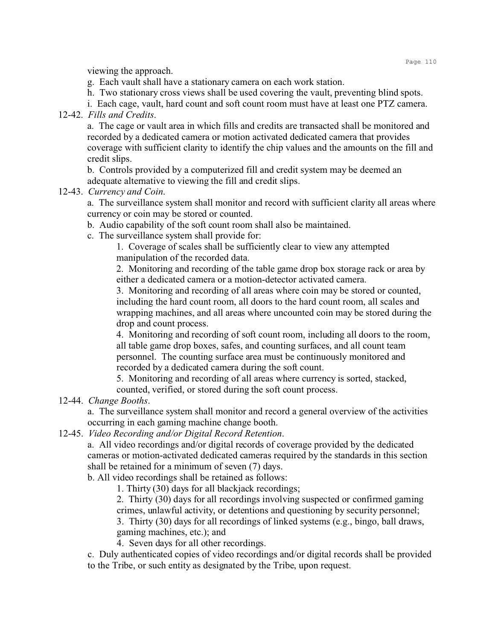viewing the approach.

- g. Each vault shall have a stationary camera on each work station.
- h. Two stationary cross views shall be used covering the vault, preventing blind spots.
- i. Each cage, vault, hard count and soft count room must have at least one PTZ camera.

## 12-42. *Fills and Credits*.

a. The cage or vault area in which fills and credits are transacted shall be monitored and recorded by a dedicated camera or motion activated dedicated camera that provides coverage with sufficient clarity to identify the chip values and the amounts on the fill and credit slips.

b. Controls provided by a computerized fill and credit system may be deemed an adequate alternative to viewing the fill and credit slips.

# 12-43. *Currency and Coin*.

a. The surveillance system shall monitor and record with sufficient clarity all areas where currency or coin may be stored or counted.

b. Audio capability of the soft count room shall also be maintained.

c. The surveillance system shall provide for:

1. Coverage of scales shall be sufficiently clear to view any attempted manipulation of the recorded data.

2. Monitoring and recording of the table game drop box storage rack or area by either a dedicated camera or a motion-detector activated camera.

3. Monitoring and recording of all areas where coin may be stored or counted, including the hard count room, all doors to the hard count room, all scales and wrapping machines, and all areas where uncounted coin may be stored during the drop and count process.

4. Monitoring and recording of soft count room, including all doors to the room, all table game drop boxes, safes, and counting surfaces, and all count team personnel. The counting surface area must be continuously monitored and recorded by a dedicated camera during the soft count.

5. Monitoring and recording of all areas where currency is sorted, stacked, counted, verified, or stored during the soft count process.

# 12-44. *Change Booths*.

a. The surveillance system shall monitor and record a general overview of the activities occurring in each gaming machine change booth.

12-45. *Video Recording and/or Digital Record Retention*.

a. All video recordings and/or digital records of coverage provided by the dedicated cameras or motion-activated dedicated cameras required by the standards in this section shall be retained for a minimum of seven (7) days.

b. All video recordings shall be retained as follows:

1. Thirty (30) days for all blackjack recordings;

2. Thirty (30) days for all recordings involving suspected or confirmed gaming crimes, unlawful activity, or detentions and questioning by security personnel;

3. Thirty (30) days for all recordings of linked systems (e.g., bingo, ball draws, gaming machines, etc.); and

4. Seven days for all other recordings.

c. Duly authenticated copies of video recordings and/or digital records shall be provided to the Tribe, or such entity as designated by the Tribe, upon request.